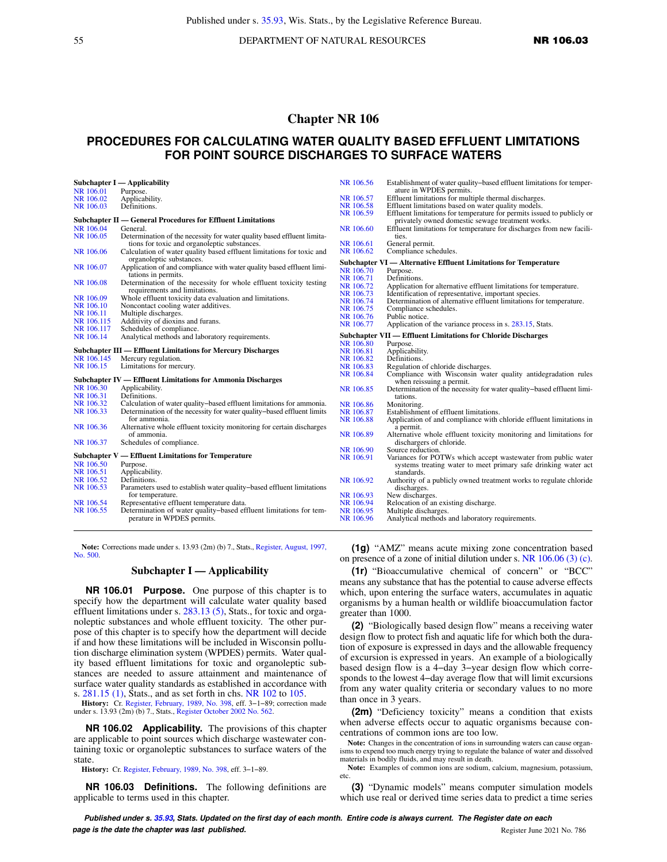# **Chapter NR 106**

# **PROCEDURES FOR CALCULATING WATER QUALITY BASED EFFLUENT LIMITATIONS FOR POINT SOURCE DISCHARGES TO SURFACE WATERS**

|            | Subchapter I — Applicability                                            | NR 106.56 | Establishment of water quality-based effluent limitations for temper-  |
|------------|-------------------------------------------------------------------------|-----------|------------------------------------------------------------------------|
| NR 106.01  | Purpose.                                                                |           | ature in WPDES permits.                                                |
| NR 106.02  | Applicability.                                                          | NR 106.57 | Effluent limitations for multiple thermal discharges.                  |
| NR 106.03  | Definitions.                                                            | NR 106.58 | Effluent limitations based on water quality models.                    |
|            |                                                                         | NR 106.59 | Effluent limitations for temperature for permits issued to publicly or |
|            | Subchapter II — General Procedures for Effluent Limitations             |           | privately owned domestic sewage treatment works.                       |
| NR 106.04  | General.                                                                | NR 106.60 | Effluent limitations for temperature for discharges from new facili-   |
| NR 106.05  | Determination of the necessity for water quality based effluent limita- |           | ties.                                                                  |
|            | tions for toxic and organoleptic substances.                            | NR 106.61 | General permit.                                                        |
| NR 106.06  | Calculation of water quality based effluent limitations for toxic and   | NR 106.62 | Compliance schedules.                                                  |
|            | organoleptic substances.                                                |           | Subchapter VI — Alternative Effluent Limitations for Temperature       |
| NR 106.07  | Application of and compliance with water quality based effluent limi-   | NR 106.70 | Purpose.                                                               |
|            | tations in permits.                                                     | NR 106.71 | Definitions.                                                           |
| NR 106.08  | Determination of the necessity for whole effluent toxicity testing      | NR 106.72 | Application for alternative effluent limitations for temperature.      |
|            | requirements and limitations.                                           | NR 106.73 | Identification of representative, important species.                   |
| NR 106.09  | Whole effluent toxicity data evaluation and limitations.                | NR 106.74 | Determination of alternative effluent limitations for temperature.     |
| NR 106.10  | Noncontact cooling water additives.                                     | NR 106.75 | Compliance schedules.                                                  |
| NR 106.11  | Multiple discharges.                                                    | NR 106.76 | Public notice.                                                         |
| NR 106.115 | Additivity of dioxins and furans.                                       | NR 106.77 | Application of the variance process in s. 283.15, Stats.               |
| NR 106.117 | Schedules of compliance.                                                |           |                                                                        |
| NR 106.14  | Analytical methods and laboratory requirements.                         |           | <b>Subchapter VII — Effluent Limitations for Chloride Discharges</b>   |
|            |                                                                         | NR 106.80 | Purpose.                                                               |
|            | Subchapter III — Effluent Limitations for Mercury Discharges            | NR 106.81 | Applicability.                                                         |
| NR 106.145 | Mercury regulation.                                                     | NR 106.82 | Definitions.                                                           |
| NR 106.15  | Limitations for mercury.                                                | NR 106.83 | Regulation of chloride discharges.                                     |
|            |                                                                         | NR 106.84 | Compliance with Wisconsin water quality antidegradation rules          |
|            | Subchapter IV — Effluent Limitations for Ammonia Discharges             |           | when reissuing a permit.                                               |
| NR 106.30  | Applicability.                                                          | NR 106.85 | Determination of the necessity for water quality-based effluent limi-  |
| NR 106.31  | Definitions.                                                            |           | tations.                                                               |
| NR 106.32  | Calculation of water quality-based effluent limitations for ammonia.    | NR 106.86 | Monitoring.                                                            |
| NR 106.33  | Determination of the necessity for water quality-based effluent limits  | NR 106.87 | Establishment of effluent limitations.                                 |
|            | for ammonia.                                                            | NR 106.88 | Application of and compliance with chloride effluent limitations in    |
| NR 106.36  | Alternative whole effluent toxicity monitoring for certain discharges   |           | a permit.                                                              |
|            | of ammonia.                                                             | NR 106.89 | Alternative whole effluent toxicity monitoring and limitations for     |
| NR 106.37  | Schedules of compliance.                                                |           | dischargers of chloride.                                               |
|            |                                                                         | NR 106.90 | Source reduction.                                                      |
|            | Subchapter V — Effluent Limitations for Temperature                     | NR 106.91 | Variances for POTWs which accept wastewater from public water          |
| NR 106.50  | Purpose.                                                                |           | systems treating water to meet primary safe drinking water act         |
| NR 106.51  | Applicability.                                                          |           | standards.                                                             |
| NR 106.52  | Definitions.                                                            | NR 106.92 | Authority of a publicly owned treatment works to regulate chloride     |
| NR 106.53  | Parameters used to establish water quality-based effluent limitations   |           | discharges.                                                            |
|            | for temperature.                                                        | NR 106.93 | New discharges.                                                        |
| NR 106.54  | Representative effluent temperature data.                               | NR 106.94 | Relocation of an existing discharge.                                   |
| NR 106.55  | Determination of water quality-based effluent limitations for tem-      | NR 106.95 | Multiple discharges.                                                   |
|            | perature in WPDES permits.                                              | NR 106.96 | Analytical methods and laboratory requirements.                        |

**Note:** Corrections made under s. 13.93 (2m) (b) 7., Stats., [Register, August, 1997,](https://docs.legis.wisconsin.gov/document/register/500/B/toc) [No. 500](https://docs.legis.wisconsin.gov/document/register/500/B/toc).

#### **Subchapter I — Applicability**

**NR 106.01 Purpose.** One purpose of this chapter is to specify how the department will calculate water quality based effluent limitations under s. [283.13 \(5\),](https://docs.legis.wisconsin.gov/document/statutes/283.13(5)) Stats., for toxic and organoleptic substances and whole effluent toxicity. The other purpose of this chapter is to specify how the department will decide if and how these limitations will be included in Wisconsin pollution discharge elimination system (WPDES) permits. Water quality based effluent limitations for toxic and organoleptic substances are needed to assure attainment and maintenance of surface water quality standards as established in accordance with s. [281.15 \(1\),](https://docs.legis.wisconsin.gov/document/statutes/281.15(1)) Stats., and as set forth in chs. [NR 102](https://docs.legis.wisconsin.gov/document/administrativecode/ch.%20NR%20102) to [105](https://docs.legis.wisconsin.gov/document/administrativecode/ch.%20NR%20105).

**History:** Cr. [Register, February, 1989, No. 398,](https://docs.legis.wisconsin.gov/document/register/398/B/toc) eff. 3−1−89; correction made under s. 13.93 (2m) (b) 7., Stats., [Register October 2002 No. 562](https://docs.legis.wisconsin.gov/document/register/562/B/toc).

**NR 106.02 Applicability.** The provisions of this chapter are applicable to point sources which discharge wastewater containing toxic or organoleptic substances to surface waters of the state.

**History:** Cr. [Register, February, 1989, No. 398,](https://docs.legis.wisconsin.gov/document/register/398/B/toc) eff. 3−1−89.

**NR 106.03 Definitions.** The following definitions are applicable to terms used in this chapter.

**(1g)** "AMZ" means acute mixing zone concentration based on presence of a zone of initial dilution under s. [NR 106.06 \(3\) \(c\).](https://docs.legis.wisconsin.gov/document/administrativecode/NR%20106.06(3)(c))

**(1r)** "Bioaccumulative chemical of concern" or "BCC" means any substance that has the potential to cause adverse effects which, upon entering the surface waters, accumulates in aquatic organisms by a human health or wildlife bioaccumulation factor greater than 1000.

**(2)** "Biologically based design flow" means a receiving water design flow to protect fish and aquatic life for which both the duration of exposure is expressed in days and the allowable frequency of excursion is expressed in years. An example of a biologically based design flow is a 4−day 3−year design flow which corresponds to the lowest 4–day average flow that will limit excursions from any water quality criteria or secondary values to no more than once in 3 years.

**(2m)** "Deficiency toxicity" means a condition that exists when adverse effects occur to aquatic organisms because concentrations of common ions are too low.

**Note:** Changes in the concentration of ions in surrounding waters can cause organisms to expend too much energy trying to regulate the balance of water and dissolved materials in bodily fluids, and may result in death.

**Note:** Examples of common ions are sodium, calcium, magnesium, potassium, etc.

**(3)** "Dynamic models" means computer simulation models which use real or derived time series data to predict a time series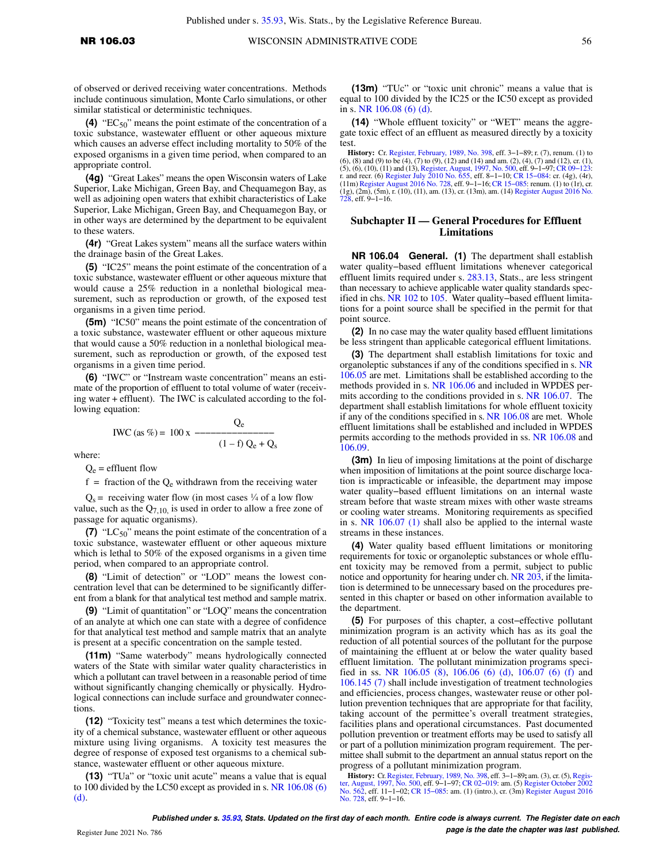of observed or derived receiving water concentrations. Methods include continuous simulation, Monte Carlo simulations, or other similar statistical or deterministic techniques.

**(4)** "EC50" means the point estimate of the concentration of a toxic substance, wastewater effluent or other aqueous mixture which causes an adverse effect including mortality to 50% of the exposed organisms in a given time period, when compared to an appropriate control.

**(4g)** "Great Lakes" means the open Wisconsin waters of Lake Superior, Lake Michigan, Green Bay, and Chequamegon Bay, as well as adjoining open waters that exhibit characteristics of Lake Superior, Lake Michigan, Green Bay, and Chequamegon Bay, or in other ways are determined by the department to be equivalent to these waters.

**(4r)** "Great Lakes system" means all the surface waters within the drainage basin of the Great Lakes.

**(5)** "IC25" means the point estimate of the concentration of a toxic substance, wastewater effluent or other aqueous mixture that would cause a 25% reduction in a nonlethal biological measurement, such as reproduction or growth, of the exposed test organisms in a given time period.

**(5m)** "IC50" means the point estimate of the concentration of a toxic substance, wastewater effluent or other aqueous mixture that would cause a 50% reduction in a nonlethal biological measurement, such as reproduction or growth, of the exposed test organisms in a given time period.

**(6)** "IWC" or "Instream waste concentration" means an estimate of the proportion of effluent to total volume of water (receiving water + effluent). The IWC is calculated according to the following equation:

$$
IWC (as %) = 100 x \frac{Q_e}{(1 - f) Q_e + Q_s}
$$

where:

 $Q_e$  = effluent flow

 $f =$  fraction of the  $Q_e$  withdrawn from the receiving water

 $Q_s$  = receiving water flow (in most cases  $\frac{1}{4}$  of a low flow value, such as the  $Q_{7,10}$  is used in order to allow a free zone of passage for aquatic organisms).

**(7)** "LC<sub>50</sub>" means the point estimate of the concentration of a toxic substance, wastewater effluent or other aqueous mixture which is lethal to 50% of the exposed organisms in a given time period, when compared to an appropriate control.

**(8)** "Limit of detection" or "LOD" means the lowest concentration level that can be determined to be significantly different from a blank for that analytical test method and sample matrix.

**(9)** "Limit of quantitation" or "LOQ" means the concentration of an analyte at which one can state with a degree of confidence for that analytical test method and sample matrix that an analyte is present at a specific concentration on the sample tested.

**(11m)** "Same waterbody" means hydrologically connected waters of the State with similar water quality characteristics in which a pollutant can travel between in a reasonable period of time without significantly changing chemically or physically. Hydrological connections can include surface and groundwater connections.

**(12)** "Toxicity test" means a test which determines the toxicity of a chemical substance, wastewater effluent or other aqueous mixture using living organisms. A toxicity test measures the degree of response of exposed test organisms to a chemical substance, wastewater effluent or other aqueous mixture.

**(13)** "TUa" or "toxic unit acute" means a value that is equal to 100 divided by the LC50 except as provided in s. [NR 106.08 \(6\)](https://docs.legis.wisconsin.gov/document/administrativecode/NR%20106.08(6)(d)) [\(d\)](https://docs.legis.wisconsin.gov/document/administrativecode/NR%20106.08(6)(d)).

**(13m)** "TUc" or "toxic unit chronic" means a value that is equal to 100 divided by the IC25 or the IC50 except as provided in s. [NR 106.08 \(6\) \(d\).](https://docs.legis.wisconsin.gov/document/administrativecode/NR%20106.08(6)(d))

**(14)** "Whole effluent toxicity" or "WET" means the aggregate toxic effect of an effluent as measured directly by a toxicity test.

**History:** Cr. [Register, February, 1989, No. 398,](https://docs.legis.wisconsin.gov/document/register/398/B/toc) eff. 3–1–89; r. (7), renum. (1) to (6), (8) and (9) to be (4), (7) to (9), (12) and (14) and am. (2), (4), (7) and (12), cr. (1), (5), (6), (6), (0), (12) and (13), Regist (1g), (2m), (5m), r. (10), (11), am. (13), cr. (13m), am. (14) [Register August 2016 No.](https://docs.legis.wisconsin.gov/document/register/728/B/toc) [728,](https://docs.legis.wisconsin.gov/document/register/728/B/toc) eff. 9−1−16.

## **Subchapter II — General Procedures for Effluent Limitations**

**NR 106.04 General. (1)** The department shall establish water quality−based effluent limitations whenever categorical effluent limits required under s. [283.13](https://docs.legis.wisconsin.gov/document/statutes/283.13), Stats., are less stringent than necessary to achieve applicable water quality standards specified in chs. [NR 102](https://docs.legis.wisconsin.gov/document/administrativecode/ch.%20NR%20102) to [105.](https://docs.legis.wisconsin.gov/document/administrativecode/ch.%20NR%20105) Water quality−based effluent limitations for a point source shall be specified in the permit for that point source.

**(2)** In no case may the water quality based effluent limitations be less stringent than applicable categorical effluent limitations.

**(3)** The department shall establish limitations for toxic and organoleptic substances if any of the conditions specified in s. [NR](https://docs.legis.wisconsin.gov/document/administrativecode/NR%20106.05) [106.05](https://docs.legis.wisconsin.gov/document/administrativecode/NR%20106.05) are met. Limitations shall be established according to the methods provided in s. [NR 106.06](https://docs.legis.wisconsin.gov/document/administrativecode/NR%20106.06) and included in WPDES permits according to the conditions provided in s. [NR 106.07](https://docs.legis.wisconsin.gov/document/administrativecode/NR%20106.07). The department shall establish limitations for whole effluent toxicity if any of the conditions specified in s. [NR 106.08](https://docs.legis.wisconsin.gov/document/administrativecode/NR%20106.08) are met. Whole effluent limitations shall be established and included in WPDES permits according to the methods provided in ss. [NR 106.08](https://docs.legis.wisconsin.gov/document/administrativecode/NR%20106.08) and [106.09](https://docs.legis.wisconsin.gov/document/administrativecode/NR%20106.09).

**(3m)** In lieu of imposing limitations at the point of discharge when imposition of limitations at the point source discharge location is impracticable or infeasible, the department may impose water quality−based effluent limitations on an internal waste stream before that waste stream mixes with other waste streams or cooling water streams. Monitoring requirements as specified in s. [NR 106.07 \(1\)](https://docs.legis.wisconsin.gov/document/administrativecode/NR%20106.07(1)) shall also be applied to the internal waste streams in these instances.

**(4)** Water quality based effluent limitations or monitoring requirements for toxic or organoleptic substances or whole effluent toxicity may be removed from a permit, subject to public notice and opportunity for hearing under ch. [NR 203,](https://docs.legis.wisconsin.gov/document/administrativecode/ch.%20NR%20203) if the limitation is determined to be unnecessary based on the procedures presented in this chapter or based on other information available to the department.

**(5)** For purposes of this chapter, a cost−effective pollutant minimization program is an activity which has as its goal the reduction of all potential sources of the pollutant for the purpose of maintaining the effluent at or below the water quality based effluent limitation. The pollutant minimization programs specified in ss. [NR 106.05 \(8\)](https://docs.legis.wisconsin.gov/document/administrativecode/NR%20106.05(8)), [106.06 \(6\) \(d\)](https://docs.legis.wisconsin.gov/document/administrativecode/NR%20106.06(6)(d)), [106.07 \(6\) \(f\)](https://docs.legis.wisconsin.gov/document/administrativecode/NR%20106.07(6)(f)) and [106.145 \(7\)](https://docs.legis.wisconsin.gov/document/administrativecode/NR%20106.145(7)) shall include investigation of treatment technologies and efficiencies, process changes, wastewater reuse or other pollution prevention techniques that are appropriate for that facility, taking account of the permittee's overall treatment strategies, facilities plans and operational circumstances. Past documented pollution prevention or treatment efforts may be used to satisfy all or part of a pollution minimization program requirement. The permittee shall submit to the department an annual status report on the progress of a pollutant minimization program.

**History:** Cr. [Register, February, 1989, No. 398,](https://docs.legis.wisconsin.gov/document/register/398/B/toc) eff. 3–1–89; am. (3), cr. (5), Regis[ter, August, 1997, No. 500,](https://docs.legis.wisconsin.gov/document/register/500/B/toc) eff. 9–1–97; CR 02–019: am. (5) [Register October 2002](https://docs.legis.wisconsin.gov/document/register/562/B/toc)<br>[No. 562,](https://docs.legis.wisconsin.gov/document/register/562/B/toc) eff. 11–1–02; CR 15–085: am. (1) (intro.), cr [No. 728,](https://docs.legis.wisconsin.gov/document/register/728/B/toc) eff. 9−1−16.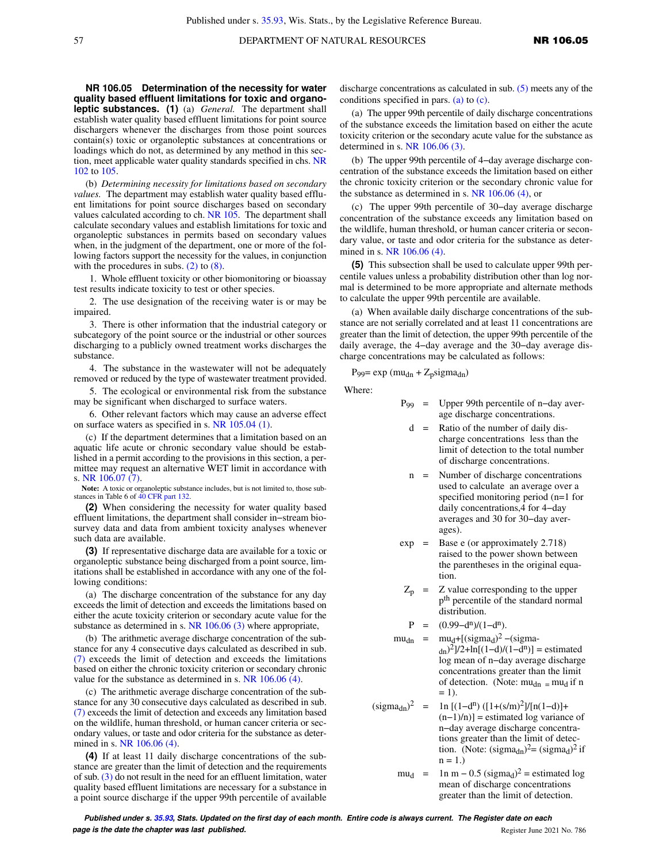**NR 106.05 Determination of the necessity for water quality based effluent limitations for toxic and organoleptic substances. (1)** (a) *General.* The department shall establish water quality based effluent limitations for point source dischargers whenever the discharges from those point sources contain(s) toxic or organoleptic substances at concentrations or loadings which do not, as determined by any method in this section, meet applicable water quality standards specified in chs. [NR](https://docs.legis.wisconsin.gov/document/administrativecode/ch.%20NR%20102) [102](https://docs.legis.wisconsin.gov/document/administrativecode/ch.%20NR%20102) to [105.](https://docs.legis.wisconsin.gov/document/administrativecode/ch.%20NR%20105)

(b) *Determining necessity for limitations based on secondary values.* The department may establish water quality based effluent limitations for point source discharges based on secondary values calculated according to ch. [NR 105](https://docs.legis.wisconsin.gov/document/administrativecode/ch.%20NR%20105). The department shall calculate secondary values and establish limitations for toxic and organoleptic substances in permits based on secondary values when, in the judgment of the department, one or more of the following factors support the necessity for the values, in conjunction with the procedures in subs.  $(2)$  to  $(8)$ .

1. Whole effluent toxicity or other biomonitoring or bioassay test results indicate toxicity to test or other species.

2. The use designation of the receiving water is or may be impaired.

3. There is other information that the industrial category or subcategory of the point source or the industrial or other sources discharging to a publicly owned treatment works discharges the substance.

4. The substance in the wastewater will not be adequately removed or reduced by the type of wastewater treatment provided.

5. The ecological or environmental risk from the substance may be significant when discharged to surface waters.

6. Other relevant factors which may cause an adverse effect on surface waters as specified in s. [NR 105.04 \(1\).](https://docs.legis.wisconsin.gov/document/administrativecode/NR%20105.04(1))

(c) If the department determines that a limitation based on an aquatic life acute or chronic secondary value should be established in a permit according to the provisions in this section, a permittee may request an alternative WET limit in accordance with s. [NR 106.07 \(7\)](https://docs.legis.wisconsin.gov/document/administrativecode/NR%20106.07(7)).

Note: A toxic or organoleptic substance includes, but is not limited to, those substances in Table 6 of [40 CFR part 132.](https://docs.legis.wisconsin.gov/document/cfr/40%20CFR%20132)

**(2)** When considering the necessity for water quality based effluent limitations, the department shall consider in−stream biosurvey data and data from ambient toxicity analyses whenever such data are available.

**(3)** If representative discharge data are available for a toxic or organoleptic substance being discharged from a point source, limitations shall be established in accordance with any one of the following conditions:

(a) The discharge concentration of the substance for any day exceeds the limit of detection and exceeds the limitations based on either the acute toxicity criterion or secondary acute value for the substance as determined in s. [NR 106.06 \(3\)](https://docs.legis.wisconsin.gov/document/administrativecode/NR%20106.06(3)) where appropriate,

(b) The arithmetic average discharge concentration of the substance for any 4 consecutive days calculated as described in sub. [\(7\)](https://docs.legis.wisconsin.gov/document/administrativecode/NR%20106.05(7)) exceeds the limit of detection and exceeds the limitations based on either the chronic toxicity criterion or secondary chronic value for the substance as determined in s. [NR 106.06 \(4\).](https://docs.legis.wisconsin.gov/document/administrativecode/NR%20106.06(4))

(c) The arithmetic average discharge concentration of the substance for any 30 consecutive days calculated as described in sub. [\(7\)](https://docs.legis.wisconsin.gov/document/administrativecode/NR%20106.05(7)) exceeds the limit of detection and exceeds any limitation based on the wildlife, human threshold, or human cancer criteria or secondary values, or taste and odor criteria for the substance as determined in s. [NR 106.06 \(4\).](https://docs.legis.wisconsin.gov/document/administrativecode/NR%20106.06(4))

**(4)** If at least 11 daily discharge concentrations of the substance are greater than the limit of detection and the requirements of sub.  $(3)$  do not result in the need for an effluent limitation, water quality based effluent limitations are necessary for a substance in a point source discharge if the upper 99th percentile of available

discharge concentrations as calculated in sub. [\(5\)](https://docs.legis.wisconsin.gov/document/administrativecode/NR%20106.05(5)) meets any of the conditions specified in pars. [\(a\)](https://docs.legis.wisconsin.gov/document/administrativecode/NR%20106.05(4)(a)) to [\(c\).](https://docs.legis.wisconsin.gov/document/administrativecode/NR%20106.05(4)(c))

(a) The upper 99th percentile of daily discharge concentrations of the substance exceeds the limitation based on either the acute toxicity criterion or the secondary acute value for the substance as determined in s. [NR 106.06 \(3\).](https://docs.legis.wisconsin.gov/document/administrativecode/NR%20106.06(3))

(b) The upper 99th percentile of 4−day average discharge concentration of the substance exceeds the limitation based on either the chronic toxicity criterion or the secondary chronic value for the substance as determined in s. [NR 106.06 \(4\),](https://docs.legis.wisconsin.gov/document/administrativecode/NR%20106.06(4)) or

(c) The upper 99th percentile of 30−day average discharge concentration of the substance exceeds any limitation based on the wildlife, human threshold, or human cancer criteria or secondary value, or taste and odor criteria for the substance as determined in s. [NR 106.06 \(4\).](https://docs.legis.wisconsin.gov/document/administrativecode/NR%20106.06(4))

**(5)** This subsection shall be used to calculate upper 99th percentile values unless a probability distribution other than log normal is determined to be more appropriate and alternate methods to calculate the upper 99th percentile are available.

(a) When available daily discharge concentrations of the substance are not serially correlated and at least 11 concentrations are greater than the limit of detection, the upper 99th percentile of the daily average, the 4−day average and the 30−day average discharge concentrations may be calculated as follows:

P<sub>99</sub>=  $\exp$  (mu<sub>dn</sub> + Z<sub>p</sub>sigma<sub>dn</sub>)

Where:

- P99 = Upper 99th percentile of n−day average discharge concentrations.
	- $d =$  Ratio of the number of daily discharge concentrations less than the limit of detection to the total number of discharge concentrations.
	- n = Number of discharge concentrations used to calculate an average over a specified monitoring period (n=1 for daily concentrations,4 for 4−day averages and 30 for 30−day averages).
- $exp =$  Base e (or approximately 2.718) raised to the power shown between the parentheses in the original equation.
- $Z_p$  =  $Z$  value corresponding to the upper p th percentile of the standard normal distribution.
- $P = (0.99-d^n)/(1-d^n).$
- $mu_{dn}$  =  $mu_{d} + [(sigma_{d})^2 (sigma_{d})^2]$  $_{\text{dn}}$ )<sup>2</sup>]/2+ln[(1-d)/(1-d<sup>n</sup>)] = estimated log mean of n−day average discharge concentrations greater than the limit of detection. (Note:  $mu_{dn}$  =  $mu_{d}$  if n  $= 1$ .
- $(\text{sigma}_{dn})^2$  = 2 = 1n [(1-d<sup>n</sup>) ([1+(s/m)<sup>2</sup>]/[n(1-d)]+ (n−1)/n)] = estimated log variance of n−day average discharge concentrations greater than the limit of detection. (Note:  $(\text{sigma}_{dh})^2 = (\text{sigma}_{d})^2$  if  $n = 1.$ 
	- $mu_d$  = 1n m 0.5 (sigma<sub>d</sub>)<sup>2</sup> = estimated log mean of discharge concentrations greater than the limit of detection.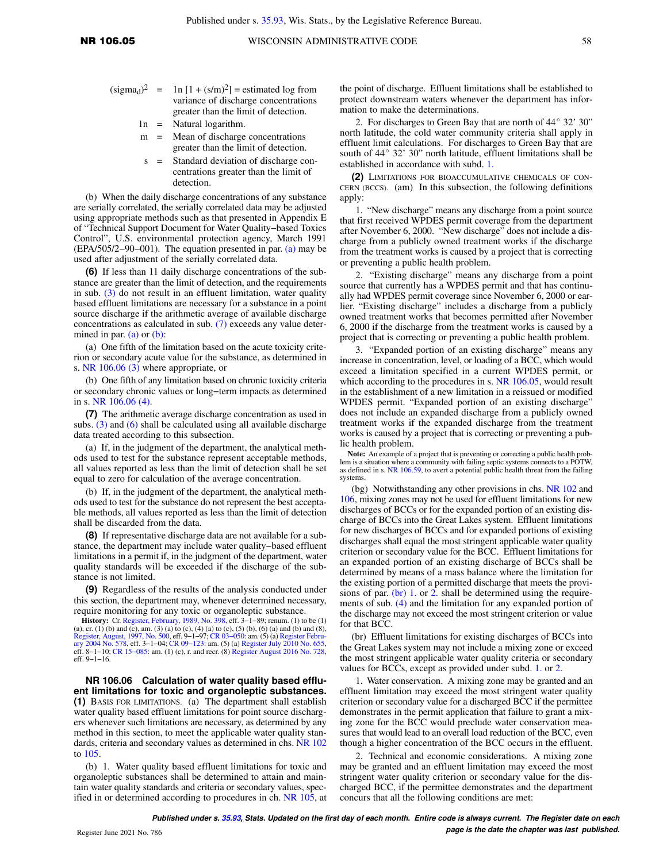- $(sigma<sub>d</sub>)<sup>2</sup>$  $^2$  = 1n [1 + (s/m)<sup>2</sup>] = estimated log from variance of discharge concentrations greater than the limit of detection.
	- 1n = Natural logarithm.
	- m = Mean of discharge concentrations greater than the limit of detection.
	- s = Standard deviation of discharge concentrations greater than the limit of detection.

(b) When the daily discharge concentrations of any substance are serially correlated, the serially correlated data may be adjusted using appropriate methods such as that presented in Appendix E of "Technical Support Document for Water Quality−based Toxics Control", U.S. environmental protection agency, March 1991 (EPA/505/2−90−001). The equation presented in par. [\(a\)](https://docs.legis.wisconsin.gov/document/administrativecode/NR%20106.05(5)(a)) may be used after adjustment of the serially correlated data.

**(6)** If less than 11 daily discharge concentrations of the substance are greater than the limit of detection, and the requirements in sub. [\(3\)](https://docs.legis.wisconsin.gov/document/administrativecode/NR%20106.05(3)) do not result in an effluent limitation, water quality based effluent limitations are necessary for a substance in a point source discharge if the arithmetic average of available discharge concentrations as calculated in sub. [\(7\)](https://docs.legis.wisconsin.gov/document/administrativecode/NR%20106.05(7)) exceeds any value determined in par.  $(a)$  or  $(b)$ :

(a) One fifth of the limitation based on the acute toxicity criterion or secondary acute value for the substance, as determined in s. [NR 106.06 \(3\)](https://docs.legis.wisconsin.gov/document/administrativecode/NR%20106.06(3)) where appropriate, or

(b) One fifth of any limitation based on chronic toxicity criteria or secondary chronic values or long−term impacts as determined in s. [NR 106.06 \(4\).](https://docs.legis.wisconsin.gov/document/administrativecode/NR%20106.06(4))

**(7)** The arithmetic average discharge concentration as used in subs.  $(3)$  and  $(6)$  shall be calculated using all available discharge data treated according to this subsection.

(a) If, in the judgment of the department, the analytical methods used to test for the substance represent acceptable methods, all values reported as less than the limit of detection shall be set equal to zero for calculation of the average concentration.

(b) If, in the judgment of the department, the analytical methods used to test for the substance do not represent the best acceptable methods, all values reported as less than the limit of detection shall be discarded from the data.

**(8)** If representative discharge data are not available for a substance, the department may include water quality−based effluent limitations in a permit if, in the judgment of the department, water quality standards will be exceeded if the discharge of the substance is not limited.

**(9)** Regardless of the results of the analysis conducted under this section, the department may, whenever determined necessary, require monitoring for any toxic or organoleptic substance.

**History:** Cr. [Register, February, 1989, No. 398,](https://docs.legis.wisconsin.gov/document/register/398/B/toc) eff. 3−1−89; renum. (1) to be (1) (a), cr. (1) (b) and (c), am. (3) (a) to (c), (4) (a) to (c), (5) (b), (6) (a) and (b) and (8), [Register, August, 1997, No. 500,](https://docs.legis.wisconsin.gov/document/register/500/B/toc) eff. 9–1–97; CR 03–050: am. (5) (a) Register Febru-<br>[ary 2004 No. 578](https://docs.legis.wisconsin.gov/document/register/578/B/toc), eff. 3–1–04; CR 09–123: am. (5) (a) [Register July 2010 No. 655](https://docs.legis.wisconsin.gov/document/register/655/B/toc),<br>eff. 8–1–10; CR 15–085: am. (1) (c), r. and recr. (8) R eff. 9−1−16.

**NR 106.06 Calculation of water quality based effluent limitations for toxic and organoleptic substances. (1)** BASIS FOR LIMITATIONS. (a) The department shall establish water quality based effluent limitations for point source dischargers whenever such limitations are necessary, as determined by any method in this section, to meet the applicable water quality standards, criteria and secondary values as determined in chs. [NR 102](https://docs.legis.wisconsin.gov/document/administrativecode/ch.%20NR%20102) to [105.](https://docs.legis.wisconsin.gov/document/administrativecode/ch.%20NR%20105)

(b) 1. Water quality based effluent limitations for toxic and organoleptic substances shall be determined to attain and maintain water quality standards and criteria or secondary values, specified in or determined according to procedures in ch. [NR 105,](https://docs.legis.wisconsin.gov/document/administrativecode/ch.%20NR%20105) at the point of discharge. Effluent limitations shall be established to protect downstream waters whenever the department has information to make the determinations.

2. For discharges to Green Bay that are north of  $44^{\circ}$  32' 30" north latitude, the cold water community criteria shall apply in effluent limit calculations. For discharges to Green Bay that are south of 44° 32' 30" north latitude, effluent limitations shall be established in accordance with subd. [1.](https://docs.legis.wisconsin.gov/document/administrativecode/NR%20106.06(1)(b)1.)

**(2)** LIMITATIONS FOR BIOACCUMULATIVE CHEMICALS OF CON-CERN (BCCS). (am) In this subsection, the following definitions apply:

1. "New discharge" means any discharge from a point source that first received WPDES permit coverage from the department after November 6, 2000. "New discharge" does not include a discharge from a publicly owned treatment works if the discharge from the treatment works is caused by a project that is correcting or preventing a public health problem.

2. "Existing discharge" means any discharge from a point source that currently has a WPDES permit and that has continually had WPDES permit coverage since November 6, 2000 or earlier. "Existing discharge" includes a discharge from a publicly owned treatment works that becomes permitted after November 6, 2000 if the discharge from the treatment works is caused by a project that is correcting or preventing a public health problem.

3. "Expanded portion of an existing discharge" means any increase in concentration, level, or loading of a BCC, which would exceed a limitation specified in a current WPDES permit, or which according to the procedures in s. [NR 106.05](https://docs.legis.wisconsin.gov/document/administrativecode/NR%20106.05), would result in the establishment of a new limitation in a reissued or modified WPDES permit. "Expanded portion of an existing discharge" does not include an expanded discharge from a publicly owned treatment works if the expanded discharge from the treatment works is caused by a project that is correcting or preventing a public health problem.

**Note:** An example of a project that is preventing or correcting a public health problem is a situation where a community with failing septic systems connects to a POTW, as defined in s. [NR 106.59,](https://docs.legis.wisconsin.gov/document/administrativecode/NR%20106.59) to avert a potential public health threat from the failing systems.

(bg) Notwithstanding any other provisions in chs. [NR 102](https://docs.legis.wisconsin.gov/document/administrativecode/ch.%20NR%20102) and [106,](https://docs.legis.wisconsin.gov/document/administrativecode/ch.%20NR%20106) mixing zones may not be used for effluent limitations for new discharges of BCCs or for the expanded portion of an existing discharge of BCCs into the Great Lakes system. Effluent limitations for new discharges of BCCs and for expanded portions of existing discharges shall equal the most stringent applicable water quality criterion or secondary value for the BCC. Effluent limitations for an expanded portion of an existing discharge of BCCs shall be determined by means of a mass balance where the limitation for the existing portion of a permitted discharge that meets the provi-sions of par. [\(br\) 1.](https://docs.legis.wisconsin.gov/document/administrativecode/NR%20106.06(2)(br)1.) or [2.](https://docs.legis.wisconsin.gov/document/administrativecode/NR%20106.06(2)(br)2.) shall be determined using the requirements of sub. [\(4\)](https://docs.legis.wisconsin.gov/document/administrativecode/NR%20106.06(4)) and the limitation for any expanded portion of the discharge may not exceed the most stringent criterion or value for that BCC.

(br) Effluent limitations for existing discharges of BCCs into the Great Lakes system may not include a mixing zone or exceed the most stringent applicable water quality criteria or secondary values for BCCs, except as provided under subd. [1.](https://docs.legis.wisconsin.gov/document/administrativecode/NR%20106.06(2)(br)1.) or [2.](https://docs.legis.wisconsin.gov/document/administrativecode/NR%20106.06(2)(br)2.)

1. Water conservation. A mixing zone may be granted and an effluent limitation may exceed the most stringent water quality criterion or secondary value for a discharged BCC if the permittee demonstrates in the permit application that failure to grant a mixing zone for the BCC would preclude water conservation measures that would lead to an overall load reduction of the BCC, even though a higher concentration of the BCC occurs in the effluent.

2. Technical and economic considerations. A mixing zone may be granted and an effluent limitation may exceed the most stringent water quality criterion or secondary value for the discharged BCC, if the permittee demonstrates and the department concurs that all the following conditions are met: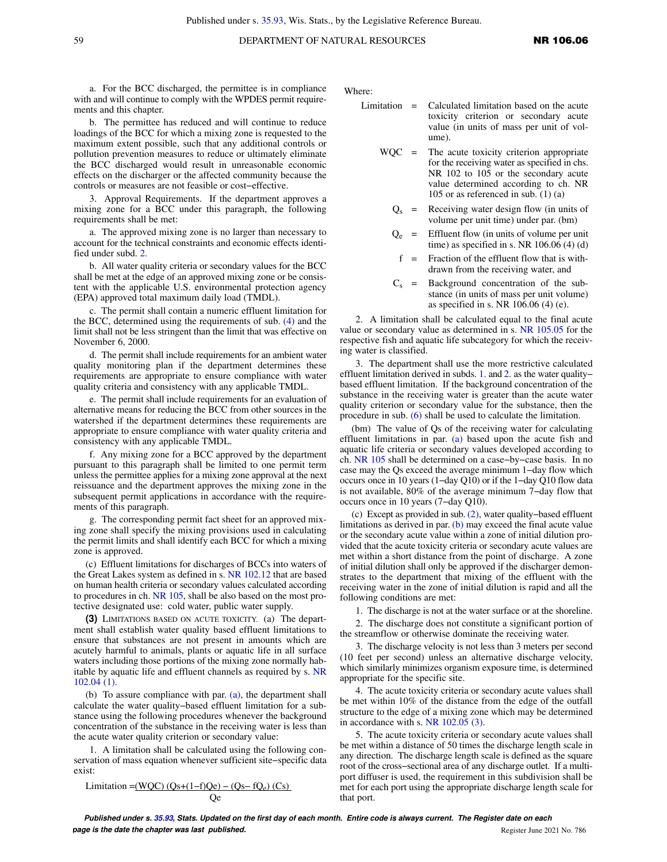a. For the BCC discharged, the permittee is in compliance with and will continue to comply with the WPDES permit requirements and this chapter.

b. The permittee has reduced and will continue to reduce loadings of the BCC for which a mixing zone is requested to the maximum extent possible, such that any additional controls or pollution prevention measures to reduce or ultimately eliminate the BCC discharged would result in unreasonable economic effects on the discharger or the affected community because the controls or measures are not feasible or cost−effective.

3. Approval Requirements. If the department approves a mixing zone for a BCC under this paragraph, the following requirements shall be met:

a. The approved mixing zone is no larger than necessary to account for the technical constraints and economic effects identified under subd. [2.](https://docs.legis.wisconsin.gov/document/administrativecode/NR%20106.06(2)(br)2.)

b. All water quality criteria or secondary values for the BCC shall be met at the edge of an approved mixing zone or be consistent with the applicable U.S. environmental protection agency (EPA) approved total maximum daily load (TMDL).

c. The permit shall contain a numeric effluent limitation for the BCC, determined using the requirements of sub. [\(4\)](https://docs.legis.wisconsin.gov/document/administrativecode/NR%20106.06(4)) and the limit shall not be less stringent than the limit that was effective on November 6, 2000.

d. The permit shall include requirements for an ambient water quality monitoring plan if the department determines these requirements are appropriate to ensure compliance with water quality criteria and consistency with any applicable TMDL.

e. The permit shall include requirements for an evaluation of alternative means for reducing the BCC from other sources in the watershed if the department determines these requirements are appropriate to ensure compliance with water quality criteria and consistency with any applicable TMDL.

f. Any mixing zone for a BCC approved by the department pursuant to this paragraph shall be limited to one permit term unless the permittee applies for a mixing zone approval at the next reissuance and the department approves the mixing zone in the subsequent permit applications in accordance with the requirements of this paragraph.

g. The corresponding permit fact sheet for an approved mixing zone shall specify the mixing provisions used in calculating the permit limits and shall identify each BCC for which a mixing zone is approved.

(c) Effluent limitations for discharges of BCCs into waters of the Great Lakes system as defined in s. [NR 102.12](https://docs.legis.wisconsin.gov/document/administrativecode/NR%20102.12) that are based on human health criteria or secondary values calculated according to procedures in ch. [NR 105](https://docs.legis.wisconsin.gov/document/administrativecode/ch.%20NR%20105), shall be also based on the most protective designated use: cold water, public water supply.

**(3)** LIMITATIONS BASED ON ACUTE TOXICITY. (a) The department shall establish water quality based effluent limitations to ensure that substances are not present in amounts which are acutely harmful to animals, plants or aquatic life in all surface waters including those portions of the mixing zone normally habitable by aquatic life and effluent channels as required by s. [NR](https://docs.legis.wisconsin.gov/document/administrativecode/NR%20102.04(1)) [102.04 \(1\).](https://docs.legis.wisconsin.gov/document/administrativecode/NR%20102.04(1))

(b) To assure compliance with par. [\(a\),](https://docs.legis.wisconsin.gov/document/administrativecode/NR%20106.06(3)(a)) the department shall calculate the water quality−based effluent limitation for a substance using the following procedures whenever the background concentration of the substance in the receiving water is less than the acute water quality criterion or secondary value:

1. A limitation shall be calculated using the following conservation of mass equation whenever sufficient site−specific data exist:

$$
Limitation = (WQC) (Qs + (1 - f)Qe) - (Qs - fQe) (Cs)
$$
  
Qe

Where:

- Limitation = Calculated limitation based on the acute toxicity criterion or secondary acute value (in units of mass per unit of volume).
	- WQC = The acute toxicity criterion appropriate for the receiving water as specified in chs. NR 102 to 105 or the secondary acute value determined according to ch. NR 105 or as referenced in sub. (1) (a)
		- $Q<sub>s</sub>$  = Receiving water design flow (in units of volume per unit time) under par. (bm)
		- $Q_e$  = Effluent flow (in units of volume per unit time) as specified in s. NR  $106.06(4)(d)$
		- $f =$  Fraction of the effluent flow that is withdrawn from the receiving water, and
		- $C_s$  = Background concentration of the substance (in units of mass per unit volume) as specified in s. NR 106.06 (4) (e).

2. A limitation shall be calculated equal to the final acute value or secondary value as determined in s. [NR 105.05](https://docs.legis.wisconsin.gov/document/administrativecode/NR%20105.05) for the respective fish and aquatic life subcategory for which the receiving water is classified.

3. The department shall use the more restrictive calculated effluent limitation derived in subds. [1.](https://docs.legis.wisconsin.gov/document/administrativecode/NR%20106.06(3)(b)1.) and [2.](https://docs.legis.wisconsin.gov/document/administrativecode/NR%20106.06(3)(b)2.) as the water quality− based effluent limitation. If the background concentration of the substance in the receiving water is greater than the acute water quality criterion or secondary value for the substance, then the procedure in sub. [\(6\)](https://docs.legis.wisconsin.gov/document/administrativecode/NR%20106.06(6)) shall be used to calculate the limitation.

(bm) The value of Qs of the receiving water for calculating effluent limitations in par. [\(a\)](https://docs.legis.wisconsin.gov/document/administrativecode/NR%20106.06(3)(a)) based upon the acute fish and aquatic life criteria or secondary values developed according to ch. [NR 105](https://docs.legis.wisconsin.gov/document/administrativecode/ch.%20NR%20105) shall be determined on a case−by−case basis. In no case may the Qs exceed the average minimum 1−day flow which occurs once in 10 years (1−day Q10) or if the 1−day Q10 flow data is not available, 80% of the average minimum 7−day flow that occurs once in 10 years (7−day Q10).

(c) Except as provided in sub. [\(2\),](https://docs.legis.wisconsin.gov/document/administrativecode/NR%20106.06(2)) water quality−based effluent limitations as derived in par. [\(b\)](https://docs.legis.wisconsin.gov/document/administrativecode/NR%20106.06(3)(b)) may exceed the final acute value or the secondary acute value within a zone of initial dilution provided that the acute toxicity criteria or secondary acute values are met within a short distance from the point of discharge. A zone of initial dilution shall only be approved if the discharger demonstrates to the department that mixing of the effluent with the receiving water in the zone of initial dilution is rapid and all the following conditions are met:

1. The discharge is not at the water surface or at the shoreline.

2. The discharge does not constitute a significant portion of the streamflow or otherwise dominate the receiving water.

3. The discharge velocity is not less than 3 meters per second (10 feet per second) unless an alternative discharge velocity, which similarly minimizes organism exposure time, is determined appropriate for the specific site.

4. The acute toxicity criteria or secondary acute values shall be met within 10% of the distance from the edge of the outfall structure to the edge of a mixing zone which may be determined in accordance with s. [NR 102.05 \(3\)](https://docs.legis.wisconsin.gov/document/administrativecode/NR%20102.05(3)).

5. The acute toxicity criteria or secondary acute values shall be met within a distance of 50 times the discharge length scale in any direction. The discharge length scale is defined as the square root of the cross−sectional area of any discharge outlet. If a multiport diffuser is used, the requirement in this subdivision shall be met for each port using the appropriate discharge length scale for that port.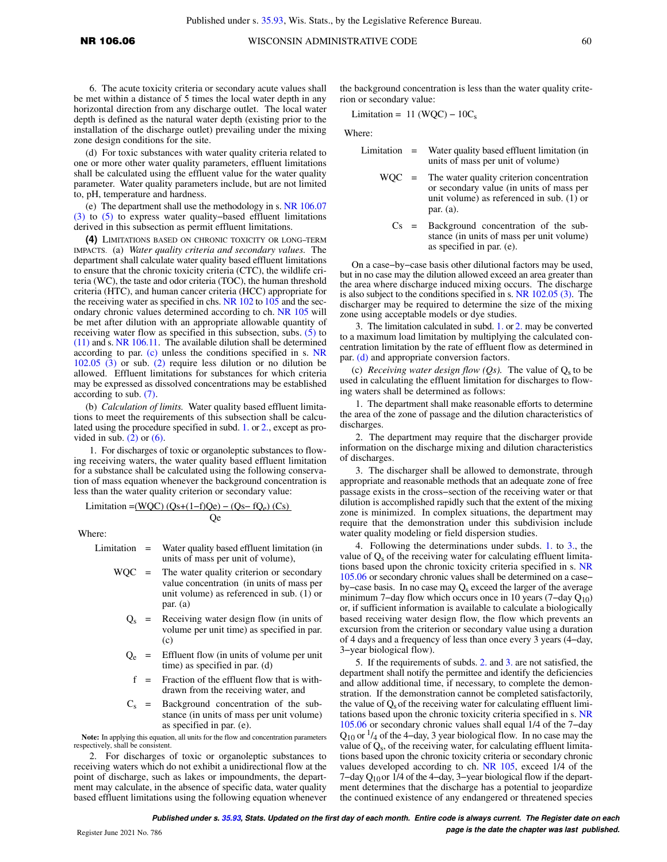6. The acute toxicity criteria or secondary acute values shall be met within a distance of 5 times the local water depth in any horizontal direction from any discharge outlet. The local water depth is defined as the natural water depth (existing prior to the installation of the discharge outlet) prevailing under the mixing zone design conditions for the site.

(d) For toxic substances with water quality criteria related to one or more other water quality parameters, effluent limitations shall be calculated using the effluent value for the water quality parameter. Water quality parameters include, but are not limited to, pH, temperature and hardness.

(e) The department shall use the methodology in s. [NR 106.07](https://docs.legis.wisconsin.gov/document/administrativecode/NR%20106.07(3)) [\(3\)](https://docs.legis.wisconsin.gov/document/administrativecode/NR%20106.07(3)) to [\(5\)](https://docs.legis.wisconsin.gov/document/administrativecode/NR%20106.07(5)) to express water quality−based effluent limitations derived in this subsection as permit effluent limitations.

**(4)** LIMITATIONS BASED ON CHRONIC TOXICITY OR LONG−TERM IMPACTS. (a) *Water quality criteria and secondary values.* The department shall calculate water quality based effluent limitations to ensure that the chronic toxicity criteria (CTC), the wildlife criteria (WC), the taste and odor criteria (TOC), the human threshold criteria (HTC), and human cancer criteria (HCC) appropriate for the receiving water as specified in chs. [NR 102](https://docs.legis.wisconsin.gov/document/administrativecode/ch.%20NR%20102) to [105](https://docs.legis.wisconsin.gov/document/administrativecode/ch.%20NR%20105) and the secondary chronic values determined according to ch. [NR 105](https://docs.legis.wisconsin.gov/document/administrativecode/ch.%20NR%20105) will be met after dilution with an appropriate allowable quantity of receiving water flow as specified in this subsection, subs. [\(5\)](https://docs.legis.wisconsin.gov/document/administrativecode/NR%20106.06(5)) to [\(11\)](https://docs.legis.wisconsin.gov/document/administrativecode/NR%20106.06(11)) and s. [NR 106.11](https://docs.legis.wisconsin.gov/document/administrativecode/NR%20106.11). The available dilution shall be determined according to par. [\(c\)](https://docs.legis.wisconsin.gov/document/administrativecode/NR%20106.06(4)(c)) unless the conditions specified in s. [NR](https://docs.legis.wisconsin.gov/document/administrativecode/NR%20102.05(3)) [102.05 \(3\)](https://docs.legis.wisconsin.gov/document/administrativecode/NR%20102.05(3)) or sub. [\(2\)](https://docs.legis.wisconsin.gov/document/administrativecode/NR%20106.06(2)) require less dilution or no dilution be allowed. Effluent limitations for substances for which criteria may be expressed as dissolved concentrations may be established according to sub. [\(7\).](https://docs.legis.wisconsin.gov/document/administrativecode/NR%20106.06(7))

(b) *Calculation of limits.* Water quality based effluent limitations to meet the requirements of this subsection shall be calculated using the procedure specified in subd. [1.](https://docs.legis.wisconsin.gov/document/administrativecode/NR%20106.06(4)(b)1.) or [2.,](https://docs.legis.wisconsin.gov/document/administrativecode/NR%20106.06(4)(b)2.) except as provided in sub.  $(2)$  or  $(6)$ .

1. For discharges of toxic or organoleptic substances to flowing receiving waters, the water quality based effluent limitation for a substance shall be calculated using the following conservation of mass equation whenever the background concentration is less than the water quality criterion or secondary value:

Limitation =(WQC) (Qs+(1−f)Qe) – (Qs– fQe) (Cs)

Qe

Where:

Limitation = Water quality based effluent limitation (in units of mass per unit of volume),

- $WOC =$  The water quality criterion or secondary value concentration (in units of mass per unit volume) as referenced in sub. (1) or par. (a)
	- $Q<sub>s</sub>$  = Receiving water design flow (in units of volume per unit time) as specified in par.  $(c)$
	- $Q_e$  = Effluent flow (in units of volume per unit time) as specified in par. (d)
	- f = Fraction of the effluent flow that is withdrawn from the receiving water, and
	- $C_s$  = Background concentration of the substance (in units of mass per unit volume) as specified in par. (e).

**Note:** In applying this equation, all units for the flow and concentration parameters respectively, shall be consistent.

2. For discharges of toxic or organoleptic substances to receiving waters which do not exhibit a unidirectional flow at the point of discharge, such as lakes or impoundments, the department may calculate, in the absence of specific data, water quality based effluent limitations using the following equation whenever the background concentration is less than the water quality criterion or secondary value:

Limitation =  $11 (WQC) - 10C<sub>s</sub>$ 

Where:

- Limitation = Water quality based effluent limitation (in units of mass per unit of volume)
	- WQC = The water quality criterion concentration or secondary value (in units of mass per unit volume) as referenced in sub.  $(1)$  or par. (a).
		- Cs = Background concentration of the substance (in units of mass per unit volume) as specified in par. (e).

On a case−by−case basis other dilutional factors may be used, but in no case may the dilution allowed exceed an area greater than the area where discharge induced mixing occurs. The discharge is also subject to the conditions specified in s. [NR 102.05 \(3\).](https://docs.legis.wisconsin.gov/document/administrativecode/NR%20102.05(3)) The discharger may be required to determine the size of the mixing zone using acceptable models or dye studies.

3. The limitation calculated in subd. [1.](https://docs.legis.wisconsin.gov/document/administrativecode/NR%20106.06(4)(b)1.) or [2.](https://docs.legis.wisconsin.gov/document/administrativecode/NR%20106.06(4)(b)2.) may be converted to a maximum load limitation by multiplying the calculated concentration limitation by the rate of effluent flow as determined in par. [\(d\)](https://docs.legis.wisconsin.gov/document/administrativecode/NR%20106.06(4)(d)) and appropriate conversion factors.

(c) *Receiving water design flow (Qs)*. The value of  $Q_s$  to be used in calculating the effluent limitation for discharges to flowing waters shall be determined as follows:

1. The department shall make reasonable efforts to determine the area of the zone of passage and the dilution characteristics of discharges.

2. The department may require that the discharger provide information on the discharge mixing and dilution characteristics of discharges.

3. The discharger shall be allowed to demonstrate, through appropriate and reasonable methods that an adequate zone of free passage exists in the cross−section of the receiving water or that dilution is accomplished rapidly such that the extent of the mixing zone is minimized. In complex situations, the department may require that the demonstration under this subdivision include water quality modeling or field dispersion studies.

4. Following the determinations under subds. [1.](https://docs.legis.wisconsin.gov/document/administrativecode/NR%20106.06(4)(c)1.) to [3.,](https://docs.legis.wisconsin.gov/document/administrativecode/NR%20106.06(4)(c)3.) the value of  $Q_s$  of the receiving water for calculating effluent limitations based upon the chronic toxicity criteria specified in s. [NR](https://docs.legis.wisconsin.gov/document/administrativecode/NR%20105.06) [105.06](https://docs.legis.wisconsin.gov/document/administrativecode/NR%20105.06) or secondary chronic values shall be determined on a case− by−case basis. In no case may Q<sub>s</sub> exceed the larger of the average minimum 7−day flow which occurs once in 10 years (7−day Q10) or, if sufficient information is available to calculate a biologically based receiving water design flow, the flow which prevents an excursion from the criterion or secondary value using a duration of 4 days and a frequency of less than once every 3 years (4−day, 3−year biological flow).

5. If the requirements of subds. [2.](https://docs.legis.wisconsin.gov/document/administrativecode/NR%20106.06(4)(c)2.) and [3.](https://docs.legis.wisconsin.gov/document/administrativecode/NR%20106.06(4)(c)3.) are not satisfied, the department shall notify the permittee and identify the deficiencies and allow additional time, if necessary, to complete the demonstration. If the demonstration cannot be completed satisfactorily, the value of  $Q_s$  of the receiving water for calculating effluent limitations based upon the chronic toxicity criteria specified in s. [NR](https://docs.legis.wisconsin.gov/document/administrativecode/NR%20105.06) [105.06](https://docs.legis.wisconsin.gov/document/administrativecode/NR%20105.06) or secondary chronic values shall equal 1/4 of the 7−day  $Q_{10}$  or  $\frac{1}{4}$  of the 4-day, 3 year biological flow. In no case may the value of Q<sub>s</sub>, of the receiving water, for calculating effluent limitations based upon the chronic toxicity criteria or secondary chronic values developed according to ch. [NR 105,](https://docs.legis.wisconsin.gov/document/administrativecode/ch.%20NR%20105) exceed 1/4 of the 7−day Q10 or 1/4 of the 4−day, 3−year biological flow if the department determines that the discharge has a potential to jeopardize the continued existence of any endangered or threatened species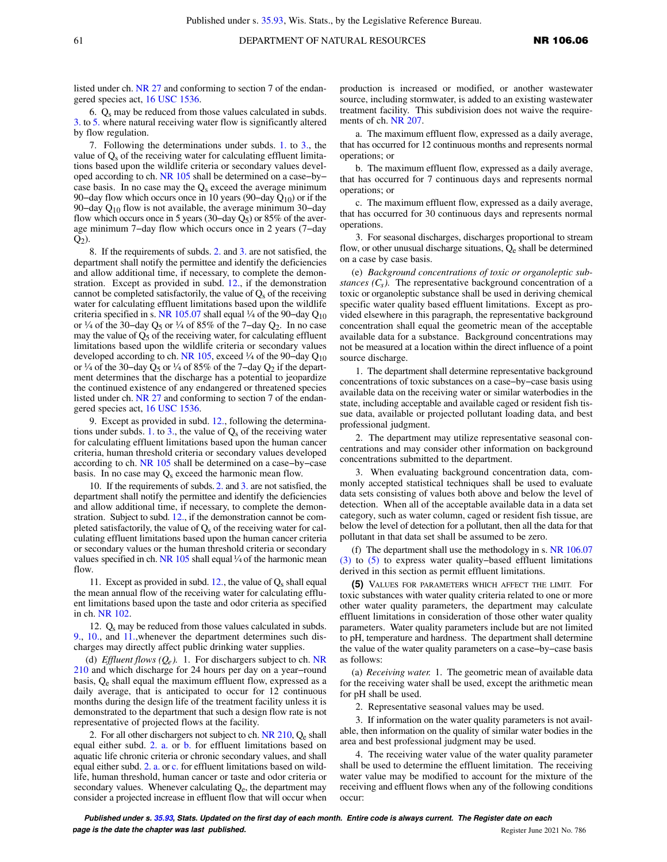listed under ch. [NR 27](https://docs.legis.wisconsin.gov/document/administrativecode/ch.%20NR%2027) and conforming to section 7 of the endangered species act, [16 USC 1536.](https://docs.legis.wisconsin.gov/document/usc/16%20USC%201536)

6.  $Q_s$  may be reduced from those values calculated in subds. [3.](https://docs.legis.wisconsin.gov/document/administrativecode/NR%20106.06(4)(c)3.) to [5.](https://docs.legis.wisconsin.gov/document/administrativecode/NR%20106.06(4)(c)5.) where natural receiving water flow is significantly altered by flow regulation.

7. Following the determinations under subds. [1.](https://docs.legis.wisconsin.gov/document/administrativecode/NR%20106.06(4)(c)1.) to [3.](https://docs.legis.wisconsin.gov/document/administrativecode/NR%20106.06(4)(c)3.), the value of  $Q_s$  of the receiving water for calculating effluent limitations based upon the wildlife criteria or secondary values developed according to ch. [NR 105](https://docs.legis.wisconsin.gov/document/administrativecode/ch.%20NR%20105) shall be determined on a case−by− case basis. In no case may the  $Q_s$  exceed the average minimum 90−day flow which occurs once in 10 years (90−day Q<sub>10</sub>) or if the 90–day  $Q_{10}$  flow is not available, the average minimum 30–day flow which occurs once in 5 years (30–day  $Q_5$ ) or 85% of the average minimum 7−day flow which occurs once in 2 years (7−day  $Q_2$ ).

8. If the requirements of subds. [2.](https://docs.legis.wisconsin.gov/document/administrativecode/NR%20106.06(4)(c)2.) and [3.](https://docs.legis.wisconsin.gov/document/administrativecode/NR%20106.06(4)(c)3.) are not satisfied, the department shall notify the permittee and identify the deficiencies and allow additional time, if necessary, to complete the demonstration. Except as provided in subd. [12.](https://docs.legis.wisconsin.gov/document/administrativecode/NR%20106.06(4)(c)12.), if the demonstration cannot be completed satisfactorily, the value of  $Q_s$  of the receiving water for calculating effluent limitations based upon the wildlife criteria specified in s. [NR 105.07](https://docs.legis.wisconsin.gov/document/administrativecode/NR%20105.07) shall equal ¼ of the 90–day  $Q_{10}$ or ¼ of the 30–day Q<sub>5</sub> or ¼ of 85% of the 7–day Q<sub>2</sub>. In no case may the value of  $Q_5$  of the receiving water, for calculating effluent limitations based upon the wildlife criteria or secondary values developed according to ch. [NR 105](https://docs.legis.wisconsin.gov/document/administrativecode/ch.%20NR%20105), exceed ¼ of the 90−day Q<sup>10</sup> or ¼ of the 30–day Q<sub>5</sub> or ¼ of 85% of the 7–day Q<sub>2</sub> if the department determines that the discharge has a potential to jeopardize the continued existence of any endangered or threatened species listed under ch. [NR 27](https://docs.legis.wisconsin.gov/document/administrativecode/ch.%20NR%2027) and conforming to section 7 of the endangered species act, [16 USC 1536.](https://docs.legis.wisconsin.gov/document/usc/16%20USC%201536)

9. Except as provided in subd. [12.](https://docs.legis.wisconsin.gov/document/administrativecode/NR%20106.06(4)(c)12.), following the determina-tions under subds. [1.](https://docs.legis.wisconsin.gov/document/administrativecode/NR%20106.06(4)(c)1.) to [3.](https://docs.legis.wisconsin.gov/document/administrativecode/NR%20106.06(4)(c)3.), the value of  $Q_s$  of the receiving water for calculating effluent limitations based upon the human cancer criteria, human threshold criteria or secondary values developed according to ch. [NR 105](https://docs.legis.wisconsin.gov/document/administrativecode/ch.%20NR%20105) shall be determined on a case−by−case basis. In no case may  $Q_s$  exceed the harmonic mean flow.

10. If the requirements of subds. [2.](https://docs.legis.wisconsin.gov/document/administrativecode/NR%20106.06(4)(c)2.) and [3.](https://docs.legis.wisconsin.gov/document/administrativecode/NR%20106.06(4)(c)3.) are not satisfied, the department shall notify the permittee and identify the deficiencies and allow additional time, if necessary, to complete the demonstration. Subject to subd. [12.](https://docs.legis.wisconsin.gov/document/administrativecode/NR%20106.06(4)(c)12.), if the demonstration cannot be completed satisfactorily, the value of  $Q_s$  of the receiving water for calculating effluent limitations based upon the human cancer criteria or secondary values or the human threshold criteria or secondary values specified in ch. [NR 105](https://docs.legis.wisconsin.gov/document/administrativecode/ch.%20NR%20105) shall equal  $\frac{1}{4}$  of the harmonic mean flow.

11. Except as provided in subd.  $12$ ., the value of  $Q_s$  shall equal the mean annual flow of the receiving water for calculating effluent limitations based upon the taste and odor criteria as specified in ch. [NR 102.](https://docs.legis.wisconsin.gov/document/administrativecode/ch.%20NR%20102)

12.  $Q_s$  may be reduced from those values calculated in subds. [9.,](https://docs.legis.wisconsin.gov/document/administrativecode/NR%20106.06(4)(c)9.) [10.](https://docs.legis.wisconsin.gov/document/administrativecode/NR%20106.06(4)(c)10.), and [11.](https://docs.legis.wisconsin.gov/document/administrativecode/NR%20106.06(4)(c)11.),whenever the department determines such discharges may directly affect public drinking water supplies.

(d) *Effluent flows*  $(Q_e)$ *.* 1. For dischargers subject to ch. [NR](https://docs.legis.wisconsin.gov/document/administrativecode/ch.%20NR%20210) [210](https://docs.legis.wisconsin.gov/document/administrativecode/ch.%20NR%20210) and which discharge for 24 hours per day on a year−round basis, Q<sub>e</sub> shall equal the maximum effluent flow, expressed as a daily average, that is anticipated to occur for 12 continuous months during the design life of the treatment facility unless it is demonstrated to the department that such a design flow rate is not representative of projected flows at the facility.

2. For all other dischargers not subject to ch.  $NR$  210,  $Q_e$  shall equal either subd. [2. a.](https://docs.legis.wisconsin.gov/document/administrativecode/NR%20106.06(4)(d)2.a.) or [b.](https://docs.legis.wisconsin.gov/document/administrativecode/NR%20106.06(4)(d)2.b.) for effluent limitations based on aquatic life chronic criteria or chronic secondary values, and shall equal either subd. [2. a.](https://docs.legis.wisconsin.gov/document/administrativecode/NR%20106.06(4)(d)2.a.) or [c.](https://docs.legis.wisconsin.gov/document/administrativecode/NR%20106.06(4)(d)2.c.) for effluent limitations based on wildlife, human threshold, human cancer or taste and odor criteria or secondary values. Whenever calculating  $Q_e$ , the department may consider a projected increase in effluent flow that will occur when production is increased or modified, or another wastewater source, including stormwater, is added to an existing wastewater treatment facility. This subdivision does not waive the requirements of ch. [NR 207](https://docs.legis.wisconsin.gov/document/administrativecode/ch.%20NR%20207).

a. The maximum effluent flow, expressed as a daily average, that has occurred for 12 continuous months and represents normal operations; or

b. The maximum effluent flow, expressed as a daily average, that has occurred for 7 continuous days and represents normal operations; or

c. The maximum effluent flow, expressed as a daily average, that has occurred for 30 continuous days and represents normal operations.

3. For seasonal discharges, discharges proportional to stream flow, or other unusual discharge situations,  $Q_e$  shall be determined on a case by case basis.

(e) *Background concentrations of toxic or organoleptic substances (Cs ).* The representative background concentration of a toxic or organoleptic substance shall be used in deriving chemical specific water quality based effluent limitations. Except as provided elsewhere in this paragraph, the representative background concentration shall equal the geometric mean of the acceptable available data for a substance. Background concentrations may not be measured at a location within the direct influence of a point source discharge.

1. The department shall determine representative background concentrations of toxic substances on a case−by−case basis using available data on the receiving water or similar waterbodies in the state, including acceptable and available caged or resident fish tissue data, available or projected pollutant loading data, and best professional judgment.

2. The department may utilize representative seasonal concentrations and may consider other information on background concentrations submitted to the department.

3. When evaluating background concentration data, commonly accepted statistical techniques shall be used to evaluate data sets consisting of values both above and below the level of detection. When all of the acceptable available data in a data set category, such as water column, caged or resident fish tissue, are below the level of detection for a pollutant, then all the data for that pollutant in that data set shall be assumed to be zero.

(f) The department shall use the methodology in s. [NR 106.07](https://docs.legis.wisconsin.gov/document/administrativecode/NR%20106.07(3)) [\(3\)](https://docs.legis.wisconsin.gov/document/administrativecode/NR%20106.07(3)) to [\(5\)](https://docs.legis.wisconsin.gov/document/administrativecode/NR%20106.07(5)) to express water quality−based effluent limitations derived in this section as permit effluent limitations.

**(5)** VALUES FOR PARAMETERS WHICH AFFECT THE LIMIT. For toxic substances with water quality criteria related to one or more other water quality parameters, the department may calculate effluent limitations in consideration of those other water quality parameters. Water quality parameters include but are not limited to pH, temperature and hardness. The department shall determine the value of the water quality parameters on a case−by−case basis as follows:

(a) *Receiving water.* 1. The geometric mean of available data for the receiving water shall be used, except the arithmetic mean for pH shall be used.

2. Representative seasonal values may be used.

3. If information on the water quality parameters is not available, then information on the quality of similar water bodies in the area and best professional judgment may be used.

4. The receiving water value of the water quality parameter shall be used to determine the effluent limitation. The receiving water value may be modified to account for the mixture of the receiving and effluent flows when any of the following conditions occur: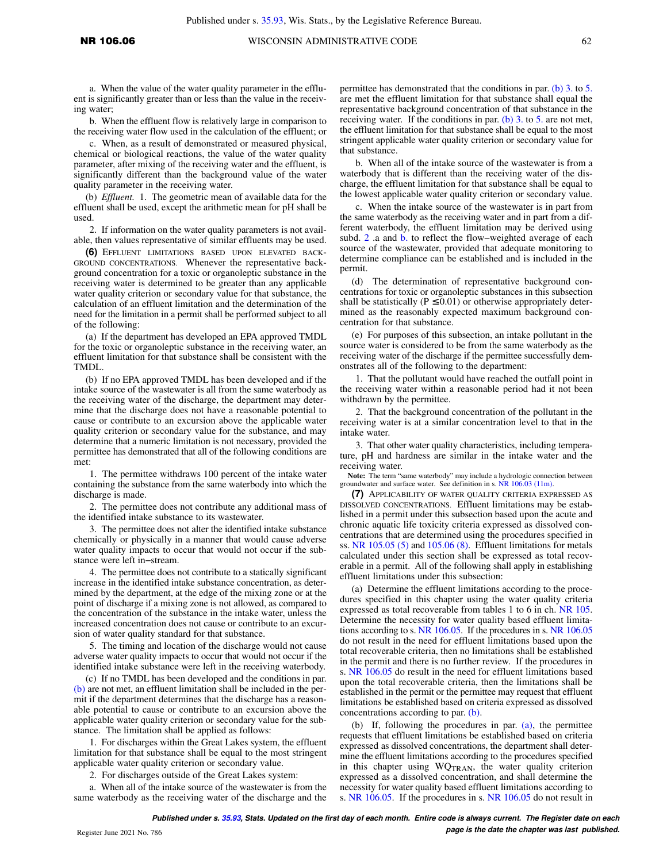a. When the value of the water quality parameter in the effluent is significantly greater than or less than the value in the receiving water;

b. When the effluent flow is relatively large in comparison to the receiving water flow used in the calculation of the effluent; or

c. When, as a result of demonstrated or measured physical, chemical or biological reactions, the value of the water quality parameter, after mixing of the receiving water and the effluent, is significantly different than the background value of the water quality parameter in the receiving water.

(b) *Effluent.* 1. The geometric mean of available data for the effluent shall be used, except the arithmetic mean for pH shall be used.

2. If information on the water quality parameters is not available, then values representative of similar effluents may be used.

**(6)** EFFLUENT LIMITATIONS BASED UPON ELEVATED BACK-GROUND CONCENTRATIONS. Whenever the representative background concentration for a toxic or organoleptic substance in the receiving water is determined to be greater than any applicable water quality criterion or secondary value for that substance, the calculation of an effluent limitation and the determination of the need for the limitation in a permit shall be performed subject to all of the following:

(a) If the department has developed an EPA approved TMDL for the toxic or organoleptic substance in the receiving water, an effluent limitation for that substance shall be consistent with the TMDL.

(b) If no EPA approved TMDL has been developed and if the intake source of the wastewater is all from the same waterbody as the receiving water of the discharge, the department may determine that the discharge does not have a reasonable potential to cause or contribute to an excursion above the applicable water quality criterion or secondary value for the substance, and may determine that a numeric limitation is not necessary, provided the permittee has demonstrated that all of the following conditions are met:

1. The permittee withdraws 100 percent of the intake water containing the substance from the same waterbody into which the discharge is made.

2. The permittee does not contribute any additional mass of the identified intake substance to its wastewater.

3. The permittee does not alter the identified intake substance chemically or physically in a manner that would cause adverse water quality impacts to occur that would not occur if the substance were left in−stream.

4. The permittee does not contribute to a statically significant increase in the identified intake substance concentration, as determined by the department, at the edge of the mixing zone or at the point of discharge if a mixing zone is not allowed, as compared to the concentration of the substance in the intake water, unless the increased concentration does not cause or contribute to an excursion of water quality standard for that substance.

5. The timing and location of the discharge would not cause adverse water quality impacts to occur that would not occur if the identified intake substance were left in the receiving waterbody.

(c) If no TMDL has been developed and the conditions in par. [\(b\)](https://docs.legis.wisconsin.gov/document/administrativecode/NR%20106.06(6)(b)) are not met, an effluent limitation shall be included in the permit if the department determines that the discharge has a reasonable potential to cause or contribute to an excursion above the applicable water quality criterion or secondary value for the substance. The limitation shall be applied as follows:

1. For discharges within the Great Lakes system, the effluent limitation for that substance shall be equal to the most stringent applicable water quality criterion or secondary value.

2. For discharges outside of the Great Lakes system:

a. When all of the intake source of the wastewater is from the same waterbody as the receiving water of the discharge and the permittee has demonstrated that the conditions in par. [\(b\) 3.](https://docs.legis.wisconsin.gov/document/administrativecode/NR%20106.06(6)(b)3.) to [5.](https://docs.legis.wisconsin.gov/document/administrativecode/NR%20106.06(6)(b)5.) are met the effluent limitation for that substance shall equal the representative background concentration of that substance in the receiving water. If the conditions in par. [\(b\) 3.](https://docs.legis.wisconsin.gov/document/administrativecode/NR%20106.06(6)(b)3.) to [5.](https://docs.legis.wisconsin.gov/document/administrativecode/NR%20106.06(6)(b)5.) are not met, the effluent limitation for that substance shall be equal to the most stringent applicable water quality criterion or secondary value for that substance.

b. When all of the intake source of the wastewater is from a waterbody that is different than the receiving water of the discharge, the effluent limitation for that substance shall be equal to the lowest applicable water quality criterion or secondary value.

c. When the intake source of the wastewater is in part from the same waterbody as the receiving water and in part from a different waterbody, the effluent limitation may be derived using subd. [2](https://docs.legis.wisconsin.gov/document/administrativecode/NR%20106.06(6)(c)2.) .a and [b.](https://docs.legis.wisconsin.gov/document/administrativecode/NR%20106.06(6)(c)2.b.) to reflect the flow−weighted average of each source of the wastewater, provided that adequate monitoring to determine compliance can be established and is included in the permit.

(d) The determination of representative background concentrations for toxic or organoleptic substances in this subsection shall be statistically ( $P \le 0.01$ ) or otherwise appropriately determined as the reasonably expected maximum background concentration for that substance.

(e) For purposes of this subsection, an intake pollutant in the source water is considered to be from the same waterbody as the receiving water of the discharge if the permittee successfully demonstrates all of the following to the department:

1. That the pollutant would have reached the outfall point in the receiving water within a reasonable period had it not been withdrawn by the permittee.

2. That the background concentration of the pollutant in the receiving water is at a similar concentration level to that in the intake water.

3. That other water quality characteristics, including temperature, pH and hardness are similar in the intake water and the receiving water.

**Note:** The term "same waterbody" may include a hydrologic connection between groundwater and surface water. See definition in s. [NR 106.03 \(11m\)](https://docs.legis.wisconsin.gov/document/administrativecode/NR%20106.03(11m)).

**(7)** APPLICABILITY OF WATER QUALITY CRITERIA EXPRESSED AS DISSOLVED CONCENTRATIONS. Effluent limitations may be established in a permit under this subsection based upon the acute and chronic aquatic life toxicity criteria expressed as dissolved concentrations that are determined using the procedures specified in ss. NR 105.05  $(5)$  and 105.06  $(8)$ . Effluent limitations for metals calculated under this section shall be expressed as total recoverable in a permit. All of the following shall apply in establishing effluent limitations under this subsection:

(a) Determine the effluent limitations according to the procedures specified in this chapter using the water quality criteria expressed as total recoverable from tables 1 to 6 in ch. [NR 105.](https://docs.legis.wisconsin.gov/document/administrativecode/ch.%20NR%20105) Determine the necessity for water quality based effluent limitations according to s. [NR 106.05](https://docs.legis.wisconsin.gov/document/administrativecode/NR%20106.05). If the procedures in s. [NR 106.05](https://docs.legis.wisconsin.gov/document/administrativecode/NR%20106.05) do not result in the need for effluent limitations based upon the total recoverable criteria, then no limitations shall be established in the permit and there is no further review. If the procedures in s. [NR 106.05](https://docs.legis.wisconsin.gov/document/administrativecode/NR%20106.05) do result in the need for effluent limitations based upon the total recoverable criteria, then the limitations shall be established in the permit or the permittee may request that effluent limitations be established based on criteria expressed as dissolved concentrations according to par. [\(b\).](https://docs.legis.wisconsin.gov/document/administrativecode/NR%20106.06(7)(b))

(b) If, following the procedures in par. [\(a\)](https://docs.legis.wisconsin.gov/document/administrativecode/NR%20106.06(7)(a)), the permittee requests that effluent limitations be established based on criteria expressed as dissolved concentrations, the department shall determine the effluent limitations according to the procedures specified in this chapter using  $WQ_{TRAN}$ , the water quality criterion expressed as a dissolved concentration, and shall determine the necessity for water quality based effluent limitations according to s. [NR 106.05.](https://docs.legis.wisconsin.gov/document/administrativecode/NR%20106.05) If the procedures in s. [NR 106.05](https://docs.legis.wisconsin.gov/document/administrativecode/NR%20106.05) do not result in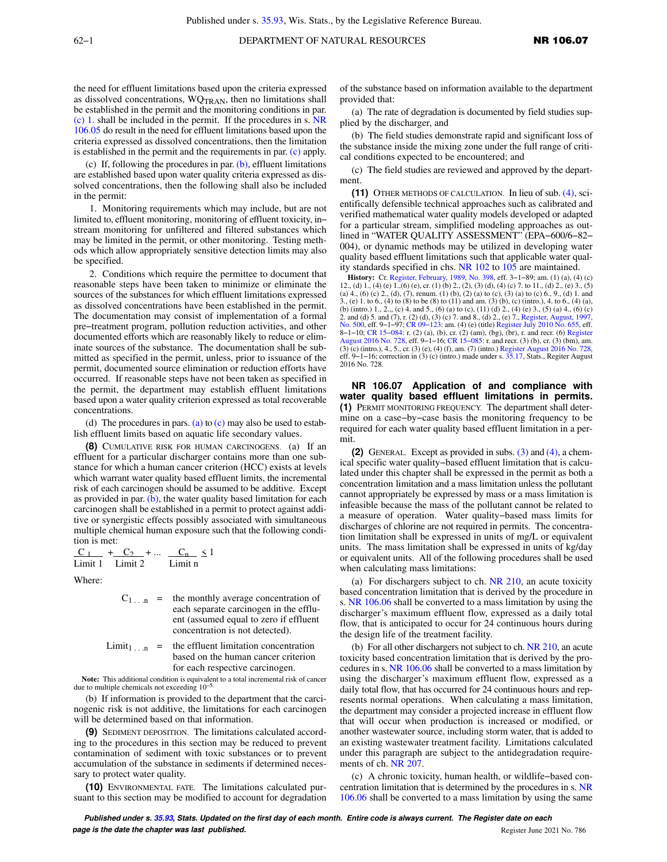the need for effluent limitations based upon the criteria expressed as dissolved concentrations, WQTRAN, then no limitations shall be established in the permit and the monitoring conditions in par. [\(c\) 1.](https://docs.legis.wisconsin.gov/document/administrativecode/NR%20106.06(7)(c)1.) shall be included in the permit. If the procedures in s. [NR](https://docs.legis.wisconsin.gov/document/administrativecode/NR%20106.05) [106.05](https://docs.legis.wisconsin.gov/document/administrativecode/NR%20106.05) do result in the need for effluent limitations based upon the criteria expressed as dissolved concentrations, then the limitation is established in the permit and the requirements in par. [\(c\)](https://docs.legis.wisconsin.gov/document/administrativecode/NR%20106.06(7)(c)) apply.

(c) If, following the procedures in par.  $(b)$ , effluent limitations are established based upon water quality criteria expressed as dissolved concentrations, then the following shall also be included in the permit:

1. Monitoring requirements which may include, but are not limited to, effluent monitoring, monitoring of effluent toxicity, in− stream monitoring for unfiltered and filtered substances which may be limited in the permit, or other monitoring. Testing methods which allow appropriately sensitive detection limits may also be specified.

2. Conditions which require the permittee to document that reasonable steps have been taken to minimize or eliminate the sources of the substances for which effluent limitations expressed as dissolved concentrations have been established in the permit. The documentation may consist of implementation of a formal pre−treatment program, pollution reduction activities, and other documented efforts which are reasonably likely to reduce or eliminate sources of the substance. The documentation shall be submitted as specified in the permit, unless, prior to issuance of the permit, documented source elimination or reduction efforts have occurred. If reasonable steps have not been taken as specified in the permit, the department may establish effluent limitations based upon a water quality criterion expressed as total recoverable concentrations.

(d) The procedures in pars. [\(a\)](https://docs.legis.wisconsin.gov/document/administrativecode/NR%20106.06(7)(a)) to  $(c)$  may also be used to establish effluent limits based on aquatic life secondary values.

**(8)** CUMULATIVE RISK FOR HUMAN CARCINOGENS. (a) If an effluent for a particular discharger contains more than one substance for which a human cancer criterion (HCC) exists at levels which warrant water quality based effluent limits, the incremental risk of each carcinogen should be assumed to be additive. Except as provided in par.  $(b)$ , the water quality based limitation for each carcinogen shall be established in a permit to protect against additive or synergistic effects possibly associated with simultaneous multiple chemical human exposure such that the following condition is met:

$$
\frac{C_1}{\text{Limit 1}} + \frac{C_2}{\text{Limit 2}} + \dots \frac{C_n}{\text{Limit n}} \le 1
$$

Where:

$$
C_{1...n}
$$
 = the monthly average concentration of each separate carcinoma in the efflu-  
\nent (assumed equal to zero if effluent concentration is not detected).

Limit<sub>1 . .</sub>. n = the effluent limitation concentration based on the human cancer criterion for each respective carcinogen.

**Note:** This additional condition is equivalent to a total incremental risk of cancer due to multiple chemicals not exceeding 10−5.

(b) If information is provided to the department that the carcinogenic risk is not additive, the limitations for each carcinogen will be determined based on that information.

**(9)** SEDIMENT DEPOSITION. The limitations calculated according to the procedures in this section may be reduced to prevent contamination of sediment with toxic substances or to prevent accumulation of the substance in sediments if determined necessary to protect water quality.

**(10)** ENVIRONMENTAL FATE. The limitations calculated pursuant to this section may be modified to account for degradation

of the substance based on information available to the department provided that:

(a) The rate of degradation is documented by field studies supplied by the discharger, and

(b) The field studies demonstrate rapid and significant loss of the substance inside the mixing zone under the full range of critical conditions expected to be encountered; and

(c) The field studies are reviewed and approved by the department.

**(11)** OTHER METHODS OF CALCULATION. In lieu of sub. [\(4\)](https://docs.legis.wisconsin.gov/document/administrativecode/NR%20106.06(4)), scientifically defensible technical approaches such as calibrated and verified mathematical water quality models developed or adapted for a particular stream, simplified modeling approaches as outlined in "WATER QUALITY ASSESSMENT" (EPA−600/6−82− 004), or dynamic methods may be utilized in developing water quality based effluent limitations such that applicable water quality standards specified in chs. [NR 102](https://docs.legis.wisconsin.gov/document/administrativecode/ch.%20NR%20102) to [105](https://docs.legis.wisconsin.gov/document/administrativecode/ch.%20NR%20105) are maintained.

**History:** Cr. [Register, February, 1989, No. 398](https://docs.legis.wisconsin.gov/document/register/398/B/toc), eff. 3–1–89; am. (1) (a), (4) (c) 1., (4) (e) 1., (4) (e) 1., (6) e), cr. (1) (b) 2., (2), (3) (d), (4) (c) 7. to 11., (d) 2., (e) 3., (5) (a) 4., (6) (c) 2., (d), (7), renum. (1) (b), (2) (a) to (c), (3) (a) to (c) 6., 9., (d) 1. and 3., (e) 1. to 6., (4) to (8) to be (8) to (11) and am. (3) (b), (c) (intro.), 4. to 6., (4) (a), (b) (intro.) 1., 2.,, (c) 4. and 5., (6) (a) to (c), (11) (d) 2., (4) (e) 3., (5) (a) 4., (6) (c) 2. and (d) 5. and (7), r. (2) (d), (3) (c) 7. and 8., (d) 2., (e) 7., [Register, August, 1997,](https://docs.legis.wisconsin.gov/document/register/500/B/toc) [No. 500](https://docs.legis.wisconsin.gov/document/register/500/B/toc), eff. 9–1–97; CR 09–123: am. (4) (e) (title) [Register July 2010 No. 655,](https://docs.legis.wisconsin.gov/document/register/655/B/toc) eff. 8−1−10; [CR 15−084:](https://docs.legis.wisconsin.gov/document/cr/2015/84) r. (2) (a), (b), cr. (2) (am), (bg), (br), r. and recr. (6) [Register](https://docs.legis.wisconsin.gov/document/register/728/B/toc) [August 2016 No. 728](https://docs.legis.wisconsin.gov/document/register/728/B/toc), eff. 9−1−16; [CR 15−085:](https://docs.legis.wisconsin.gov/document/cr/2015/85) r. and recr. (3) (b), cr. (3) (bm), am.  $(3)$  (c) (intro.), 4., 5., cr. (3) (e), (4) (f), am. (7) (intro.) [Register August 2016 No. 728](https://docs.legis.wisconsin.gov/document/register/728/B/toc). eff. 9−1−16; correction in (3) (c) (intro.) made under s. [35.17](https://docs.legis.wisconsin.gov/document/statutes/35.17), Stats., Regiter August 2016 No. 728.

**NR 106.07 Application of and compliance with water quality based effluent limitations in permits. (1)** PERMIT MONITORING FREQUENCY. The department shall determine on a case−by−case basis the monitoring frequency to be required for each water quality based effluent limitation in a permit.

**(2)** GENERAL. Except as provided in subs. [\(3\)](https://docs.legis.wisconsin.gov/document/administrativecode/NR%20106.07(3)) and [\(4\)](https://docs.legis.wisconsin.gov/document/administrativecode/NR%20106.07(4)), a chemical specific water quality−based effluent limitation that is calculated under this chapter shall be expressed in the permit as both a concentration limitation and a mass limitation unless the pollutant cannot appropriately be expressed by mass or a mass limitation is infeasible because the mass of the pollutant cannot be related to a measure of operation. Water quality−based mass limits for discharges of chlorine are not required in permits. The concentration limitation shall be expressed in units of mg/L or equivalent units. The mass limitation shall be expressed in units of kg/day or equivalent units. All of the following procedures shall be used when calculating mass limitations:

(a) For dischargers subject to ch. [NR 210](https://docs.legis.wisconsin.gov/document/administrativecode/ch.%20NR%20210), an acute toxicity based concentration limitation that is derived by the procedure in s. [NR 106.06](https://docs.legis.wisconsin.gov/document/administrativecode/NR%20106.06) shall be converted to a mass limitation by using the discharger's maximum effluent flow, expressed as a daily total flow, that is anticipated to occur for 24 continuous hours during the design life of the treatment facility.

(b) For all other dischargers not subject to ch. [NR 210](https://docs.legis.wisconsin.gov/document/administrativecode/ch.%20NR%20210), an acute toxicity based concentration limitation that is derived by the procedures in s. [NR 106.06](https://docs.legis.wisconsin.gov/document/administrativecode/NR%20106.06) shall be converted to a mass limitation by using the discharger's maximum effluent flow, expressed as a daily total flow, that has occurred for 24 continuous hours and represents normal operations. When calculating a mass limitation, the department may consider a projected increase in effluent flow that will occur when production is increased or modified, or another wastewater source, including storm water, that is added to an existing wastewater treatment facility. Limitations calculated under this paragraph are subject to the antidegradation requirements of ch. [NR 207](https://docs.legis.wisconsin.gov/document/administrativecode/ch.%20NR%20207).

(c) A chronic toxicity, human health, or wildlife−based concentration limitation that is determined by the procedures in s. [NR](https://docs.legis.wisconsin.gov/document/administrativecode/NR%20106.06) [106.06](https://docs.legis.wisconsin.gov/document/administrativecode/NR%20106.06) shall be converted to a mass limitation by using the same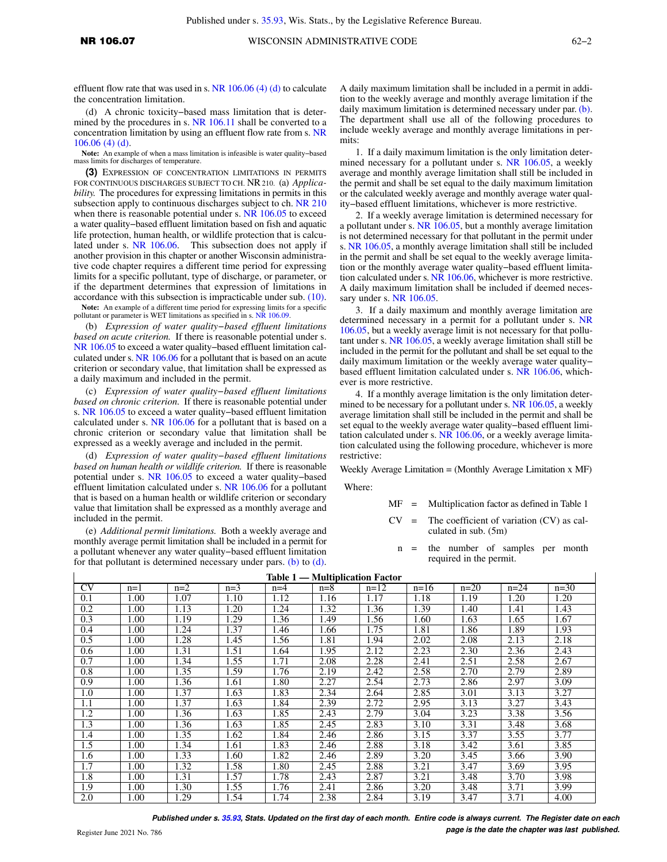effluent flow rate that was used in s. NR  $106.06$  (4) (d) to calculate the concentration limitation.

(d) A chronic toxicity−based mass limitation that is deter-mined by the procedures in s. [NR 106.11](https://docs.legis.wisconsin.gov/document/administrativecode/NR%20106.11) shall be converted to a concentration limitation by using an effluent flow rate from s. [NR](https://docs.legis.wisconsin.gov/document/administrativecode/NR%20106.06(4)(d)) [106.06 \(4\) \(d\)](https://docs.legis.wisconsin.gov/document/administrativecode/NR%20106.06(4)(d)).

**Note:** An example of when a mass limitation is infeasible is water quality−based mass limits for discharges of temperature.

**(3)** EXPRESSION OF CONCENTRATION LIMITATIONS IN PERMITS FOR CONTINUOUS DISCHARGES SUBJECT TO CH. NR210. (a) *Applicability.* The procedures for expressing limitations in permits in this subsection apply to continuous discharges subject to ch. [NR 210](https://docs.legis.wisconsin.gov/document/administrativecode/ch.%20NR%20210) when there is reasonable potential under s. [NR 106.05](https://docs.legis.wisconsin.gov/document/administrativecode/NR%20106.05) to exceed a water quality−based effluent limitation based on fish and aquatic life protection, human health, or wildlife protection that is calculated under s. [NR 106.06.](https://docs.legis.wisconsin.gov/document/administrativecode/NR%20106.06) This subsection does not apply if another provision in this chapter or another Wisconsin administrative code chapter requires a different time period for expressing limits for a specific pollutant, type of discharge, or parameter, or if the department determines that expression of limitations in accordance with this subsection is impracticable under sub. [\(10\).](https://docs.legis.wisconsin.gov/document/administrativecode/NR%20106.07(10)) Note: An example of a different time period for expressing limits for a specific pollutant or parameter is WET limitations as specified in s. [NR 106.09](https://docs.legis.wisconsin.gov/document/administrativecode/NR%20106.09).

(b) *Expression of water quality−based effluent limitations based on acute criterion.* If there is reasonable potential under s. [NR 106.05](https://docs.legis.wisconsin.gov/document/administrativecode/NR%20106.05) to exceed a water quality−based effluent limitation calculated under s. [NR 106.06](https://docs.legis.wisconsin.gov/document/administrativecode/NR%20106.06) for a pollutant that is based on an acute criterion or secondary value, that limitation shall be expressed as a daily maximum and included in the permit.

(c) *Expression of water quality−based effluent limitations based on chronic criterion.* If there is reasonable potential under s. [NR 106.05](https://docs.legis.wisconsin.gov/document/administrativecode/NR%20106.05) to exceed a water quality−based effluent limitation calculated under s. [NR 106.06](https://docs.legis.wisconsin.gov/document/administrativecode/NR%20106.06) for a pollutant that is based on a chronic criterion or secondary value that limitation shall be expressed as a weekly average and included in the permit.

(d) *Expression of water quality−based effluent limitations based on human health or wildlife criterion.* If there is reasonable potential under s. [NR 106.05](https://docs.legis.wisconsin.gov/document/administrativecode/NR%20106.05) to exceed a water quality−based effluent limitation calculated under s. [NR 106.06](https://docs.legis.wisconsin.gov/document/administrativecode/NR%20106.06) for a pollutant that is based on a human health or wildlife criterion or secondary value that limitation shall be expressed as a monthly average and included in the permit.

(e) *Additional permit limitations.* Both a weekly average and monthly average permit limitation shall be included in a permit for a pollutant whenever any water quality−based effluent limitation for that pollutant is determined necessary under pars.  $(b)$  to  $(d)$ . A daily maximum limitation shall be included in a permit in addition to the weekly average and monthly average limitation if the daily maximum limitation is determined necessary under par. [\(b\).](https://docs.legis.wisconsin.gov/document/administrativecode/NR%20106.07(3)(b)) The department shall use all of the following procedures to include weekly average and monthly average limitations in permits:

1. If a daily maximum limitation is the only limitation deter-mined necessary for a pollutant under s. [NR 106.05,](https://docs.legis.wisconsin.gov/document/administrativecode/NR%20106.05) a weekly average and monthly average limitation shall still be included in the permit and shall be set equal to the daily maximum limitation or the calculated weekly average and monthly average water quality−based effluent limitations, whichever is more restrictive.

2. If a weekly average limitation is determined necessary for a pollutant under s. [NR 106.05,](https://docs.legis.wisconsin.gov/document/administrativecode/NR%20106.05) but a monthly average limitation is not determined necessary for that pollutant in the permit under s. [NR 106.05](https://docs.legis.wisconsin.gov/document/administrativecode/NR%20106.05), a monthly average limitation shall still be included in the permit and shall be set equal to the weekly average limitation or the monthly average water quality−based effluent limitation calculated under s. [NR 106.06,](https://docs.legis.wisconsin.gov/document/administrativecode/NR%20106.06) whichever is more restrictive. A daily maximum limitation shall be included if deemed neces-sary under s. [NR 106.05](https://docs.legis.wisconsin.gov/document/administrativecode/NR%20106.05).

3. If a daily maximum and monthly average limitation are determined necessary in a permit for a pollutant under s. [NR](https://docs.legis.wisconsin.gov/document/administrativecode/NR%20106.05) [106.05](https://docs.legis.wisconsin.gov/document/administrativecode/NR%20106.05), but a weekly average limit is not necessary for that pollutant under s. [NR 106.05,](https://docs.legis.wisconsin.gov/document/administrativecode/NR%20106.05) a weekly average limitation shall still be included in the permit for the pollutant and shall be set equal to the daily maximum limitation or the weekly average water quality− based effluent limitation calculated under s. [NR 106.06](https://docs.legis.wisconsin.gov/document/administrativecode/NR%20106.06), whichever is more restrictive.

4. If a monthly average limitation is the only limitation deter-mined to be necessary for a pollutant under s. [NR 106.05](https://docs.legis.wisconsin.gov/document/administrativecode/NR%20106.05), a weekly average limitation shall still be included in the permit and shall be set equal to the weekly average water quality−based effluent limitation calculated under s. [NR 106.06,](https://docs.legis.wisconsin.gov/document/administrativecode/NR%20106.06) or a weekly average limitation calculated using the following procedure, whichever is more restrictive:

Weekly Average Limitation = (Monthly Average Limitation x MF)

Where:

- MF = Multiplication factor as defined in Table 1
- $CV =$  The coefficient of variation  $(CV)$  as calculated in sub. (5m)
	- n = the number of samples per month required in the permit.

| <b>Table 1 — Multiplication Factor</b> |       |       |       |       |       |        |        |        |        |        |
|----------------------------------------|-------|-------|-------|-------|-------|--------|--------|--------|--------|--------|
| $\overline{\rm CV}$                    | $n=1$ | $n=2$ | $n=3$ | $n=4$ | $n=8$ | $n=12$ | $n=16$ | $n=20$ | $n=24$ | $n=30$ |
| 0.1                                    | 1.00  | 1.07  | 1.10  | 1.12  | 1.16  | 1.17   | 1.18   | 1.19   | 1.20   | 1.20   |
| 0.2                                    | 1.00  | 1.13  | 1.20  | 1.24  | 1.32  | 1.36   | 1.39   | 1.40   | 1.41   | 1.43   |
| 0.3                                    | 1.00  | 1.19  | 1.29  | 1.36  | 1.49  | 1.56   | 1.60   | 1.63   | 1.65   | 1.67   |
| 0.4                                    | 1.00  | 1.24  | 1.37  | 1.46  | 1.66  | 1.75   | 1.81   | 1.86   | 1.89   | 1.93   |
| 0.5                                    | 1.00  | 1.28  | 1.45  | 1.56  | 1.81  | 1.94   | 2.02   | 2.08   | 2.13   | 2.18   |
| 0.6                                    | 1.00  | 1.31  | 1.51  | 1.64  | 1.95  | 2.12   | 2.23   | 2.30   | 2.36   | 2.43   |
| 0.7                                    | 1.00  | 1.34  | 1.55  | 1.71  | 2.08  | 2.28   | 2.41   | 2.51   | 2.58   | 2.67   |
| 0.8                                    | 1.00  | 1.35  | 1.59  | 1.76  | 2.19  | 2.42   | 2.58   | 2.70   | 2.79   | 2.89   |
| 0.9                                    | 1.00  | 1.36  | 1.61  | 1.80  | 2.27  | 2.54   | 2.73   | 2.86   | 2.97   | 3.09   |
| 1.0                                    | 1.00  | 1.37  | 1.63  | 1.83  | 2.34  | 2.64   | 2.85   | 3.01   | 3.13   | 3.27   |
| 1.1                                    | 1.00  | 1.37  | 1.63  | 1.84  | 2.39  | 2.72   | 2.95   | 3.13   | 3.27   | 3.43   |
| 1.2                                    | 1.00  | 1.36  | 1.63  | 1.85  | 2.43  | 2.79   | 3.04   | 3.23   | 3.38   | 3.56   |
| 1.3                                    | 1.00  | 1.36  | 1.63  | 1.85  | 2.45  | 2.83   | 3.10   | 3.31   | 3.48   | 3.68   |
| 1.4                                    | 1.00  | 1.35  | 1.62  | 1.84  | 2.46  | 2.86   | 3.15   | 3.37   | 3.55   | 3.77   |
| 1.5                                    | 1.00  | 1.34  | 1.61  | 1.83  | 2.46  | 2.88   | 3.18   | 3.42   | 3.61   | 3.85   |
| 1.6                                    | 1.00  | 1.33  | 1.60  | 1.82  | 2.46  | 2.89   | 3.20   | 3.45   | 3.66   | 3.90   |
| 1.7                                    | 1.00  | 1.32  | 1.58  | 1.80  | 2.45  | 2.88   | 3.21   | 3.47   | 3.69   | 3.95   |
| 1.8                                    | 1.00  | 1.31  | 1.57  | 1.78  | 2.43  | 2.87   | 3.21   | 3.48   | 3.70   | 3.98   |
| 1.9                                    | 1.00  | 1.30  | 1.55  | 1.76  | 2.41  | 2.86   | 3.20   | 3.48   | 3.71   | 3.99   |
| 2.0                                    | 1.00  | 1.29  | 1.54  | 1.74  | 2.38  | 2.84   | 3.19   | 3.47   | 3.71   | 4.00   |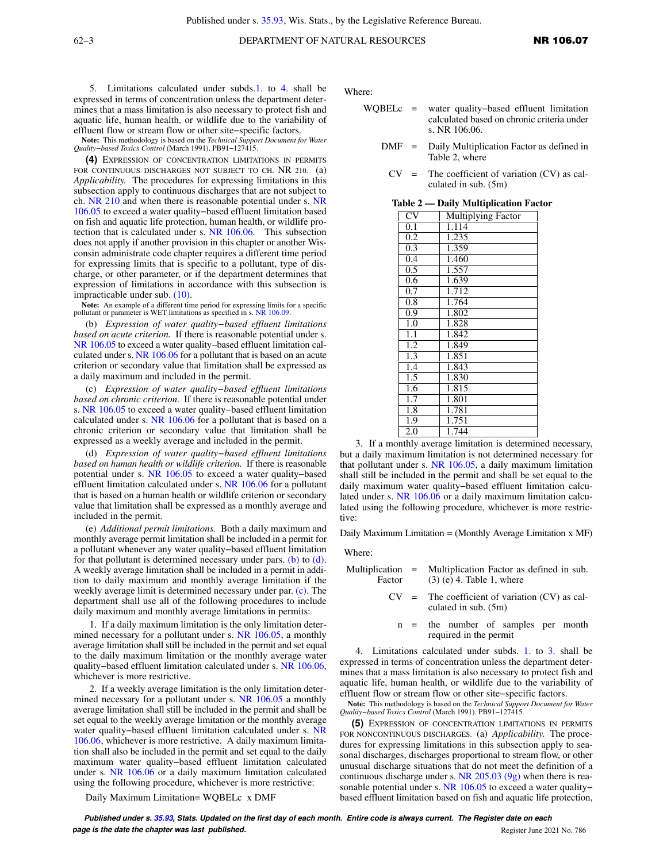5. Limitations calculated under subds.[1.](https://docs.legis.wisconsin.gov/document/administrativecode/NR%20106.07(3)(e)1.) to [4.](https://docs.legis.wisconsin.gov/document/administrativecode/NR%20106.07(3)(e)4.) shall be expressed in terms of concentration unless the department determines that a mass limitation is also necessary to protect fish and aquatic life, human health, or wildlife due to the variability of effluent flow or stream flow or other site−specific factors.

**Note:** This methodology is based on the *Technical Support Document for Water Quality−based Toxics Control* (March 1991). PB91−127415.

**(4)** EXPRESSION OF CONCENTRATION LIMITATIONS IN PERMITS FOR CONTINUOUS DISCHARGES NOT SUBJECT TO CH. NR 210. (a) *Applicability.* The procedures for expressing limitations in this subsection apply to continuous discharges that are not subject to ch. [NR 210](https://docs.legis.wisconsin.gov/document/administrativecode/ch.%20NR%20210) and when there is reasonable potential under s. [NR](https://docs.legis.wisconsin.gov/document/administrativecode/NR%20106.05) [106.05](https://docs.legis.wisconsin.gov/document/administrativecode/NR%20106.05) to exceed a water quality−based effluent limitation based on fish and aquatic life protection, human health, or wildlife protection that is calculated under s. [NR 106.06](https://docs.legis.wisconsin.gov/document/administrativecode/NR%20106.06). This subsection does not apply if another provision in this chapter or another Wisconsin administrate code chapter requires a different time period for expressing limits that is specific to a pollutant, type of discharge, or other parameter, or if the department determines that expression of limitations in accordance with this subsection is impracticable under sub. [\(10\)](https://docs.legis.wisconsin.gov/document/administrativecode/NR%20106.07(10)).

Note: An example of a different time period for expressing limits for a specific pollutant or parameter is WET limitations as specified in s. [NR 106.09](https://docs.legis.wisconsin.gov/document/administrativecode/NR%20106.09).

(b) *Expression of water quality−based effluent limitations based on acute criterion.* If there is reasonable potential under s. [NR 106.05](https://docs.legis.wisconsin.gov/document/administrativecode/NR%20106.05) to exceed a water quality−based effluent limitation calculated under s. [NR 106.06](https://docs.legis.wisconsin.gov/document/administrativecode/NR%20106.06) for a pollutant that is based on an acute criterion or secondary value that limitation shall be expressed as a daily maximum and included in the permit.

(c) *Expression of water quality−based effluent limitations based on chronic criterion.* If there is reasonable potential under s. [NR 106.05](https://docs.legis.wisconsin.gov/document/administrativecode/NR%20106.05) to exceed a water quality−based effluent limitation calculated under s. [NR 106.06](https://docs.legis.wisconsin.gov/document/administrativecode/NR%20106.06) for a pollutant that is based on a chronic criterion or secondary value that limitation shall be expressed as a weekly average and included in the permit.

(d) *Expression of water quality−based effluent limitations based on human health or wildlife criterion.* If there is reasonable potential under s. [NR 106.05](https://docs.legis.wisconsin.gov/document/administrativecode/NR%20106.05) to exceed a water quality−based effluent limitation calculated under s. [NR 106.06](https://docs.legis.wisconsin.gov/document/administrativecode/NR%20106.06) for a pollutant that is based on a human health or wildlife criterion or secondary value that limitation shall be expressed as a monthly average and included in the permit.

(e) *Additional permit limitations.* Both a daily maximum and monthly average permit limitation shall be included in a permit for a pollutant whenever any water quality−based effluent limitation for that pollutant is determined necessary under pars. [\(b\)](https://docs.legis.wisconsin.gov/document/administrativecode/NR%20106.07(4)(b)) to  $(d)$ . A weekly average limitation shall be included in a permit in addition to daily maximum and monthly average limitation if the weekly average limit is determined necessary under par. [\(c\).](https://docs.legis.wisconsin.gov/document/administrativecode/NR%20106.07(4)(c)) The department shall use all of the following procedures to include daily maximum and monthly average limitations in permits:

1. If a daily maximum limitation is the only limitation deter-mined necessary for a pollutant under s. [NR 106.05,](https://docs.legis.wisconsin.gov/document/administrativecode/NR%20106.05) a monthly average limitation shall still be included in the permit and set equal to the daily maximum limitation or the monthly average water quality–based effluent limitation calculated under s. [NR 106.06,](https://docs.legis.wisconsin.gov/document/administrativecode/NR%20106.06) whichever is more restrictive.

2. If a weekly average limitation is the only limitation determined necessary for a pollutant under s. [NR 106.05](https://docs.legis.wisconsin.gov/document/administrativecode/NR%20106.05) a monthly average limitation shall still be included in the permit and shall be set equal to the weekly average limitation or the monthly average water quality−based effluent limitation calculated under s. [NR](https://docs.legis.wisconsin.gov/document/administrativecode/NR%20106.06) [106.06,](https://docs.legis.wisconsin.gov/document/administrativecode/NR%20106.06) whichever is more restrictive. A daily maximum limitation shall also be included in the permit and set equal to the daily maximum water quality−based effluent limitation calculated under s. [NR 106.06](https://docs.legis.wisconsin.gov/document/administrativecode/NR%20106.06) or a daily maximum limitation calculated using the following procedure, whichever is more restrictive:

Daily Maximum Limitation= WQBELc x DMF

Where:

- WQBELc = water quality−based effluent limitation calculated based on chronic criteria under s. NR 106.06.
	- DMF = Daily Multiplication Factor as defined in Table 2, where
		- $CV =$  The coefficient of variation  $(CV)$  as calculated in sub. (5m)

|  |  |  |  |  | Table 2 — Daily Multiplication Factor |  |
|--|--|--|--|--|---------------------------------------|--|
|--|--|--|--|--|---------------------------------------|--|

| $1$ avit $\mu$   | рану глингрисанон гас     |
|------------------|---------------------------|
| CV               | <b>Multiplying Factor</b> |
| $0.\overline{1}$ | 1.114                     |
| 0.2              | 1.235                     |
| 0.3              | 1.359                     |
| $0.\overline{4}$ | 1.460                     |
| 0.5              | 1.557                     |
| 0.6              | 1.639                     |
| 0.7              | 1.712                     |
| 0.8              | 1.764                     |
| 0.9              | 1.802                     |
| 1.0              | 1.828                     |
| 1,1              | 1.842                     |
| 1.2              | 1.849                     |
| 1.3              | 1.851                     |
| $1.\overline{4}$ | 1.843                     |
| 1.5              | 1.830                     |
| 1.6              | 1.815                     |
| 1.7              | 1.801                     |
| 1.8              | 1.781                     |
| 1.9              | 1.751                     |
| 2.0              | 1.744                     |
|                  |                           |

3. If a monthly average limitation is determined necessary, but a daily maximum limitation is not determined necessary for that pollutant under s. [NR 106.05](https://docs.legis.wisconsin.gov/document/administrativecode/NR%20106.05), a daily maximum limitation shall still be included in the permit and shall be set equal to the daily maximum water quality−based effluent limitation calculated under s. [NR 106.06](https://docs.legis.wisconsin.gov/document/administrativecode/NR%20106.06) or a daily maximum limitation calculated using the following procedure, whichever is more restrictive:

Daily Maximum Limitation = (Monthly Average Limitation x MF)

Where:

| Multiplication $=$ | Multiplication Factor as defined in sub. |  |
|--------------------|------------------------------------------|--|
| Factor             | $(3)$ (e) 4. Table 1, where              |  |

- $CV = The coefficient of variation (CV) as cal$ culated in sub. (5m)
	- n = the number of samples per month required in the permit

4. Limitations calculated under subds. [1.](https://docs.legis.wisconsin.gov/document/administrativecode/NR%20106.07(4)(e)1.) to [3.](https://docs.legis.wisconsin.gov/document/administrativecode/NR%20106.07(4)(e)3.) shall be expressed in terms of concentration unless the department determines that a mass limitation is also necessary to protect fish and aquatic life, human health, or wildlife due to the variability of effluent flow or stream flow or other site−specific factors.

**Note:** This methodology is based on the *Technical Support Document for Water Quality−based Toxics Control* (March 1991). PB91−127415.

**(5)** EXPRESSION OF CONCENTRATION LIMITATIONS IN PERMITS FOR NONCONTINUOUS DISCHARGES. (a) *Applicability.* The procedures for expressing limitations in this subsection apply to seasonal discharges, discharges proportional to stream flow, or other unusual discharge situations that do not meet the definition of a continuous discharge under s. [NR 205.03 \(9g\)](https://docs.legis.wisconsin.gov/document/administrativecode/NR%20205.03(9g)) when there is rea-sonable potential under s. [NR 106.05](https://docs.legis.wisconsin.gov/document/administrativecode/NR%20106.05) to exceed a water quality– based effluent limitation based on fish and aquatic life protection,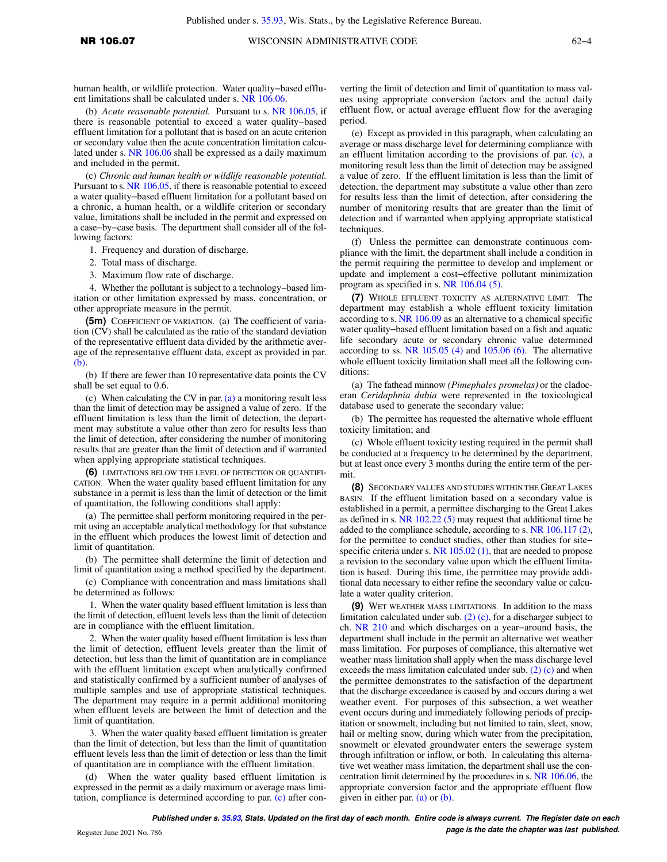human health, or wildlife protection. Water quality−based effluent limitations shall be calculated under s. [NR 106.06.](https://docs.legis.wisconsin.gov/document/administrativecode/NR%20106.06)

(b) *Acute reasonable potential.* Pursuant to s. [NR 106.05,](https://docs.legis.wisconsin.gov/document/administrativecode/NR%20106.05) if there is reasonable potential to exceed a water quality−based effluent limitation for a pollutant that is based on an acute criterion or secondary value then the acute concentration limitation calculated under s. [NR 106.06](https://docs.legis.wisconsin.gov/document/administrativecode/NR%20106.06) shall be expressed as a daily maximum and included in the permit.

(c) *Chronic and human health or wildlife reasonable potential.* Pursuant to s. [NR 106.05](https://docs.legis.wisconsin.gov/document/administrativecode/NR%20106.05), if there is reasonable potential to exceed a water quality−based effluent limitation for a pollutant based on a chronic, a human health, or a wildlife criterion or secondary value, limitations shall be included in the permit and expressed on a case−by−case basis. The department shall consider all of the following factors:

1. Frequency and duration of discharge.

- 2. Total mass of discharge.
- 3. Maximum flow rate of discharge.

4. Whether the pollutant is subject to a technology−based limitation or other limitation expressed by mass, concentration, or other appropriate measure in the permit.

**(5m)** COEFFICIENT OF VARIATION. (a) The coefficient of variation (CV) shall be calculated as the ratio of the standard deviation of the representative effluent data divided by the arithmetic average of the representative effluent data, except as provided in par. [\(b\)](https://docs.legis.wisconsin.gov/document/administrativecode/NR%20106.07(5m)(b)).

(b) If there are fewer than 10 representative data points the CV shall be set equal to 0.6.

(c) When calculating the CV in par.  $(a)$  a monitoring result less than the limit of detection may be assigned a value of zero. If the effluent limitation is less than the limit of detection, the department may substitute a value other than zero for results less than the limit of detection, after considering the number of monitoring results that are greater than the limit of detection and if warranted when applying appropriate statistical techniques.

**(6)** LIMITATIONS BELOW THE LEVEL OF DETECTION OR QUANTIFI-CATION. When the water quality based effluent limitation for any substance in a permit is less than the limit of detection or the limit of quantitation, the following conditions shall apply:

(a) The permittee shall perform monitoring required in the permit using an acceptable analytical methodology for that substance in the effluent which produces the lowest limit of detection and limit of quantitation.

(b) The permittee shall determine the limit of detection and limit of quantitation using a method specified by the department.

(c) Compliance with concentration and mass limitations shall be determined as follows:

1. When the water quality based effluent limitation is less than the limit of detection, effluent levels less than the limit of detection are in compliance with the effluent limitation.

2. When the water quality based effluent limitation is less than the limit of detection, effluent levels greater than the limit of detection, but less than the limit of quantitation are in compliance with the effluent limitation except when analytically confirmed and statistically confirmed by a sufficient number of analyses of multiple samples and use of appropriate statistical techniques. The department may require in a permit additional monitoring when effluent levels are between the limit of detection and the limit of quantitation.

3. When the water quality based effluent limitation is greater than the limit of detection, but less than the limit of quantitation effluent levels less than the limit of detection or less than the limit of quantitation are in compliance with the effluent limitation.

(d) When the water quality based effluent limitation is expressed in the permit as a daily maximum or average mass limitation, compliance is determined according to par. [\(c\)](https://docs.legis.wisconsin.gov/document/administrativecode/NR%20106.07(6)(c)) after con-

verting the limit of detection and limit of quantitation to mass values using appropriate conversion factors and the actual daily effluent flow, or actual average effluent flow for the averaging period.

(e) Except as provided in this paragraph, when calculating an average or mass discharge level for determining compliance with an effluent limitation according to the provisions of par. [\(c\),](https://docs.legis.wisconsin.gov/document/administrativecode/NR%20106.07(6)(c)) a monitoring result less than the limit of detection may be assigned a value of zero. If the effluent limitation is less than the limit of detection, the department may substitute a value other than zero for results less than the limit of detection, after considering the number of monitoring results that are greater than the limit of detection and if warranted when applying appropriate statistical techniques.

(f) Unless the permittee can demonstrate continuous compliance with the limit, the department shall include a condition in the permit requiring the permittee to develop and implement or update and implement a cost−effective pollutant minimization program as specified in s. [NR 106.04 \(5\).](https://docs.legis.wisconsin.gov/document/administrativecode/NR%20106.04(5))

**(7)** WHOLE EFFLUENT TOXICITY AS ALTERNATIVE LIMIT. The department may establish a whole effluent toxicity limitation according to s. [NR 106.09](https://docs.legis.wisconsin.gov/document/administrativecode/NR%20106.09) as an alternative to a chemical specific water quality−based effluent limitation based on a fish and aquatic life secondary acute or secondary chronic value determined according to ss. NR  $105.05$  (4) and  $105.06$  (6). The alternative whole effluent toxicity limitation shall meet all the following conditions:

(a) The fathead minnow *(Pimephales promelas)* or the cladoceran *Ceridaphnia dubia* were represented in the toxicological database used to generate the secondary value:

(b) The permittee has requested the alternative whole effluent toxicity limitation; and

(c) Whole effluent toxicity testing required in the permit shall be conducted at a frequency to be determined by the department, but at least once every 3 months during the entire term of the permit.

**(8)** SECONDARY VALUES AND STUDIES WITHIN THE GREAT LAKES BASIN. If the effluent limitation based on a secondary value is established in a permit, a permittee discharging to the Great Lakes as defined in s. [NR 102.22 \(5\)](https://docs.legis.wisconsin.gov/document/administrativecode/NR%20102.22(5)) may request that additional time be added to the compliance schedule, according to s. [NR 106.117 \(2\),](https://docs.legis.wisconsin.gov/document/administrativecode/NR%20106.117(2)) for the permittee to conduct studies, other than studies for site− specific criteria under s. [NR 105.02 \(1\),](https://docs.legis.wisconsin.gov/document/administrativecode/NR%20105.02(1)) that are needed to propose a revision to the secondary value upon which the effluent limitation is based. During this time, the permittee may provide additional data necessary to either refine the secondary value or calculate a water quality criterion.

**(9)** WET WEATHER MASS LIMITATIONS. In addition to the mass limitation calculated under sub. [\(2\) \(c\),](https://docs.legis.wisconsin.gov/document/administrativecode/NR%20106.07(2)(c)) for a discharger subject to ch. [NR 210](https://docs.legis.wisconsin.gov/document/administrativecode/ch.%20NR%20210) and which discharges on a year−around basis, the department shall include in the permit an alternative wet weather mass limitation. For purposes of compliance, this alternative wet weather mass limitation shall apply when the mass discharge level exceeds the mass limitation calculated under sub. [\(2\) \(c\)](https://docs.legis.wisconsin.gov/document/administrativecode/NR%20106.07(2)(c)) and when the permittee demonstrates to the satisfaction of the department that the discharge exceedance is caused by and occurs during a wet weather event. For purposes of this subsection, a wet weather event occurs during and immediately following periods of precipitation or snowmelt, including but not limited to rain, sleet, snow, hail or melting snow, during which water from the precipitation, snowmelt or elevated groundwater enters the sewerage system through infiltration or inflow, or both. In calculating this alternative wet weather mass limitation, the department shall use the concentration limit determined by the procedures in s. [NR 106.06](https://docs.legis.wisconsin.gov/document/administrativecode/NR%20106.06), the appropriate conversion factor and the appropriate effluent flow given in either par. [\(a\)](https://docs.legis.wisconsin.gov/document/administrativecode/NR%20106.07(9)(a)) or [\(b\).](https://docs.legis.wisconsin.gov/document/administrativecode/NR%20106.07(9)(b))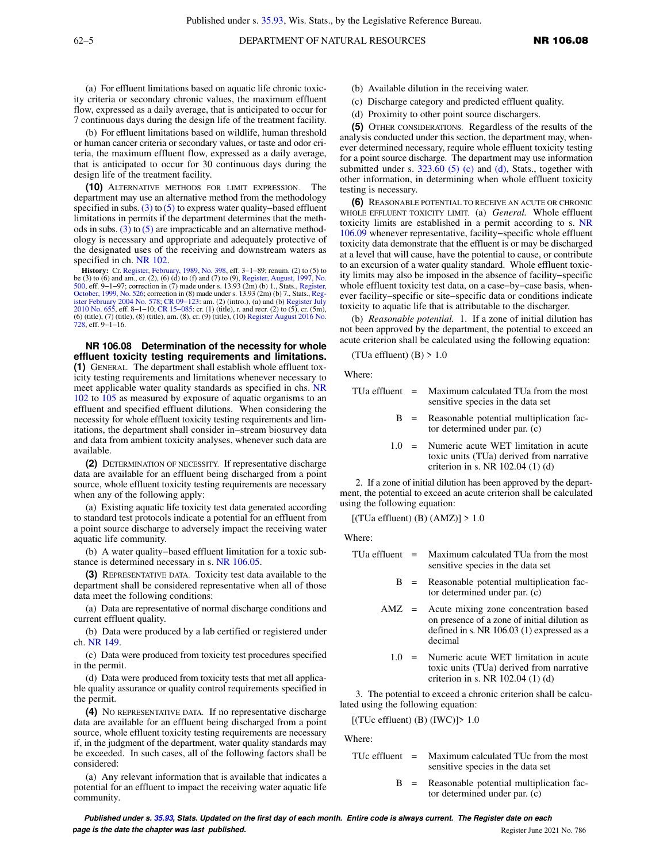(a) For effluent limitations based on aquatic life chronic toxicity criteria or secondary chronic values, the maximum effluent flow, expressed as a daily average, that is anticipated to occur for 7 continuous days during the design life of the treatment facility.

(b) For effluent limitations based on wildlife, human threshold or human cancer criteria or secondary values, or taste and odor criteria, the maximum effluent flow, expressed as a daily average, that is anticipated to occur for 30 continuous days during the design life of the treatment facility.

**(10)** ALTERNATIVE METHODS FOR LIMIT EXPRESSION. The department may use an alternative method from the methodology specified in subs. [\(3\)](https://docs.legis.wisconsin.gov/document/administrativecode/NR%20106.07(3)) to  $(5)$  to express water quality–based effluent limitations in permits if the department determines that the methods in subs.  $(3)$  to  $(5)$  are impracticable and an alternative methodology is necessary and appropriate and adequately protective of the designated uses of the receiving and downstream waters as specified in ch. [NR 102](https://docs.legis.wisconsin.gov/document/administrativecode/ch.%20NR%20102).

**History:** Cr. [Register, February, 1989, No. 398,](https://docs.legis.wisconsin.gov/document/register/398/B/toc) eff. 3–1–89; renum. (2) to (5) to be (3) to (6) and am., cr. (2), (6) (d) to (f) and (7) to (9), [Register, August, 1997, No.](https://docs.legis.wisconsin.gov/document/register/500/B/toc) [500](https://docs.legis.wisconsin.gov/document/register/500/B/toc), eff. 9–1–97; correction in (7) made under s. 13.93 (2m) (b) 1., Stats., [Register,](https://docs.legis.wisconsin.gov/document/register/526/B/toc) [October, 1999, No. 526;](https://docs.legis.wisconsin.gov/document/register/526/B/toc) correction in (8) made under s. 13.93 (2m) (b) 7., Stats., Reg-<br>[ister February 2004 No. 578](https://docs.legis.wisconsin.gov/document/register/578/B/toc); CR 09–123: am. (2) [2010 No. 655,](https://docs.legis.wisconsin.gov/document/register/655/B/toc) eff. 8–1–10; CR 15–085: cr. (1) (title), r. and recr. (2) to (5), cr. (5m), (6) (title), (7) (title), (8) (title), am. (8), cr. (9) (title), (10) [Register August 2016 No.](https://docs.legis.wisconsin.gov/document/register/728/B/toc) [728](https://docs.legis.wisconsin.gov/document/register/728/B/toc), eff. 9−1−16.

**NR 106.08 Determination of the necessity for whole effluent toxicity testing requirements and limitations. (1)** GENERAL. The department shall establish whole effluent toxicity testing requirements and limitations whenever necessary to meet applicable water quality standards as specified in chs. [NR](https://docs.legis.wisconsin.gov/document/administrativecode/ch.%20NR%20102) [102](https://docs.legis.wisconsin.gov/document/administrativecode/ch.%20NR%20102) to [105](https://docs.legis.wisconsin.gov/document/administrativecode/ch.%20NR%20105) as measured by exposure of aquatic organisms to an effluent and specified effluent dilutions. When considering the necessity for whole effluent toxicity testing requirements and limitations, the department shall consider in−stream biosurvey data and data from ambient toxicity analyses, whenever such data are available.

**(2)** DETERMINATION OF NECESSITY. If representative discharge data are available for an effluent being discharged from a point source, whole effluent toxicity testing requirements are necessary when any of the following apply:

(a) Existing aquatic life toxicity test data generated according to standard test protocols indicate a potential for an effluent from a point source discharge to adversely impact the receiving water aquatic life community.

(b) A water quality−based effluent limitation for a toxic substance is determined necessary in s. [NR 106.05](https://docs.legis.wisconsin.gov/document/administrativecode/NR%20106.05).

**(3)** REPRESENTATIVE DATA. Toxicity test data available to the department shall be considered representative when all of those data meet the following conditions:

(a) Data are representative of normal discharge conditions and current effluent quality.

(b) Data were produced by a lab certified or registered under ch. [NR 149](https://docs.legis.wisconsin.gov/document/administrativecode/ch.%20NR%20149).

(c) Data were produced from toxicity test procedures specified in the permit.

(d) Data were produced from toxicity tests that met all applicable quality assurance or quality control requirements specified in the permit.

**(4)** NO REPRESENTATIVE DATA. If no representative discharge data are available for an effluent being discharged from a point source, whole effluent toxicity testing requirements are necessary if, in the judgment of the department, water quality standards may be exceeded. In such cases, all of the following factors shall be considered:

(a) Any relevant information that is available that indicates a potential for an effluent to impact the receiving water aquatic life community.

- (b) Available dilution in the receiving water.
- (c) Discharge category and predicted effluent quality.
- (d) Proximity to other point source dischargers.

**(5)** OTHER CONSIDERATIONS. Regardless of the results of the analysis conducted under this section, the department may, whenever determined necessary, require whole effluent toxicity testing for a point source discharge. The department may use information submitted under s.  $323.60$  (5) (c) and [\(d\),](https://docs.legis.wisconsin.gov/document/statutes/323.60(5)(d)) Stats., together with other information, in determining when whole effluent toxicity testing is necessary.

**(6)** REASONABLE POTENTIAL TO RECEIVE AN ACUTE OR CHRONIC WHOLE EFFLUENT TOXICITY LIMIT. (a) *General.* Whole effluent toxicity limits are established in a permit according to s. [NR](https://docs.legis.wisconsin.gov/document/administrativecode/NR%20106.09) [106.09](https://docs.legis.wisconsin.gov/document/administrativecode/NR%20106.09) whenever representative, facility−specific whole effluent toxicity data demonstrate that the effluent is or may be discharged at a level that will cause, have the potential to cause, or contribute to an excursion of a water quality standard. Whole effluent toxicity limits may also be imposed in the absence of facility−specific whole effluent toxicity test data, on a case−by−case basis, whenever facility−specific or site−specific data or conditions indicate toxicity to aquatic life that is attributable to the discharger.

(b) *Reasonable potential.* 1. If a zone of initial dilution has not been approved by the department, the potential to exceed an acute criterion shall be calculated using the following equation:

(TUa effluent) (B)  $> 1.0$ 

Where:

|  | TUa effluent $=$ Maximum calculated TUa from the most |
|--|-------------------------------------------------------|
|  | sensitive species in the data set                     |

- B = Reasonable potential multiplication factor determined under par. (c)
- 1.0 = Numeric acute WET limitation in acute toxic units (TUa) derived from narrative criterion in s. NR 102.04 (1) (d)

2. If a zone of initial dilution has been approved by the department, the potential to exceed an acute criterion shall be calculated using the following equation:

 $[(TUa effluent) (B) (AMZ)] > 1.0$ 

Where:

- TUa effluent = Maximum calculated TUa from the most sensitive species in the data set
	- B = Reasonable potential multiplication factor determined under par. (c)
	- AMZ = Acute mixing zone concentration based on presence of a zone of initial dilution as defined in s. NR 106.03 (1) expressed as a decimal
		- 1.0 = Numeric acute WET limitation in acute toxic units (TUa) derived from narrative criterion in s. NR 102.04 (1) (d)

3. The potential to exceed a chronic criterion shall be calculated using the following equation:

 $[(TUc \text{ effluent}) (B) (IWC)] > 1.0$ 

Where:

- TUc effluent = Maximum calculated TUc from the most sensitive species in the data set
	- B = Reasonable potential multiplication factor determined under par. (c)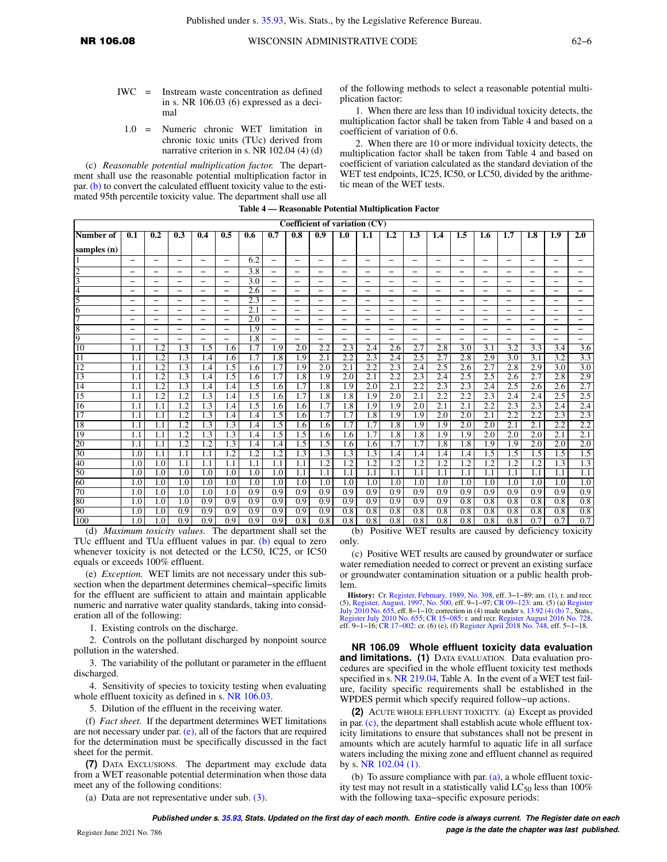- IWC = Instream waste concentration as defined in s. NR 106.03 (6) expressed as a decimal
	- 1.0 = Numeric chronic WET limitation in chronic toxic units (TUc) derived from narrative criterion in s. NR 102.04 (4) (d)

(c) *Reasonable potential multiplication factor.* The department shall use the reasonable potential multiplication factor in par. [\(b\)](https://docs.legis.wisconsin.gov/document/administrativecode/NR%20106.08(6)(b)) to convert the calculated effluent toxicity value to the estimated 95th percentile toxicity value. The department shall use all of the following methods to select a reasonable potential multiplication factor:

1. When there are less than 10 individual toxicity detects, the multiplication factor shall be taken from Table 4 and based on a coefficient of variation of 0.6.

2. When there are 10 or more individual toxicity detects, the multiplication factor shall be taken from Table 4 and based on coefficient of variation calculated as the standard deviation of the WET test endpoints, IC25, IC50, or LC50, divided by the arithmetic mean of the WET tests.

|                 |                          |                          |                          |                          |                          |     |                          |                          |                          | Coefficient of variation (CV) |                          |                          |          |                          |                          |                          |                          |                          |                          |                          |
|-----------------|--------------------------|--------------------------|--------------------------|--------------------------|--------------------------|-----|--------------------------|--------------------------|--------------------------|-------------------------------|--------------------------|--------------------------|----------|--------------------------|--------------------------|--------------------------|--------------------------|--------------------------|--------------------------|--------------------------|
| Number of       | $\overline{0.1}$         | 0.2                      | 0.3                      | 0.4                      | 0.5                      | 0.6 | 0.7                      | 0.8                      | 0.9                      | 1.0                           | 1.1                      | $1.2\phantom{0}$         | 1.3      | 1.4                      | 1.5                      | 1.6                      | 1.7                      | 1.8                      | 1.9                      | 2.0                      |
| samples (n)     |                          |                          |                          |                          |                          |     |                          |                          |                          |                               |                          |                          |          |                          |                          |                          |                          |                          |                          |                          |
|                 | $\overline{\phantom{0}}$ | $\overline{\phantom{0}}$ | $\overline{\phantom{0}}$ | $\equiv$                 | $\overline{\phantom{0}}$ | 6.2 | $\overline{\phantom{0}}$ | $\overline{\phantom{0}}$ | $\overline{\phantom{0}}$ |                               | $\overline{\phantom{0}}$ | $\overline{\phantom{0}}$ | $\equiv$ | $\overline{\phantom{0}}$ | $\overline{\phantom{0}}$ | $\equiv$                 | $\overline{\phantom{0}}$ | $\overline{\phantom{0}}$ | $-$                      | $\overline{\phantom{0}}$ |
| $\overline{c}$  | $\overline{\phantom{0}}$ | $\qquad \qquad$          | $\overline{\phantom{0}}$ | $\equiv$                 | $-$                      | 3.8 | $\overline{\phantom{0}}$ | $\overline{\phantom{0}}$ | $\overline{\phantom{0}}$ | $\overline{\phantom{0}}$      | $\overline{\phantom{0}}$ | $\overline{\phantom{0}}$ | $-$      | $\overline{\phantom{0}}$ | $\qquad \qquad$          | $\overline{\phantom{0}}$ | $\overline{\phantom{0}}$ | $\overline{\phantom{0}}$ | $-$                      | $\equiv$                 |
| 3               | -                        | -                        | $\overline{\phantom{0}}$ |                          | $\overline{\phantom{0}}$ | 3.0 | $\overline{\phantom{m}}$ | $\overline{\phantom{0}}$ | —                        | -                             | $\overline{\phantom{m}}$ | -                        | —        | $\overline{\phantom{0}}$ | $\overline{\phantom{m}}$ | $\overline{\phantom{0}}$ | -                        | $\qquad \qquad -$        | $\qquad \qquad -$        | $\overline{\phantom{0}}$ |
| 4               | —                        |                          | —                        | $\overline{\phantom{0}}$ | -                        | 2.6 | $\overline{\phantom{0}}$ | —                        | $\overline{\phantom{0}}$ |                               | $\overline{\phantom{0}}$ | —                        |          |                          | -                        | —                        | -                        |                          | $\overline{\phantom{0}}$ |                          |
| 5               | —                        | $\overline{\phantom{0}}$ | $\overline{\phantom{0}}$ | $\overline{\phantom{0}}$ | $-$                      | 2.3 | $\overline{\phantom{0}}$ | $\overline{\phantom{0}}$ | —                        | $\overline{\phantom{0}}$      | $\overline{\phantom{0}}$ |                          | $-$      | $\equiv$                 | $\overline{\phantom{0}}$ | $\overline{\phantom{0}}$ | $\overline{\phantom{0}}$ | $\overline{\phantom{0}}$ | $\overline{\phantom{0}}$ | $\qquad \qquad -$        |
| 6               | —                        |                          | $\overline{\phantom{0}}$ | $\overline{\phantom{0}}$ | $-$                      | 2.1 | $\overline{\phantom{0}}$ | $\overline{\phantom{0}}$ | $\overline{\phantom{0}}$ |                               | $\overline{\phantom{0}}$ | $\overline{\phantom{0}}$ | -        | $\overline{\phantom{0}}$ | $\overline{\phantom{0}}$ | $\equiv$                 | $\overline{\phantom{0}}$ | $\overline{\phantom{0}}$ | $\overline{\phantom{0}}$ | $\overline{\phantom{0}}$ |
| 7               | —                        |                          | —                        | $\overline{\phantom{0}}$ |                          | 2.0 | $\overline{\phantom{0}}$ | $\overline{\phantom{0}}$ | $\overline{\phantom{0}}$ |                               | $\overline{\phantom{0}}$ | -                        |          |                          | $\overline{\phantom{0}}$ | -                        | $\overline{\phantom{0}}$ |                          |                          |                          |
| 8               | —                        | $\overline{\phantom{m}}$ | -                        | $\overline{\phantom{m}}$ | -                        | 1.9 | $\overline{\phantom{0}}$ | $\overline{\phantom{m}}$ | —                        | $\overline{\phantom{0}}$      | $\overline{\phantom{m}}$ | -                        | —        | $\overline{\phantom{0}}$ | $\overline{\phantom{m}}$ | $\qquad \qquad -$        | -                        | $\qquad \qquad -$        | $\qquad \qquad -$        | $\qquad \qquad -$        |
| 9               | $\overline{\phantom{0}}$ |                          | $\overline{\phantom{0}}$ | $\equiv$                 | $\overline{\phantom{0}}$ | 1.8 | $\overline{\phantom{0}}$ | $\overline{\phantom{0}}$ | -                        |                               | $\equiv$                 | $\overline{\phantom{0}}$ | ═        | $\equiv$                 | $\overline{\phantom{0}}$ | $\equiv$                 | $\overline{\phantom{0}}$ | $\overline{\phantom{0}}$ | $-$                      | $-$                      |
| 10              | 1.1                      | 1.2                      | 1.3                      | 1.5                      | 1.6                      | 1.7 | 1.9                      | 2.0                      | 2.2                      | 2.3                           | 2.4                      | 2.6                      | 2.7      | 2.8                      | 3.0                      | 3.1                      | 3.2                      | 3.3                      | 3.4                      | 3.6                      |
| 11              | 1.1                      | $\overline{1.2}$         | 1.3                      | l.4                      | 1.6                      | 1.7 | 1.8                      | 1.9                      | 2.1                      | 2.2                           | 2.3                      | 2.4                      | 2.5      | 2.7                      | 2.8                      | 2.9                      | $\overline{3.0}$         | 3.1                      | $\overline{3.2}$         | 3.3                      |
| 12              | 1.1                      | 1.2                      | 1.3                      | 1.4                      | 1.5                      | 1.6 | 1.7                      | 1.9                      | 2.0                      | 2.1                           | 2.2                      | 2.3                      | 2.4      | 2.5                      | 2.6                      | 2.7                      | 2.8                      | 2.9                      | 3.0                      | 3.0                      |
| 13              | 1.1                      | 1.2                      | 1.3                      | 1.4                      | 1.5                      | 1.6 | 1.7                      | 1.8                      | 1.9                      | 2.0                           | 2.1                      | $\overline{2.2}$         | 2.3      | 2.4                      | 2.5                      | 2.5                      | 2.6                      | 2.7                      | 2.8                      | 2.9                      |
| 14              | 1.1                      | 1.2                      | 1.3                      | 1.4                      | 1.4                      | 1.5 | 1.6                      | 1.7                      | 1.8                      | 1.9                           | 2.0                      | 2.1                      | 2.2      | 2.3                      | 2.3                      | 2.4                      | 2.5                      | 2.6                      | 2.6                      | 2.7                      |
| 15              | 1.1                      | 1.2                      | 1.2                      | 1.3                      | 1.4                      | 1.5 | 1.6                      | 1.7                      | 1.8                      | 1.8                           | 1.9                      | 2.0                      | 2.1      | 2.2                      | 2.2                      | $\overline{2.3}$         | 2.4                      | 2.4                      | 2.5                      | 2.5                      |
| 16              | 1.1                      | 1.1                      | 1.2                      | 1.3                      | 1.4                      | 1.5 | 1.6                      | 1.6                      | 1.7                      | 1.8                           | 1.9                      | 1.9                      | 2.0      | 2.1                      | 2.1                      | 2.2                      | 2.3                      | 2.3                      | 2.4                      | 2.4                      |
| $\overline{17}$ | 1.1                      | 1.1                      | 1.2                      | 1.3                      | 1.4                      | 1.4 | 1.5                      | 1.6                      | 1.7                      | 1.7                           | 1.8                      | 1.9                      | 1.9      | 2.0                      | 2.0                      | 2.1                      | 2.2                      | 2.2                      | 2.3                      | 2.3                      |
| 18              | 1.1                      | 1.1                      | 1.2                      | 1.3                      | 1.3                      | 1.4 | 1.5                      | 1.6                      | 1.6                      | 1.7                           | 1.7                      | 1.8                      | 1.9      | 1.9                      | 2.0                      | 2.0                      | 2.1                      | 2.1                      | 2.2                      | 2.2                      |
| 19              | 1.1                      | 1.1                      | 1.2                      | 1.3                      | 1.3                      | 1.4 | 1.5                      | 1.5                      | 1.6                      | 1.6                           | 1.7                      | 1.8                      | 1.8      | 1.9                      | 1.9                      | 2.0                      | 2.0                      | 2.0                      | 2.1                      | 2.1                      |
| $\overline{20}$ | 1.1                      | 1.1                      | 1.2                      | 1.2                      | 1.3                      | 1.4 | 1.4                      | 1.5                      | 1.5                      | 1.6                           | 1.6                      | 1.7                      | 1.7      | 1.8                      | 1.8                      | 1.9                      | 1.9                      | 2.0                      | 2.0                      | 2.0                      |
| 30              | 1.0                      | 1.1                      | 1.1                      | 1.1                      | 1.2                      | 1.2 | 1.2                      | 1.3                      | 1.3                      | 1.3                           | 1.3                      | 1.4                      | 1.4      | 1.4                      | 1.4                      | 1.5                      | 1.5                      | 1.5                      | 1.5                      | 1.5                      |
| 40              | 1.0                      | 1.0                      | 1.1                      | 1.1                      | 1.1                      | 1.1 | 1.1                      | 1.1                      | 1.2                      | 1.2                           | 1.2                      | 1.2                      | 1.2      | 1.2                      | 1.2                      | 1.2                      | 1.2                      | 1.2                      | 1.3                      | 1.3                      |
| 50              | 1.0                      | 1.0                      | 1.0                      | 1.0                      | 1.0                      | 1.0 | 1.0                      | 1.1                      | 1.1                      | 1.1                           | 1.1                      | 1.1                      | 1.1      | 1.1                      | 1.1                      | 1.1                      | 1.1                      | 1.1                      | 1.1                      | 1.1                      |
| 60              | 1.0                      | 1.0                      | 1.0                      | 1.0                      | 1.0                      | 1.0 | 1.0                      | 1.0                      | 1.0                      | 1.0                           | 1.0                      | 1.0                      | 1.0      | 1.0                      | 1.0                      | 1.0                      | 1.0                      | 1.0                      | 1.0                      | 1.0                      |
| 70              | 1.0                      | 1.0                      | 1.0                      | 1.0                      | 1.0                      | 0.9 | 0.9                      | 0.9                      | 0.9                      | 0.9                           | 0.9                      | 0.9                      | 0.9      | 0.9                      | 0.9                      | 0.9                      | 0.9                      | 0.9                      | 0.9                      | 0.9                      |
| 80              | 1.0                      | 1.0                      | 1.0                      | 0.9                      | 0.9                      | 0.9 | 0.9                      | 0.9                      | 0.9                      | 0.9                           | 0.9                      | 0.9                      | 0.9      | 0.9                      | 0.8                      | 0.8                      | 0.8                      | 0.8                      | 0.8                      | 0.8                      |
| 90              | 1.0                      | 1.0                      | 0.9                      | 0.9                      | 0.9                      | 0.9 | 0.9                      | 0.9                      | 0.9                      | 0.8                           | 0.8                      | 0.8                      | 0.8      | 0.8                      | 0.8                      | 0.8                      | 0.8                      | 0.8                      | 0.8                      | 0.8                      |
| 100             | 1.0                      | 1.0                      | 0.9                      | 0.9                      | 0.9                      | 0.9 | 0.9                      | 0.8                      | 0.8                      | 0.8                           | 0.8                      | 0.8                      | 0.8      | 0.8                      | 0.8                      | 0.8                      | 0.8                      | 0.7                      | 0.7                      | 0.7                      |

**Table 4 — Reasonable Potential Multiplication Factor**

(d) *Maximum toxicity values.* The department shall set the TUc effluent and TUa effluent values in par. [\(b\)](https://docs.legis.wisconsin.gov/document/administrativecode/NR%20106.08(6)(b)) equal to zero whenever toxicity is not detected or the LC50, IC25, or IC50 equals or exceeds 100% effluent.

(e) *Exception.* WET limits are not necessary under this subsection when the department determines chemical−specific limits for the effluent are sufficient to attain and maintain applicable numeric and narrative water quality standards, taking into consideration all of the following:

1. Existing controls on the discharge.

2. Controls on the pollutant discharged by nonpoint source pollution in the watershed.

3. The variability of the pollutant or parameter in the effluent discharged.

4. Sensitivity of species to toxicity testing when evaluating whole effluent toxicity as defined in s. [NR 106.03.](https://docs.legis.wisconsin.gov/document/administrativecode/NR%20106.03)

5. Dilution of the effluent in the receiving water.

(f) *Fact sheet.* If the department determines WET limitations are not necessary under par.  $(e)$ , all of the factors that are required for the determination must be specifically discussed in the fact sheet for the permit.

**(7)** DATA EXCLUSIONS. The department may exclude data from a WET reasonable potential determination when those data meet any of the following conditions:

(a) Data are not representative under sub. [\(3\)](https://docs.legis.wisconsin.gov/document/administrativecode/NR%20106.08(3)).

(b) Positive WET results are caused by deficiency toxicity only.

(c) Positive WET results are caused by groundwater or surface water remediation needed to correct or prevent an existing surface or groundwater contamination situation or a public health problem.

**History:** Cr. [Register, February, 1989, No. 398](https://docs.legis.wisconsin.gov/document/register/398/B/toc), eff. 3−1−89; am. (1), r. and recr. (5), [Register, August, 1997, No. 500](https://docs.legis.wisconsin.gov/document/register/500/B/toc), eff. 9–1–97; CR 09–123: am. (5) (a) [Register](https://docs.legis.wisconsin.gov/document/register/655/B/toc)<br>[July 2010 No. 655,](https://docs.legis.wisconsin.gov/document/register/655/B/toc) eff. 8–1–10; correction in (4) made under s. [13.92 \(4\) \(b\) 7.](https://docs.legis.wisconsin.gov/document/statutes/13.92(4)(b)7.), Stats.,<br>[Register July 2010 No. 655](https://docs.legis.wisconsin.gov/document/register/655/B/toc); CR 15–085: r. and rec

**NR 106.09 Whole effluent toxicity data evaluation and limitations. (1)** DATA EVALUATION. Data evaluation procedures are specified in the whole effluent toxicity test methods specified in s. [NR 219.04,](https://docs.legis.wisconsin.gov/document/administrativecode/NR%20219.04) Table A. In the event of a WET test failure, facility specific requirements shall be established in the WPDES permit which specify required follow−up actions.

**(2)** ACUTE WHOLE EFFLUENT TOXICITY. (a) Except as provided in par. [\(c\),](https://docs.legis.wisconsin.gov/document/administrativecode/NR%20106.09(2)(c)) the department shall establish acute whole effluent toxicity limitations to ensure that substances shall not be present in amounts which are acutely harmful to aquatic life in all surface waters including the mixing zone and effluent channel as required by s. [NR 102.04 \(1\)](https://docs.legis.wisconsin.gov/document/administrativecode/NR%20102.04(1)).

(b) To assure compliance with par. [\(a\)](https://docs.legis.wisconsin.gov/document/administrativecode/NR%20106.09(2)(a)), a whole effluent toxicity test may not result in a statistically valid  $LC_{50}$  less than 100% with the following taxa−specific exposure periods: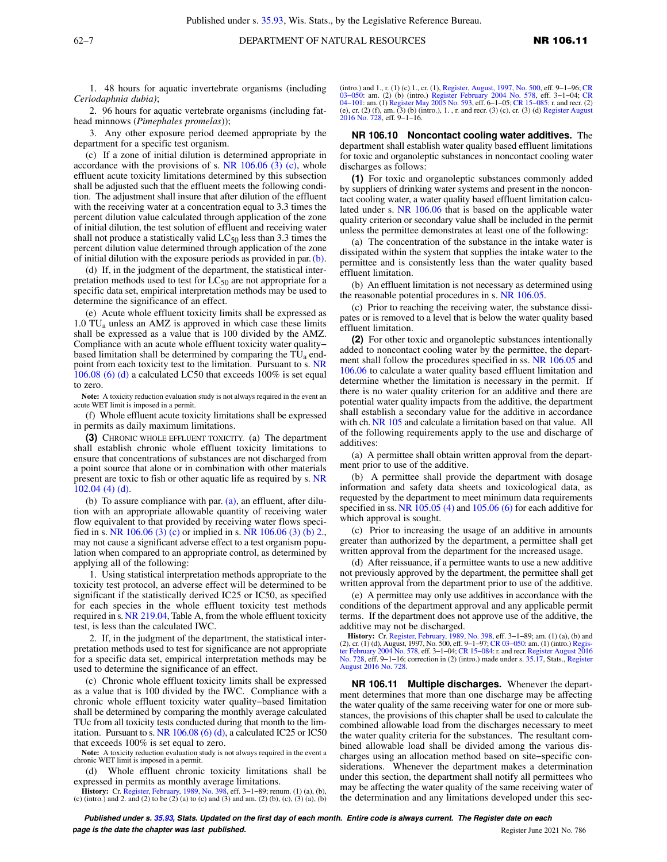1. 48 hours for aquatic invertebrate organisms (including *Ceriodaphnia dubia)*;

2. 96 hours for aquatic vertebrate organisms (including fathead minnows (*Pimephales promelas*));

3. Any other exposure period deemed appropriate by the department for a specific test organism.

(c) If a zone of initial dilution is determined appropriate in accordance with the provisions of s. NR  $106.06$  (3) (c), whole effluent acute toxicity limitations determined by this subsection shall be adjusted such that the effluent meets the following condition. The adjustment shall insure that after dilution of the effluent with the receiving water at a concentration equal to 3.3 times the percent dilution value calculated through application of the zone of initial dilution, the test solution of effluent and receiving water shall not produce a statistically valid  $LC_{50}$  less than 3.3 times the percent dilution value determined through application of the zone of initial dilution with the exposure periods as provided in par. [\(b\).](https://docs.legis.wisconsin.gov/document/administrativecode/NR%20106.09(2)(b))

(d) If, in the judgment of the department, the statistical interpretation methods used to test for  $LC_{50}$  are not appropriate for a specific data set, empirical interpretation methods may be used to determine the significance of an effect.

(e) Acute whole effluent toxicity limits shall be expressed as  $1.0$  TU<sub>a</sub> unless an AMZ is approved in which case these limits shall be expressed as a value that is 100 divided by the AMZ. Compliance with an acute whole effluent toxicity water quality− based limitation shall be determined by comparing the  $TU_a$  endpoint from each toxicity test to the limitation. Pursuant to s. [NR](https://docs.legis.wisconsin.gov/document/administrativecode/NR%20106.08(6)(d)) [106.08 \(6\) \(d\)](https://docs.legis.wisconsin.gov/document/administrativecode/NR%20106.08(6)(d)) a calculated LC50 that exceeds 100% is set equal to zero.

**Note:** A toxicity reduction evaluation study is not always required in the event an acute WET limit is imposed in a permit.

(f) Whole effluent acute toxicity limitations shall be expressed in permits as daily maximum limitations.

**(3)** CHRONIC WHOLE EFFLUENT TOXICITY. (a) The department shall establish chronic whole effluent toxicity limitations to ensure that concentrations of substances are not discharged from a point source that alone or in combination with other materials present are toxic to fish or other aquatic life as required by s. [NR](https://docs.legis.wisconsin.gov/document/administrativecode/NR%20102.04(4)(d)) [102.04 \(4\) \(d\)](https://docs.legis.wisconsin.gov/document/administrativecode/NR%20102.04(4)(d)).

(b) To assure compliance with par. [\(a\),](https://docs.legis.wisconsin.gov/document/administrativecode/NR%20106.09(3)(a)) an effluent, after dilution with an appropriate allowable quantity of receiving water flow equivalent to that provided by receiving water flows specified in s. [NR 106.06 \(3\) \(c\)](https://docs.legis.wisconsin.gov/document/administrativecode/NR%20106.06(3)(c)) or implied in s. [NR 106.06 \(3\) \(b\) 2.,](https://docs.legis.wisconsin.gov/document/administrativecode/NR%20106.06(3)(b)2.) may not cause a significant adverse effect to a test organism population when compared to an appropriate control, as determined by applying all of the following:

1. Using statistical interpretation methods appropriate to the toxicity test protocol, an adverse effect will be determined to be significant if the statistically derived IC25 or IC50, as specified for each species in the whole effluent toxicity test methods required in s. [NR 219.04](https://docs.legis.wisconsin.gov/document/administrativecode/NR%20219.04), Table A, from the whole effluent toxicity test, is less than the calculated IWC.

2. If, in the judgment of the department, the statistical interpretation methods used to test for significance are not appropriate for a specific data set, empirical interpretation methods may be used to determine the significance of an effect.

(c) Chronic whole effluent toxicity limits shall be expressed as a value that is 100 divided by the IWC. Compliance with a chronic whole effluent toxicity water quality−based limitation shall be determined by comparing the monthly average calculated TUc from all toxicity tests conducted during that month to the limitation. Pursuant to s. NR  $106.08(6)$  (d), a calculated IC25 or IC50 that exceeds 100% is set equal to zero.

**Note:** A toxicity reduction evaluation study is not always required in the event a chronic WET limit is imposed in a permit.

(d) Whole effluent chronic toxicity limitations shall be expressed in permits as monthly average limitations.

**History:** Cr. [Register, February, 1989, No. 398](https://docs.legis.wisconsin.gov/document/register/398/B/toc), eff. 3−1−89; renum. (1) (a), (b), (c) (intro.) and 2. and (2) to be (2) (a) to (c) and (3) and am. (2) (b), (c), (3) (a), (b)

(intro.) and 1., r. (1) (c) 1., cr. (1), [Register, August, 1997, No. 500](https://docs.legis.wisconsin.gov/document/register/500/B/toc), eff. 9–1–96; [CR](https://docs.legis.wisconsin.gov/document/cr/2004/101)<br>03–050: am. (2) (b) (intro.) [Register February 2004 No. 578,](https://docs.legis.wisconsin.gov/document/register/578/B/toc) eff. 3–1–04; CR<br>04–101: am. (1) [Register May 2005 No. 593](https://docs.legis.wisconsin.gov/document/register/593/B/toc), eff. 6–1–05; [2016 No. 728,](https://docs.legis.wisconsin.gov/document/register/728/B/toc) eff. 9−1−16.

**NR 106.10 Noncontact cooling water additives.** The department shall establish water quality based effluent limitations for toxic and organoleptic substances in noncontact cooling water discharges as follows:

**(1)** For toxic and organoleptic substances commonly added by suppliers of drinking water systems and present in the noncontact cooling water, a water quality based effluent limitation calculated under s. [NR 106.06](https://docs.legis.wisconsin.gov/document/administrativecode/NR%20106.06) that is based on the applicable water quality criterion or secondary value shall be included in the permit unless the permittee demonstrates at least one of the following:

(a) The concentration of the substance in the intake water is dissipated within the system that supplies the intake water to the permittee and is consistently less than the water quality based effluent limitation.

(b) An effluent limitation is not necessary as determined using the reasonable potential procedures in s. [NR 106.05](https://docs.legis.wisconsin.gov/document/administrativecode/NR%20106.05).

(c) Prior to reaching the receiving water, the substance dissipates or is removed to a level that is below the water quality based effluent limitation.

**(2)** For other toxic and organoleptic substances intentionally added to noncontact cooling water by the permittee, the depart-ment shall follow the procedures specified in ss. [NR 106.05](https://docs.legis.wisconsin.gov/document/administrativecode/NR%20106.05) and [106.06](https://docs.legis.wisconsin.gov/document/administrativecode/NR%20106.06) to calculate a water quality based effluent limitation and determine whether the limitation is necessary in the permit. If there is no water quality criterion for an additive and there are potential water quality impacts from the additive, the department shall establish a secondary value for the additive in accordance with ch. [NR 105](https://docs.legis.wisconsin.gov/document/administrativecode/ch.%20NR%20105) and calculate a limitation based on that value. All of the following requirements apply to the use and discharge of additives:

(a) A permittee shall obtain written approval from the department prior to use of the additive.

(b) A permittee shall provide the department with dosage information and safety data sheets and toxicological data, as requested by the department to meet minimum data requirements specified in ss. [NR 105.05 \(4\)](https://docs.legis.wisconsin.gov/document/administrativecode/NR%20105.05(4)) and [105.06 \(6\)](https://docs.legis.wisconsin.gov/document/administrativecode/NR%20105.06(6)) for each additive for which approval is sought.

(c) Prior to increasing the usage of an additive in amounts greater than authorized by the department, a permittee shall get written approval from the department for the increased usage.

(d) After reissuance, if a permittee wants to use a new additive not previously approved by the department, the permittee shall get written approval from the department prior to use of the additive.

(e) A permittee may only use additives in accordance with the conditions of the department approval and any applicable permit terms. If the department does not approve use of the additive, the additive may not be discharged.

**History:** Cr. [Register, February, 1989, No. 398](https://docs.legis.wisconsin.gov/document/register/398/B/toc), eff. 3−1−89; am. (1) (a), (b) and (2), cr. (1) (d), August, 1997, No. 500, eff. 9−1−97; [CR 03−050:](https://docs.legis.wisconsin.gov/document/cr/2003/50) am. (1) (intro.) [Regis](https://docs.legis.wisconsin.gov/document/register/578/B/toc)[ter February 2004 No. 578,](https://docs.legis.wisconsin.gov/document/register/578/B/toc) eff. 3−1−04; [CR 15−084](https://docs.legis.wisconsin.gov/document/cr/2015/84): r. and recr. [Register August 2016](https://docs.legis.wisconsin.gov/document/register/728/B/toc) [No. 728,](https://docs.legis.wisconsin.gov/document/register/728/B/toc) eff. 9−1−16; correction in (2) (intro.) made under s. [35.17,](https://docs.legis.wisconsin.gov/document/statutes/35.17) Stats., [Register](https://docs.legis.wisconsin.gov/document/register/728/B/toc) [August 2016 No. 728.](https://docs.legis.wisconsin.gov/document/register/728/B/toc)

**NR 106.11 Multiple discharges.** Whenever the department determines that more than one discharge may be affecting the water quality of the same receiving water for one or more substances, the provisions of this chapter shall be used to calculate the combined allowable load from the discharges necessary to meet the water quality criteria for the substances. The resultant combined allowable load shall be divided among the various discharges using an allocation method based on site−specific considerations. Whenever the department makes a determination under this section, the department shall notify all permittees who may be affecting the water quality of the same receiving water of the determination and any limitations developed under this sec-

**Published under s. [35.93,](https://docs.legis.wisconsin.gov/document/statutes/35.93) Stats. Updated on the first day of each month. Entire code is always current. The Register date on each page is the date the chapter was last published. Contained a set of the chapter was last published. Register June 2021 No. 786**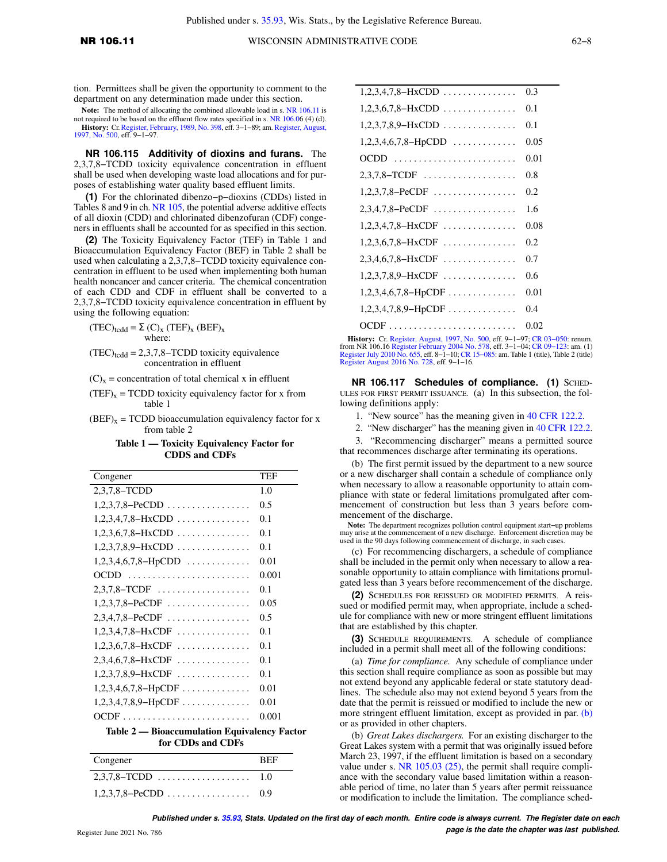tion. Permittees shall be given the opportunity to comment to the department on any determination made under this section.

**Note:** The method of allocating the combined allowable load in s. [NR 106.11](https://docs.legis.wisconsin.gov/document/administrativecode/NR%20106.11) is not required to be based on the effluent flow rates specified in s. [NR 106.06 \(4\) \(d\)](https://docs.legis.wisconsin.gov/document/administrativecode/NR%20106.06(4)(d)). **History:** Cr. [Register, February, 1989, No. 398](https://docs.legis.wisconsin.gov/document/register/398/B/toc), eff. 3−1−89; am. [Register, August,](https://docs.legis.wisconsin.gov/document/register/500/B/toc) [1997, No. 500,](https://docs.legis.wisconsin.gov/document/register/500/B/toc) eff. 9−1−97.

**NR 106.115 Additivity of dioxins and furans.** The 2,3,7,8−TCDD toxicity equivalence concentration in effluent shall be used when developing waste load allocations and for purposes of establishing water quality based effluent limits.

**(1)** For the chlorinated dibenzo−p−dioxins (CDDs) listed in Tables 8 and 9 in ch. [NR 105](https://docs.legis.wisconsin.gov/document/administrativecode/ch.%20NR%20105), the potential adverse additive effects of all dioxin (CDD) and chlorinated dibenzofuran (CDF) congeners in effluents shall be accounted for as specified in this section.

**(2)** The Toxicity Equivalency Factor (TEF) in Table 1 and Bioaccumulation Equivalency Factor (BEF) in Table 2 shall be used when calculating a 2,3,7,8−TCDD toxicity equivalence concentration in effluent to be used when implementing both human health noncancer and cancer criteria. The chemical concentration of each CDD and CDF in effluent shall be converted to a 2,3,7,8−TCDD toxicity equivalence concentration in effluent by using the following equation:

 $(TEC)_{t c d d} = \Sigma (C)_X (TEF)_X (BEF)_X$ where:

 $(TEC)_{t c d d} = 2,3,7,8-TCDD$  toxicity equivalence concentration in effluent

 $(C)_x$  = concentration of total chemical x in effluent

- $(TEF)_x = TCDD$  toxicity equivalency factor for x from table 1
- $(BEF)_x = TCDD$  bioaccumulation equivalency factor for x from table 2

#### **Table 1 — Toxicity Equivalency Factor for CDDS and CDFs**

| Congener                                                          | TEF   |  |  |  |  |
|-------------------------------------------------------------------|-------|--|--|--|--|
| 2,3,7,8-TCDD                                                      | 1.0   |  |  |  |  |
| $1,2,3,7,8-PeCDD$                                                 | 0.5   |  |  |  |  |
| $1,2,3,4,7,8-HxCDD$                                               | 0.1   |  |  |  |  |
| $1,2,3,6,7,8-HxCDD$                                               | 0.1   |  |  |  |  |
| $1,2,3,7,8,9-HxCDD$                                               | 0.1   |  |  |  |  |
| $1,2,3,4,6,7,8-HpCDD$                                             | 0.01  |  |  |  |  |
| OCDD                                                              | 0.001 |  |  |  |  |
| $2,3,7,8$ -TCDF                                                   | 0.1   |  |  |  |  |
| $1,2,3,7,8-PeCDF$                                                 | 0.05  |  |  |  |  |
| $2,3,4,7,8-PeCDF$                                                 | 0.5   |  |  |  |  |
| $1,2,3,4,7,8-HxCDF$                                               | 0.1   |  |  |  |  |
| $1,2,3,6,7,8-HxCDF$                                               | 0.1   |  |  |  |  |
| $2,3,4,6,7,8-HxCDF$                                               | 0.1   |  |  |  |  |
| $1,2,3,7,8,9-HxCDF$                                               | 0.1   |  |  |  |  |
| $1,2,3,4,6,7,8-HpCDF$                                             | 0.01  |  |  |  |  |
| $1,2,3,4,7,8,9-HpCDF \ldots \ldots \ldots$                        | 0.01  |  |  |  |  |
|                                                                   | 0.001 |  |  |  |  |
| Table 2 - Bioaccumulation Equivalency Factor<br>for CDDs and CDFs |       |  |  |  |  |

| Congener | <b>BEF</b> |
|----------|------------|
|          |            |
|          |            |

| $1,2,3,4,7,8-HxCDD$   | 0.3  |
|-----------------------|------|
| $1,2,3,6,7,8-HxCDD$   | 0.1  |
| $1,2,3,7,8,9-HxCDD$   | 0.1  |
| $1,2,3,4,6,7,8-HpCDD$ | 0.05 |
| OCDD                  | 0.01 |
| $2,3,7,8$ -TCDF       | 0.8  |
| $1,2,3,7,8-PeCDF$     | 0.2  |
| $2,3,4,7,8-PeCDF$     | 1.6  |
| $1,2,3,4,7,8-HxCDF$   | 0.08 |
| $1,2,3,6,7,8-HxCDF$   | 0.2  |
| $2,3,4,6,7,8-HxCDF$   | 0.7  |
| $1,2,3,7,8,9$ -HxCDF  | 0.6  |
| $1,2,3,4,6,7,8-HpCDF$ | 0.01 |
| $1,2,3,4,7,8,9-HpCDF$ | 0.4  |
|                       | 0.02 |
|                       |      |

**History:** Cr. [Register, August, 1997, No. 500,](https://docs.legis.wisconsin.gov/document/register/500/B/toc) eff. 9–1–97; CR 03–050: renum.<br>from NR 106.16 [Register February 2004 No. 578,](https://docs.legis.wisconsin.gov/document/register/578/B/toc) eff. 3–1–04; CR 09–123: am. (1)<br>[Register July 2010 No. 655,](https://docs.legis.wisconsin.gov/document/register/655/B/toc) eff. 8–1–10; CR 15–085: am. Table 1 [Register August 2016 No. 728,](https://docs.legis.wisconsin.gov/document/register/728/B/toc) eff. 9−1−16.

**NR 106.117 Schedules of compliance. (1)** SCHED-ULES FOR FIRST PERMIT ISSUANCE. (a) In this subsection, the following definitions apply:

1. "New source" has the meaning given in [40 CFR 122.2.](https://docs.legis.wisconsin.gov/document/cfr/40%20CFR%20122.2)

2. "New discharger" has the meaning given in [40 CFR 122.2.](https://docs.legis.wisconsin.gov/document/cfr/40%20CFR%20122.2)

3. "Recommencing discharger" means a permitted source that recommences discharge after terminating its operations.

(b) The first permit issued by the department to a new source or a new discharger shall contain a schedule of compliance only when necessary to allow a reasonable opportunity to attain compliance with state or federal limitations promulgated after commencement of construction but less than 3 years before commencement of the discharge.

**Note:** The department recognizes pollution control equipment start−up problems may arise at the commencement of a new discharge. Enforcement discretion may be used in the 90 days following commencement of discharge, in such cases.

(c) For recommencing dischargers, a schedule of compliance shall be included in the permit only when necessary to allow a reasonable opportunity to attain compliance with limitations promulgated less than 3 years before recommencement of the discharge.

**(2)** SCHEDULES FOR REISSUED OR MODIFIED PERMITS. A reissued or modified permit may, when appropriate, include a schedule for compliance with new or more stringent effluent limitations that are established by this chapter.

**(3)** SCHEDULE REQUIREMENTS. A schedule of compliance included in a permit shall meet all of the following conditions:

(a) *Time for compliance.* Any schedule of compliance under this section shall require compliance as soon as possible but may not extend beyond any applicable federal or state statutory deadlines. The schedule also may not extend beyond 5 years from the date that the permit is reissued or modified to include the new or more stringent effluent limitation, except as provided in par. [\(b\)](https://docs.legis.wisconsin.gov/document/administrativecode/NR%20106.117(3)(b)) or as provided in other chapters.

(b) *Great Lakes dischargers.* For an existing discharger to the Great Lakes system with a permit that was originally issued before March 23, 1997, if the effluent limitation is based on a secondary value under s. [NR 105.03 \(25\),](https://docs.legis.wisconsin.gov/document/administrativecode/NR%20105.03(25)) the permit shall require compliance with the secondary value based limitation within a reasonable period of time, no later than 5 years after permit reissuance or modification to include the limitation. The compliance sched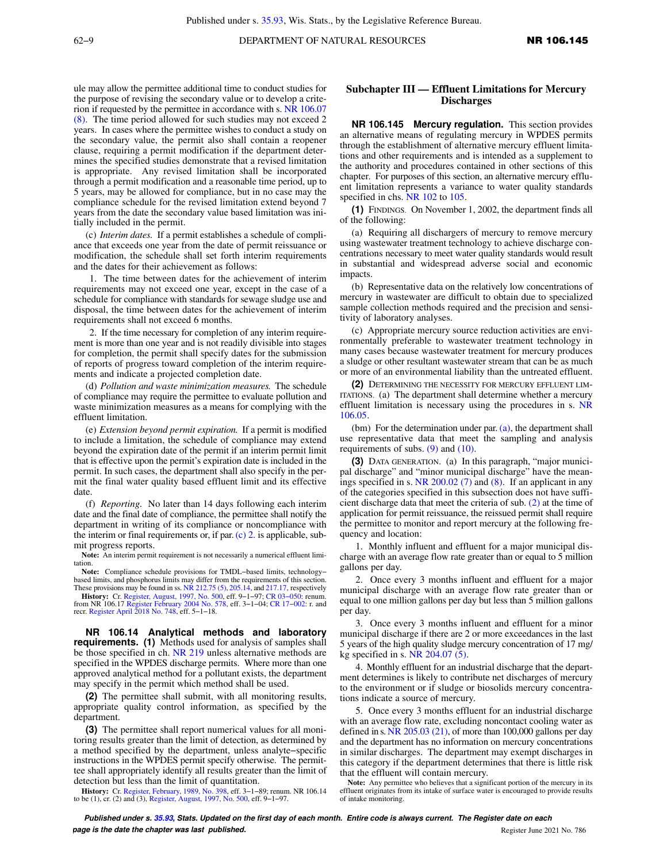62–9 **DEPARTMENT OF NATURAL RESOURCES NR 106.145** 

ule may allow the permittee additional time to conduct studies for the purpose of revising the secondary value or to develop a criterion if requested by the permittee in accordance with s. [NR 106.07](https://docs.legis.wisconsin.gov/document/administrativecode/NR%20106.07(8)) [\(8\)](https://docs.legis.wisconsin.gov/document/administrativecode/NR%20106.07(8)). The time period allowed for such studies may not exceed 2 years. In cases where the permittee wishes to conduct a study on the secondary value, the permit also shall contain a reopener clause, requiring a permit modification if the department determines the specified studies demonstrate that a revised limitation is appropriate. Any revised limitation shall be incorporated through a permit modification and a reasonable time period, up to 5 years, may be allowed for compliance, but in no case may the compliance schedule for the revised limitation extend beyond 7 years from the date the secondary value based limitation was initially included in the permit.

(c) *Interim dates.* If a permit establishes a schedule of compliance that exceeds one year from the date of permit reissuance or modification, the schedule shall set forth interim requirements and the dates for their achievement as follows:

1. The time between dates for the achievement of interim requirements may not exceed one year, except in the case of a schedule for compliance with standards for sewage sludge use and disposal, the time between dates for the achievement of interim requirements shall not exceed 6 months.

2. If the time necessary for completion of any interim requirement is more than one year and is not readily divisible into stages for completion, the permit shall specify dates for the submission of reports of progress toward completion of the interim requirements and indicate a projected completion date.

(d) *Pollution and waste minimization measures.* The schedule of compliance may require the permittee to evaluate pollution and waste minimization measures as a means for complying with the effluent limitation.

(e) *Extension beyond permit expiration.* If a permit is modified to include a limitation, the schedule of compliance may extend beyond the expiration date of the permit if an interim permit limit that is effective upon the permit's expiration date is included in the permit. In such cases, the department shall also specify in the permit the final water quality based effluent limit and its effective date.

(f) *Reporting.* No later than 14 days following each interim date and the final date of compliance, the permittee shall notify the department in writing of its compliance or noncompliance with the interim or final requirements or, if par.  $(c)$  2. is applicable, submit progress reports.

**Note:** An interim permit requirement is not necessarily a numerical effluent limitation.

**Note:** Compliance schedule provisions for TMDL−based limits, technology− based limits, and phosphorus limits may differ from the requirements of this section. These provisions may be found in ss. [NR 212.75 \(5\),](https://docs.legis.wisconsin.gov/document/administrativecode/NR%20212.75(5)) [205.14,](https://docs.legis.wisconsin.gov/document/administrativecode/NR%20205.14) and [217.17](https://docs.legis.wisconsin.gov/document/administrativecode/NR%20217.17), respectively

**History:** Cr. [Register, August, 1997, No. 500,](https://docs.legis.wisconsin.gov/document/register/500/B/toc) eff. 9–1–97; CR 03–050: renum.<br>from NR 106.17 [Register February 2004 No. 578,](https://docs.legis.wisconsin.gov/document/register/578/B/toc) eff. 3–1–04; CR 17–002: r. and<br>recr. [Register April 2018 No. 748,](https://docs.legis.wisconsin.gov/document/register/748/B/toc) eff. 5–1–18.

**NR 106.14 Analytical methods and laboratory requirements. (1)** Methods used for analysis of samples shall be those specified in ch. [NR 219](https://docs.legis.wisconsin.gov/document/administrativecode/ch.%20NR%20219) unless alternative methods are specified in the WPDES discharge permits. Where more than one approved analytical method for a pollutant exists, the department may specify in the permit which method shall be used.

**(2)** The permittee shall submit, with all monitoring results, appropriate quality control information, as specified by the department.

**(3)** The permittee shall report numerical values for all monitoring results greater than the limit of detection, as determined by a method specified by the department, unless analyte−specific instructions in the WPDES permit specify otherwise. The permittee shall appropriately identify all results greater than the limit of detection but less than the limit of quantitation.

**History:** Cr. [Register, February, 1989, No. 398](https://docs.legis.wisconsin.gov/document/register/398/B/toc), eff. 3−1−89; renum. NR 106.14 to be (1), cr. (2) and (3), [Register, August, 1997, No. 500,](https://docs.legis.wisconsin.gov/document/register/500/B/toc) eff. 9−1−97.

## **Subchapter III — Effluent Limitations for Mercury Discharges**

**NR 106.145 Mercury regulation.** This section provides an alternative means of regulating mercury in WPDES permits through the establishment of alternative mercury effluent limitations and other requirements and is intended as a supplement to the authority and procedures contained in other sections of this chapter. For purposes of this section, an alternative mercury effluent limitation represents a variance to water quality standards specified in chs. [NR 102](https://docs.legis.wisconsin.gov/document/administrativecode/ch.%20NR%20102) to [105.](https://docs.legis.wisconsin.gov/document/administrativecode/ch.%20NR%20105)

**(1)** FINDINGS. On November 1, 2002, the department finds all of the following:

(a) Requiring all dischargers of mercury to remove mercury using wastewater treatment technology to achieve discharge concentrations necessary to meet water quality standards would result in substantial and widespread adverse social and economic impacts.

(b) Representative data on the relatively low concentrations of mercury in wastewater are difficult to obtain due to specialized sample collection methods required and the precision and sensitivity of laboratory analyses.

(c) Appropriate mercury source reduction activities are environmentally preferable to wastewater treatment technology in many cases because wastewater treatment for mercury produces a sludge or other resultant wastewater stream that can be as much or more of an environmental liability than the untreated effluent.

**(2)** DETERMINING THE NECESSITY FOR MERCURY EFFLUENT LIM-ITATIONS. (a) The department shall determine whether a mercury effluent limitation is necessary using the procedures in s. [NR](https://docs.legis.wisconsin.gov/document/administrativecode/NR%20106.05) [106.05](https://docs.legis.wisconsin.gov/document/administrativecode/NR%20106.05).

(bm) For the determination under par. [\(a\),](https://docs.legis.wisconsin.gov/document/administrativecode/NR%20106.145(2)(a)) the department shall use representative data that meet the sampling and analysis requirements of subs.  $(9)$  and  $(10)$ .

**(3)** DATA GENERATION. (a) In this paragraph, "major municipal discharge" and "minor municipal discharge" have the meanings specified in s. [NR 200.02 \(7\)](https://docs.legis.wisconsin.gov/document/administrativecode/NR%20200.02(7)) and [\(8\)](https://docs.legis.wisconsin.gov/document/administrativecode/NR%20200.02(8)). If an applicant in any of the categories specified in this subsection does not have sufficient discharge data that meet the criteria of sub. [\(2\)](https://docs.legis.wisconsin.gov/document/administrativecode/NR%20106.145(2)) at the time of application for permit reissuance, the reissued permit shall require the permittee to monitor and report mercury at the following frequency and location:

1. Monthly influent and effluent for a major municipal discharge with an average flow rate greater than or equal to 5 million gallons per day.

2. Once every 3 months influent and effluent for a major municipal discharge with an average flow rate greater than or equal to one million gallons per day but less than 5 million gallons per day.

3. Once every 3 months influent and effluent for a minor municipal discharge if there are 2 or more exceedances in the last 5 years of the high quality sludge mercury concentration of 17 mg/ kg specified in s. [NR 204.07 \(5\)](https://docs.legis.wisconsin.gov/document/administrativecode/NR%20204.07(5)).

4. Monthly effluent for an industrial discharge that the department determines is likely to contribute net discharges of mercury to the environment or if sludge or biosolids mercury concentrations indicate a source of mercury.

5. Once every 3 months effluent for an industrial discharge with an average flow rate, excluding noncontact cooling water as defined in s.  $NR$  205.03 (21), of more than 100,000 gallons per day and the department has no information on mercury concentrations in similar discharges. The department may exempt discharges in this category if the department determines that there is little risk that the effluent will contain mercury.

**Note:** Any permittee who believes that a significant portion of the mercury in its effluent originates from its intake of surface water is encouraged to provide results of intake monitoring.

**Published under s. [35.93,](https://docs.legis.wisconsin.gov/document/statutes/35.93) Stats. Updated on the first day of each month. Entire code is always current. The Register date on each page is the date the chapter was last published. Contained a set of the chapter was last published. Register June 2021 No. 786**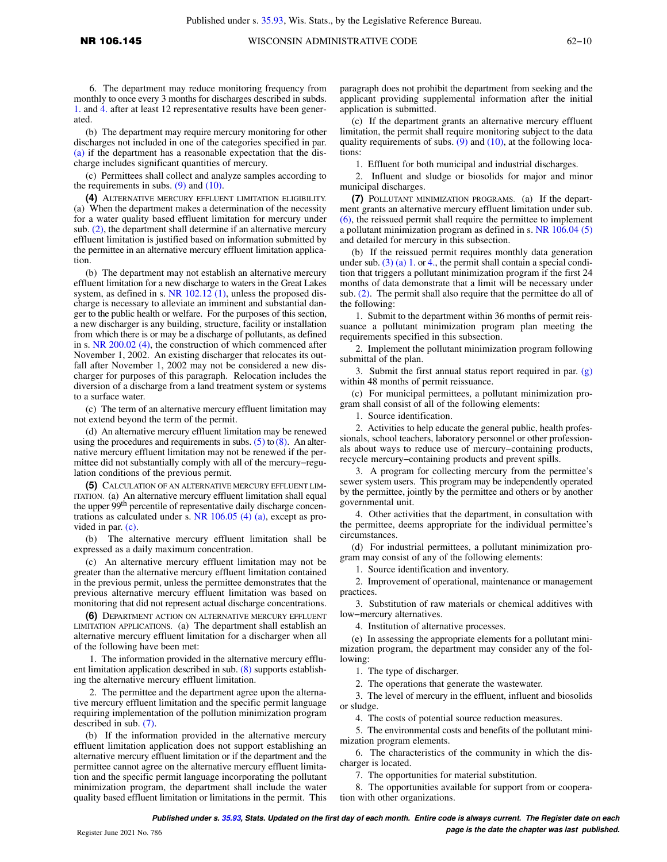6. The department may reduce monitoring frequency from monthly to once every 3 months for discharges described in subds. [1.](https://docs.legis.wisconsin.gov/document/administrativecode/NR%20106.145(3)(a)1.) and [4.](https://docs.legis.wisconsin.gov/document/administrativecode/NR%20106.145(3)(a)4.) after at least 12 representative results have been generated.

(b) The department may require mercury monitoring for other discharges not included in one of the categories specified in par. [\(a\)](https://docs.legis.wisconsin.gov/document/administrativecode/NR%20106.145(3)(a)) if the department has a reasonable expectation that the discharge includes significant quantities of mercury.

(c) Permittees shall collect and analyze samples according to the requirements in subs.  $(9)$  and  $(10)$ .

**(4)** ALTERNATIVE MERCURY EFFLUENT LIMITATION ELIGIBILITY. (a) When the department makes a determination of the necessity for a water quality based effluent limitation for mercury under sub. [\(2\)](https://docs.legis.wisconsin.gov/document/administrativecode/NR%20106.145(2)), the department shall determine if an alternative mercury effluent limitation is justified based on information submitted by the permittee in an alternative mercury effluent limitation application.

(b) The department may not establish an alternative mercury effluent limitation for a new discharge to waters in the Great Lakes system, as defined in s. [NR 102.12 \(1\),](https://docs.legis.wisconsin.gov/document/administrativecode/NR%20102.12(1)) unless the proposed discharge is necessary to alleviate an imminent and substantial danger to the public health or welfare. For the purposes of this section, a new discharger is any building, structure, facility or installation from which there is or may be a discharge of pollutants, as defined in s. [NR 200.02 \(4\),](https://docs.legis.wisconsin.gov/document/administrativecode/NR%20200.02(4)) the construction of which commenced after November 1, 2002. An existing discharger that relocates its outfall after November 1, 2002 may not be considered a new discharger for purposes of this paragraph. Relocation includes the diversion of a discharge from a land treatment system or systems to a surface water.

(c) The term of an alternative mercury effluent limitation may not extend beyond the term of the permit.

(d) An alternative mercury effluent limitation may be renewed using the procedures and requirements in subs.  $(5)$  to  $(8)$ . An alternative mercury effluent limitation may not be renewed if the permittee did not substantially comply with all of the mercury−regulation conditions of the previous permit.

**(5)** CALCULATION OF AN ALTERNATIVE MERCURY EFFLUENT LIM-ITATION. (a) An alternative mercury effluent limitation shall equal the upper 99<sup>th</sup> percentile of representative daily discharge concentrations as calculated under s. [NR 106.05 \(4\) \(a\),](https://docs.legis.wisconsin.gov/document/administrativecode/NR%20106.05(4)(a)) except as provided in par. [\(c\)](https://docs.legis.wisconsin.gov/document/administrativecode/NR%20106.145(5)(c)).

(b) The alternative mercury effluent limitation shall be expressed as a daily maximum concentration.

(c) An alternative mercury effluent limitation may not be greater than the alternative mercury effluent limitation contained in the previous permit, unless the permittee demonstrates that the previous alternative mercury effluent limitation was based on monitoring that did not represent actual discharge concentrations.

**(6)** DEPARTMENT ACTION ON ALTERNATIVE MERCURY EFFLUENT LIMITATION APPLICATIONS. (a) The department shall establish an alternative mercury effluent limitation for a discharger when all of the following have been met:

1. The information provided in the alternative mercury effluent limitation application described in sub. [\(8\)](https://docs.legis.wisconsin.gov/document/administrativecode/NR%20106.145(8)) supports establishing the alternative mercury effluent limitation.

2. The permittee and the department agree upon the alternative mercury effluent limitation and the specific permit language requiring implementation of the pollution minimization program described in sub. [\(7\).](https://docs.legis.wisconsin.gov/document/administrativecode/NR%20106.145(7))

(b) If the information provided in the alternative mercury effluent limitation application does not support establishing an alternative mercury effluent limitation or if the department and the permittee cannot agree on the alternative mercury effluent limitation and the specific permit language incorporating the pollutant minimization program, the department shall include the water quality based effluent limitation or limitations in the permit. This

paragraph does not prohibit the department from seeking and the applicant providing supplemental information after the initial application is submitted.

(c) If the department grants an alternative mercury effluent limitation, the permit shall require monitoring subject to the data quality requirements of subs.  $(9)$  and  $(10)$ , at the following locations:

1. Effluent for both municipal and industrial discharges.

2. Influent and sludge or biosolids for major and minor municipal discharges.

**(7)** POLLUTANT MINIMIZATION PROGRAMS. (a) If the department grants an alternative mercury effluent limitation under sub. [\(6\),](https://docs.legis.wisconsin.gov/document/administrativecode/NR%20106.145(6)) the reissued permit shall require the permittee to implement a pollutant minimization program as defined in s. [NR 106.04 \(5\)](https://docs.legis.wisconsin.gov/document/administrativecode/NR%20106.04(5)) and detailed for mercury in this subsection.

(b) If the reissued permit requires monthly data generation under sub.  $(3)$  (a) 1. or [4.,](https://docs.legis.wisconsin.gov/document/administrativecode/NR%20106.145(3)(a)4.) the permit shall contain a special condition that triggers a pollutant minimization program if the first 24 months of data demonstrate that a limit will be necessary under sub. [\(2\)](https://docs.legis.wisconsin.gov/document/administrativecode/NR%20106.145(2)). The permit shall also require that the permittee do all of the following:

1. Submit to the department within 36 months of permit reissuance a pollutant minimization program plan meeting the requirements specified in this subsection.

2. Implement the pollutant minimization program following submittal of the plan.

3. Submit the first annual status report required in par. [\(g\)](https://docs.legis.wisconsin.gov/document/administrativecode/NR%20106.145(7)(g)) within 48 months of permit reissuance.

(c) For municipal permittees, a pollutant minimization program shall consist of all of the following elements:

1. Source identification.

2. Activities to help educate the general public, health professionals, school teachers, laboratory personnel or other professionals about ways to reduce use of mercury−containing products, recycle mercury−containing products and prevent spills.

3. A program for collecting mercury from the permittee's sewer system users. This program may be independently operated by the permittee, jointly by the permittee and others or by another governmental unit.

4. Other activities that the department, in consultation with the permittee, deems appropriate for the individual permittee's circumstances.

(d) For industrial permittees, a pollutant minimization program may consist of any of the following elements:

1. Source identification and inventory.

2. Improvement of operational, maintenance or management practices.

3. Substitution of raw materials or chemical additives with low−mercury alternatives.

4. Institution of alternative processes.

(e) In assessing the appropriate elements for a pollutant minimization program, the department may consider any of the following:

1. The type of discharger.

2. The operations that generate the wastewater.

3. The level of mercury in the effluent, influent and biosolids or sludge.

4. The costs of potential source reduction measures.

5. The environmental costs and benefits of the pollutant minimization program elements.

6. The characteristics of the community in which the discharger is located.

7. The opportunities for material substitution.

8. The opportunities available for support from or cooperation with other organizations.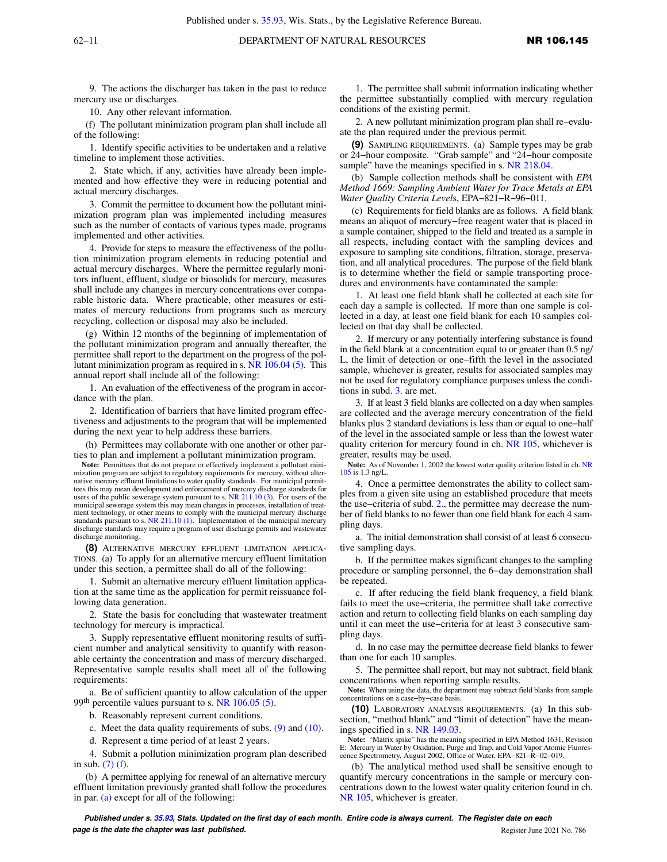9. The actions the discharger has taken in the past to reduce mercury use or discharges.

10. Any other relevant information.

(f) The pollutant minimization program plan shall include all of the following:

1. Identify specific activities to be undertaken and a relative timeline to implement those activities.

2. State which, if any, activities have already been implemented and how effective they were in reducing potential and actual mercury discharges.

3. Commit the permittee to document how the pollutant minimization program plan was implemented including measures such as the number of contacts of various types made, programs implemented and other activities.

4. Provide for steps to measure the effectiveness of the pollution minimization program elements in reducing potential and actual mercury discharges. Where the permittee regularly monitors influent, effluent, sludge or biosolids for mercury, measures shall include any changes in mercury concentrations over comparable historic data. Where practicable, other measures or estimates of mercury reductions from programs such as mercury recycling, collection or disposal may also be included.

(g) Within 12 months of the beginning of implementation of the pollutant minimization program and annually thereafter, the permittee shall report to the department on the progress of the pollutant minimization program as required in s. [NR 106.04 \(5\).](https://docs.legis.wisconsin.gov/document/administrativecode/NR%20106.04(5)) This annual report shall include all of the following:

1. An evaluation of the effectiveness of the program in accordance with the plan.

2. Identification of barriers that have limited program effectiveness and adjustments to the program that will be implemented during the next year to help address these barriers.

(h) Permittees may collaborate with one another or other parties to plan and implement a pollutant minimization program.

**Note:** Permittees that do not prepare or effectively implement a pollutant minimization program are subject to regulatory requirements for mercury, without alter-native mercury effluent limitations to water quality standards. For municipal permittees this may mean development and enforcement of mercury discharge standards for users of the public sewerage system pursuant to s. [NR 211.10 \(3\).](https://docs.legis.wisconsin.gov/document/administrativecode/NR%20211.10(3)) For users of the municipal sewerage system this may mean changes in processes, installation of treat-ment technology, or other means to comply with the municipal mercury discharge standards pursuant to s. [NR 211.10 \(1\).](https://docs.legis.wisconsin.gov/document/administrativecode/NR%20211.10(1)) Implementation of the municipal mercury discharge standards may require a program of user discharge permits and wastewater discharge monitoring.

**(8)** ALTERNATIVE MERCURY EFFLUENT LIMITATION APPLICA-TIONS. (a) To apply for an alternative mercury effluent limitation under this section, a permittee shall do all of the following:

1. Submit an alternative mercury effluent limitation application at the same time as the application for permit reissuance following data generation.

2. State the basis for concluding that wastewater treatment technology for mercury is impractical.

3. Supply representative effluent monitoring results of sufficient number and analytical sensitivity to quantify with reasonable certainty the concentration and mass of mercury discharged. Representative sample results shall meet all of the following requirements:

a. Be of sufficient quantity to allow calculation of the upper 99<sup>th</sup> percentile values pursuant to s. [NR 106.05 \(5\)](https://docs.legis.wisconsin.gov/document/administrativecode/NR%20106.05(5)).

b. Reasonably represent current conditions.

c. Meet the data quality requirements of subs. [\(9\)](https://docs.legis.wisconsin.gov/document/administrativecode/NR%20106.145(9)) and [\(10\)](https://docs.legis.wisconsin.gov/document/administrativecode/NR%20106.145(10)).

d. Represent a time period of at least 2 years.

4. Submit a pollution minimization program plan described in sub. [\(7\) \(f\).](https://docs.legis.wisconsin.gov/document/administrativecode/NR%20106.145(7)(f))

(b) A permittee applying for renewal of an alternative mercury effluent limitation previously granted shall follow the procedures in par. [\(a\)](https://docs.legis.wisconsin.gov/document/administrativecode/NR%20106.145(8)(a)) except for all of the following:

1. The permittee shall submit information indicating whether the permittee substantially complied with mercury regulation conditions of the existing permit.

2. A new pollutant minimization program plan shall re−evaluate the plan required under the previous permit.

**(9)** SAMPLING REQUIREMENTS. (a) Sample types may be grab or 24−hour composite. "Grab sample" and "24−hour composite sample" have the meanings specified in s. [NR 218.04.](https://docs.legis.wisconsin.gov/document/administrativecode/NR%20218.04)

(b) Sample collection methods shall be consistent with *EPA Method 1669: Sampling Ambient Water for Trace Metals at EPA Water Quality Criteria Level*s, EPA−821−R−96−011.

(c) Requirements for field blanks are as follows. A field blank means an aliquot of mercury−free reagent water that is placed in a sample container, shipped to the field and treated as a sample in all respects, including contact with the sampling devices and exposure to sampling site conditions, filtration, storage, preservation, and all analytical procedures. The purpose of the field blank is to determine whether the field or sample transporting procedures and environments have contaminated the sample:

1. At least one field blank shall be collected at each site for each day a sample is collected. If more than one sample is collected in a day, at least one field blank for each 10 samples collected on that day shall be collected.

2. If mercury or any potentially interfering substance is found in the field blank at a concentration equal to or greater than 0.5 ng/ L, the limit of detection or one−fifth the level in the associated sample, whichever is greater, results for associated samples may not be used for regulatory compliance purposes unless the conditions in subd. [3.](https://docs.legis.wisconsin.gov/document/administrativecode/NR%20106.145(9)(c)3.) are met.

3. If at least 3 field blanks are collected on a day when samples are collected and the average mercury concentration of the field blanks plus 2 standard deviations is less than or equal to one−half of the level in the associated sample or less than the lowest water quality criterion for mercury found in ch. [NR 105](https://docs.legis.wisconsin.gov/document/administrativecode/ch.%20NR%20105), whichever is greater, results may be used.

**Note:** As of November 1, 2002 the lowest water quality criterion listed in ch. [NR](https://docs.legis.wisconsin.gov/document/administrativecode/ch.%20NR%20105) [105](https://docs.legis.wisconsin.gov/document/administrativecode/ch.%20NR%20105) is 1.3 ng/L.

4. Once a permittee demonstrates the ability to collect samples from a given site using an established procedure that meets the use−criteria of subd. [2.](https://docs.legis.wisconsin.gov/document/administrativecode/NR%20106.145(9)(c)2.), the permittee may decrease the number of field blanks to no fewer than one field blank for each 4 sampling days.

a. The initial demonstration shall consist of at least 6 consecutive sampling days.

b. If the permittee makes significant changes to the sampling procedure or sampling personnel, the 6−day demonstration shall be repeated.

c. If after reducing the field blank frequency, a field blank fails to meet the use−criteria, the permittee shall take corrective action and return to collecting field blanks on each sampling day until it can meet the use−criteria for at least 3 consecutive sampling days.

d. In no case may the permittee decrease field blanks to fewer than one for each 10 samples.

5. The permittee shall report, but may not subtract, field blank concentrations when reporting sample results.

**Note:** When using the data, the department may subtract field blanks from sample concentrations on a case−by−case basis.

**(10)** LABORATORY ANALYSIS REQUIREMENTS. (a) In this subsection, "method blank" and "limit of detection" have the meanings specified in s. [NR 149.03](https://docs.legis.wisconsin.gov/document/administrativecode/NR%20149.03).

**Note:** "Matrix spike" has the meaning specified in EPA Method 1631, Revision E: Mercury in Water by Oxidation, Purge and Trap, and Cold Vapor Atomic Fluores-cence Spectrometry, August 2002, Office of Water, EPA−821−R−02−019.

(b) The analytical method used shall be sensitive enough to quantify mercury concentrations in the sample or mercury concentrations down to the lowest water quality criterion found in ch. [NR 105](https://docs.legis.wisconsin.gov/document/administrativecode/ch.%20NR%20105), whichever is greater.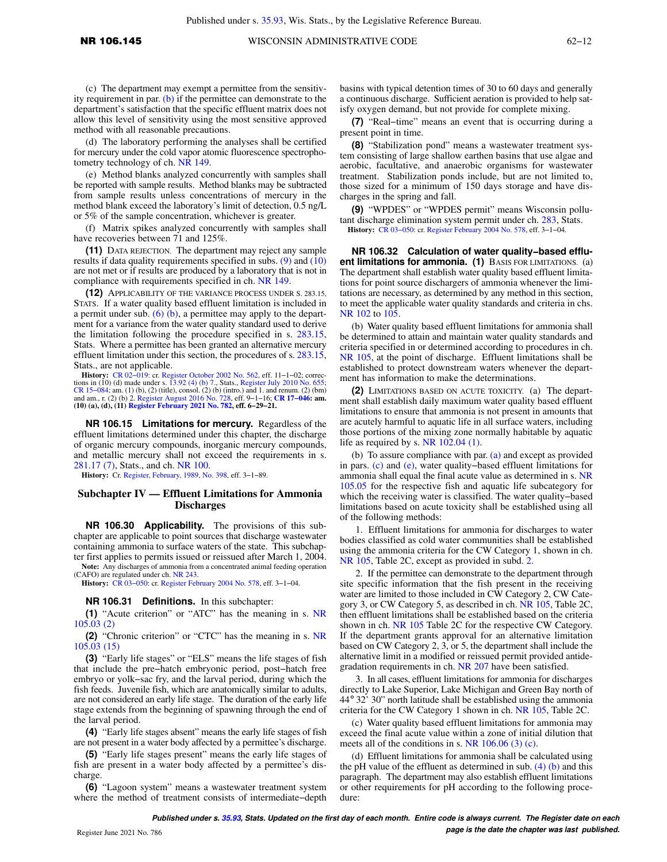(c) The department may exempt a permittee from the sensitivity requirement in par.  $(b)$  if the permittee can demonstrate to the department's satisfaction that the specific effluent matrix does not allow this level of sensitivity using the most sensitive approved method with all reasonable precautions.

(d) The laboratory performing the analyses shall be certified for mercury under the cold vapor atomic fluorescence spectrophotometry technology of ch. [NR 149.](https://docs.legis.wisconsin.gov/document/administrativecode/ch.%20NR%20149)

(e) Method blanks analyzed concurrently with samples shall be reported with sample results. Method blanks may be subtracted from sample results unless concentrations of mercury in the method blank exceed the laboratory's limit of detection, 0.5 ng/L or 5% of the sample concentration, whichever is greater.

(f) Matrix spikes analyzed concurrently with samples shall have recoveries between 71 and 125%.

**(11)** DATA REJECTION. The department may reject any sample results if data quality requirements specified in subs. [\(9\)](https://docs.legis.wisconsin.gov/document/administrativecode/NR%20106.145(9)) and [\(10\)](https://docs.legis.wisconsin.gov/document/administrativecode/NR%20106.145(10)) are not met or if results are produced by a laboratory that is not in compliance with requirements specified in ch. [NR 149](https://docs.legis.wisconsin.gov/document/administrativecode/ch.%20NR%20149).

**(12)** APPLICABILITY OF THE VARIANCE PROCESS UNDER S. 283.15, STATS. If a water quality based effluent limitation is included in a permit under sub.  $(6)$   $(b)$ , a permittee may apply to the department for a variance from the water quality standard used to derive the limitation following the procedure specified in s. [283.15,](https://docs.legis.wisconsin.gov/document/statutes/283.15) Stats. Where a permittee has been granted an alternative mercury effluent limitation under this section, the procedures of s. [283.15,](https://docs.legis.wisconsin.gov/document/statutes/283.15) Stats., are not applicable.

**History:** [CR 02−019](https://docs.legis.wisconsin.gov/document/cr/2002/19): cr. [Register October 2002 No. 562,](https://docs.legis.wisconsin.gov/document/register/562/B/toc) eff. 11−1−02; correc-tions in (10) (d) made under s. [13.92 \(4\) \(b\) 7.](https://docs.legis.wisconsin.gov/document/statutes/13.92(4)(b)7.), Stats., [Register July 2010 No. 655;](https://docs.legis.wisconsin.gov/document/register/655/B/toc) CR 15–084; am. (1) (b), (2) (title), consol. (2) (b) (intro.) and 1. and renum. (2) (bm)<br>and am., r. (2) (b) 2. [Register August 2016 No. 728,](https://docs.legis.wisconsin.gov/document/register/728/B/toc) eff. 9–1–16; CR 17–**046: am.**<br>(10) (a), (d), (11) [Register February 2021 No. 782](https://docs.legis.wisconsin.gov/document/register/782/B/toc)

**NR 106.15 Limitations for mercury.** Regardless of the effluent limitations determined under this chapter, the discharge of organic mercury compounds, inorganic mercury compounds, and metallic mercury shall not exceed the requirements in s. [281.17 \(7\),](https://docs.legis.wisconsin.gov/document/statutes/281.17(7)) Stats., and ch. [NR 100](https://docs.legis.wisconsin.gov/document/administrativecode/ch.%20NR%20100).

**History:** Cr. [Register, February, 1989, No. 398,](https://docs.legis.wisconsin.gov/document/register/398/B/toc) eff. 3−1−89.

#### **Subchapter IV — Effluent Limitations for Ammonia Discharges**

**NR 106.30 Applicability.** The provisions of this subchapter are applicable to point sources that discharge wastewater containing ammonia to surface waters of the state. This subchapter first applies to permits issued or reissued after March 1, 2004.

**Note:** Any discharges of ammonia from a concentrated animal feeding operation (CAFO) are regulated under ch. [NR 243.](https://docs.legis.wisconsin.gov/document/administrativecode/ch.%20NR%20243)

**History:** [CR 03−050](https://docs.legis.wisconsin.gov/document/cr/2003/50): cr. [Register February 2004 No. 578](https://docs.legis.wisconsin.gov/document/register/578/B/toc), eff. 3−1−04.

## **NR 106.31 Definitions.** In this subchapter:

**(1)** "Acute criterion" or "ATC" has the meaning in s. [NR](https://docs.legis.wisconsin.gov/document/administrativecode/NR%20105.03(2)) [105.03 \(2\)](https://docs.legis.wisconsin.gov/document/administrativecode/NR%20105.03(2))

**(2)** "Chronic criterion" or "CTC" has the meaning in s. [NR](https://docs.legis.wisconsin.gov/document/administrativecode/NR%20105.03(15)) [105.03 \(15\)](https://docs.legis.wisconsin.gov/document/administrativecode/NR%20105.03(15))

**(3)** "Early life stages" or "ELS" means the life stages of fish that include the pre−hatch embryonic period, post−hatch free embryo or yolk−sac fry, and the larval period, during which the fish feeds. Juvenile fish, which are anatomically similar to adults, are not considered an early life stage. The duration of the early life stage extends from the beginning of spawning through the end of the larval period.

**(4)** "Early life stages absent" means the early life stages of fish are not present in a water body affected by a permittee's discharge.

**(5)** "Early life stages present" means the early life stages of fish are present in a water body affected by a permittee's discharge.

**(6)** "Lagoon system" means a wastewater treatment system where the method of treatment consists of intermediate−depth basins with typical detention times of 30 to 60 days and generally a continuous discharge. Sufficient aeration is provided to help satisfy oxygen demand, but not provide for complete mixing.

**(7)** "Real−time" means an event that is occurring during a present point in time.

**(8)** "Stabilization pond" means a wastewater treatment system consisting of large shallow earthen basins that use algae and aerobic, facultative, and anaerobic organisms for wastewater treatment. Stabilization ponds include, but are not limited to, those sized for a minimum of 150 days storage and have discharges in the spring and fall.

**(9)** "WPDES" or "WPDES permit" means Wisconsin pollutant discharge elimination system permit under ch. [283,](https://docs.legis.wisconsin.gov/document/statutes/ch.%20283) Stats. **History:** [CR 03−050:](https://docs.legis.wisconsin.gov/document/cr/2003/50) cr. [Register February 2004 No. 578,](https://docs.legis.wisconsin.gov/document/register/578/B/toc) eff. 3−1−04.

**NR 106.32 Calculation of water quality−based effluent limitations for ammonia. (1)** BASIS FOR LIMITATIONS. (a) The department shall establish water quality based effluent limitations for point source dischargers of ammonia whenever the limitations are necessary, as determined by any method in this section, to meet the applicable water quality standards and criteria in chs. [NR 102](https://docs.legis.wisconsin.gov/document/administrativecode/ch.%20NR%20102) to [105.](https://docs.legis.wisconsin.gov/document/administrativecode/ch.%20NR%20105)

(b) Water quality based effluent limitations for ammonia shall be determined to attain and maintain water quality standards and criteria specified in or determined according to procedures in ch. [NR 105,](https://docs.legis.wisconsin.gov/document/administrativecode/ch.%20NR%20105) at the point of discharge. Effluent limitations shall be established to protect downstream waters whenever the department has information to make the determinations.

**(2)** LIMITATIONS BASED ON ACUTE TOXICITY. (a) The department shall establish daily maximum water quality based effluent limitations to ensure that ammonia is not present in amounts that are acutely harmful to aquatic life in all surface waters, including those portions of the mixing zone normally habitable by aquatic life as required by s. [NR 102.04 \(1\).](https://docs.legis.wisconsin.gov/document/administrativecode/NR%20102.04(1))

(b) To assure compliance with par. [\(a\)](https://docs.legis.wisconsin.gov/document/administrativecode/NR%20106.32(2)(a)) and except as provided in pars. [\(c\)](https://docs.legis.wisconsin.gov/document/administrativecode/NR%20106.32(2)(c)) and [\(e\),](https://docs.legis.wisconsin.gov/document/administrativecode/NR%20106.32(2)(e)) water quality−based effluent limitations for ammonia shall equal the final acute value as determined in s. [NR](https://docs.legis.wisconsin.gov/document/administrativecode/NR%20105.05) [105.05](https://docs.legis.wisconsin.gov/document/administrativecode/NR%20105.05) for the respective fish and aquatic life subcategory for which the receiving water is classified. The water quality−based limitations based on acute toxicity shall be established using all of the following methods:

1. Effluent limitations for ammonia for discharges to water bodies classified as cold water communities shall be established using the ammonia criteria for the CW Category 1, shown in ch. [NR 105](https://docs.legis.wisconsin.gov/document/administrativecode/ch.%20NR%20105), Table 2C, except as provided in subd. [2.](https://docs.legis.wisconsin.gov/document/administrativecode/NR%20106.32(2)(b)2.)

2. If the permittee can demonstrate to the department through site specific information that the fish present in the receiving water are limited to those included in CW Category 2, CW Category 3, or CW Category 5, as described in ch. [NR 105](https://docs.legis.wisconsin.gov/document/administrativecode/ch.%20NR%20105), Table 2C, then effluent limitations shall be established based on the criteria shown in ch. [NR 105](https://docs.legis.wisconsin.gov/document/administrativecode/ch.%20NR%20105) Table 2C for the respective CW Category. If the department grants approval for an alternative limitation based on CW Category 2, 3, or 5, the department shall include the alternative limit in a modified or reissued permit provided antidegradation requirements in ch. [NR 207](https://docs.legis.wisconsin.gov/document/administrativecode/ch.%20NR%20207) have been satisfied.

3. In all cases, effluent limitations for ammonia for discharges directly to Lake Superior, Lake Michigan and Green Bay north of 44° 32' 30" north latitude shall be established using the ammonia criteria for the CW Category 1 shown in ch. [NR 105,](https://docs.legis.wisconsin.gov/document/administrativecode/ch.%20NR%20105) Table 2C.

(c) Water quality based effluent limitations for ammonia may exceed the final acute value within a zone of initial dilution that meets all of the conditions in s. NR  $106.06$  (3) (c).

(d) Effluent limitations for ammonia shall be calculated using the pH value of the effluent as determined in sub.  $(4)$  (b) and this paragraph. The department may also establish effluent limitations or other requirements for pH according to the following procedure: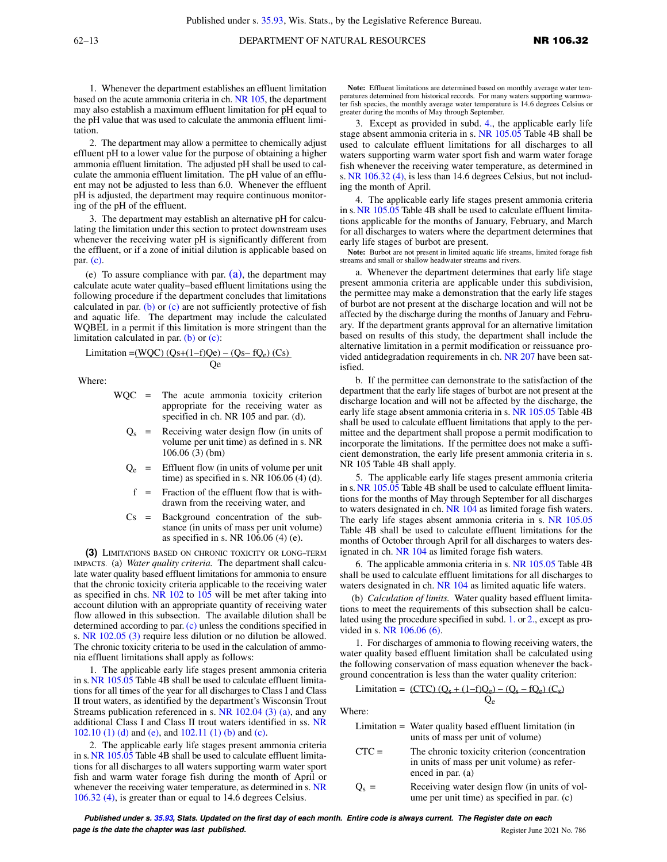1. Whenever the department establishes an effluent limitation based on the acute ammonia criteria in ch. [NR 105](https://docs.legis.wisconsin.gov/document/administrativecode/ch.%20NR%20105), the department may also establish a maximum effluent limitation for pH equal to the pH value that was used to calculate the ammonia effluent limitation.

2. The department may allow a permittee to chemically adjust effluent pH to a lower value for the purpose of obtaining a higher ammonia effluent limitation. The adjusted pH shall be used to calculate the ammonia effluent limitation. The pH value of an effluent may not be adjusted to less than 6.0. Whenever the effluent pH is adjusted, the department may require continuous monitoring of the pH of the effluent.

3. The department may establish an alternative pH for calculating the limitation under this section to protect downstream uses whenever the receiving water pH is significantly different from the effluent, or if a zone of initial dilution is applicable based on par. [\(c\)](https://docs.legis.wisconsin.gov/document/administrativecode/NR%20106.32(2)(c)).

(e) To assure compliance with par.  $(a)$ , the department may calculate acute water quality−based effluent limitations using the following procedure if the department concludes that limitations calculated in par. [\(b\)](https://docs.legis.wisconsin.gov/document/administrativecode/NR%20106.32(2)(b)) or  $(c)$  are not sufficiently protective of fish and aquatic life. The department may include the calculated WQBEL in a permit if this limitation is more stringent than the limitation calculated in par. [\(b\)](https://docs.legis.wisconsin.gov/document/administrativecode/NR%20106.32(2)(b)) or [\(c\):](https://docs.legis.wisconsin.gov/document/administrativecode/NR%20106.32(2)(c))

$$
Limitation = (WQC) (Qs + (1-f)Qe) - (Qs - fQe) (Cs)
$$
  
Qe

Where:

- WQC = The acute ammonia toxicity criterion appropriate for the receiving water as specified in ch. NR 105 and par. (d).
	- $Q<sub>s</sub>$  = Receiving water design flow (in units of volume per unit time) as defined in s. NR 106.06 (3) (bm)
	- $Q_e$  = Effluent flow (in units of volume per unit time) as specified in s. NR 106.06 (4) (d).
	- $f =$  Fraction of the effluent flow that is withdrawn from the receiving water, and
	- Cs = Background concentration of the substance (in units of mass per unit volume) as specified in s. NR 106.06 (4) (e).

**(3)** LIMITATIONS BASED ON CHRONIC TOXICITY OR LONG−TERM IMPACTS. (a) *Water quality criteria.* The department shall calculate water quality based effluent limitations for ammonia to ensure that the chronic toxicity criteria applicable to the receiving water as specified in chs. NR  $102$  to  $105$  will be met after taking into account dilution with an appropriate quantity of receiving water flow allowed in this subsection. The available dilution shall be determined according to par. [\(c\)](https://docs.legis.wisconsin.gov/document/administrativecode/NR%20106.32(3)(c)) unless the conditions specified in s. [NR 102.05 \(3\)](https://docs.legis.wisconsin.gov/document/administrativecode/NR%20102.05(3)) require less dilution or no dilution be allowed. The chronic toxicity criteria to be used in the calculation of ammonia effluent limitations shall apply as follows:

1. The applicable early life stages present ammonia criteria in s. [NR 105.05](https://docs.legis.wisconsin.gov/document/administrativecode/NR%20105.05) Table 4B shall be used to calculate effluent limitations for all times of the year for all discharges to Class I and Class II trout waters, as identified by the department's Wisconsin Trout Streams publication referenced in s. [NR 102.04 \(3\) \(a\),](https://docs.legis.wisconsin.gov/document/administrativecode/NR%20102.04(3)(a)) and any additional Class I and Class II trout waters identified in ss. [NR](https://docs.legis.wisconsin.gov/document/administrativecode/NR%20102.10(1)(d))  $102.10$  (1) (d) and [\(e\),](https://docs.legis.wisconsin.gov/document/administrativecode/NR%20102.10(1)(e)) and  $102.11$  (1) (b) and [\(c\).](https://docs.legis.wisconsin.gov/document/administrativecode/NR%20102.11(1)(c))

2. The applicable early life stages present ammonia criteria in s. [NR 105.05](https://docs.legis.wisconsin.gov/document/administrativecode/NR%20105.05) Table 4B shall be used to calculate effluent limitations for all discharges to all waters supporting warm water sport fish and warm water forage fish during the month of April or whenever the receiving water temperature, as determined in s. [NR](https://docs.legis.wisconsin.gov/document/administrativecode/NR%20106.32(4)) [106.32 \(4\),](https://docs.legis.wisconsin.gov/document/administrativecode/NR%20106.32(4)) is greater than or equal to 14.6 degrees Celsius.

**Note:** Effluent limitations are determined based on monthly average water temperatures determined from historical records. For many waters supporting warmwa-ter fish species, the monthly average water temperature is 14.6 degrees Celsius or greater during the months of May through September.

3. Except as provided in subd. [4.,](https://docs.legis.wisconsin.gov/document/administrativecode/NR%20106.32(3)(a)4.) the applicable early life stage absent ammonia criteria in s. [NR 105.05](https://docs.legis.wisconsin.gov/document/administrativecode/NR%20105.05) Table 4B shall be used to calculate effluent limitations for all discharges to all waters supporting warm water sport fish and warm water forage fish whenever the receiving water temperature, as determined in s. [NR 106.32 \(4\),](https://docs.legis.wisconsin.gov/document/administrativecode/NR%20106.32(4)) is less than 14.6 degrees Celsius, but not including the month of April.

4. The applicable early life stages present ammonia criteria in s. [NR 105.05](https://docs.legis.wisconsin.gov/document/administrativecode/NR%20105.05) Table 4B shall be used to calculate effluent limitations applicable for the months of January, February, and March for all discharges to waters where the department determines that early life stages of burbot are present.

**Note:** Burbot are not present in limited aquatic life streams, limited forage fish streams and small or shallow headwater streams and rivers.

a. Whenever the department determines that early life stage present ammonia criteria are applicable under this subdivision, the permittee may make a demonstration that the early life stages of burbot are not present at the discharge location and will not be affected by the discharge during the months of January and February. If the department grants approval for an alternative limitation based on results of this study, the department shall include the alternative limitation in a permit modification or reissuance provided antidegradation requirements in ch. [NR 207](https://docs.legis.wisconsin.gov/document/administrativecode/ch.%20NR%20207) have been satisfied.

b. If the permittee can demonstrate to the satisfaction of the department that the early life stages of burbot are not present at the discharge location and will not be affected by the discharge, the early life stage absent ammonia criteria in s. [NR 105.05](https://docs.legis.wisconsin.gov/document/administrativecode/NR%20105.05) Table 4B shall be used to calculate effluent limitations that apply to the permittee and the department shall propose a permit modification to incorporate the limitations. If the permittee does not make a sufficient demonstration, the early life present ammonia criteria in s. NR 105 Table 4B shall apply.

5. The applicable early life stages present ammonia criteria in s. [NR 105.05](https://docs.legis.wisconsin.gov/document/administrativecode/NR%20105.05) Table 4B shall be used to calculate effluent limitations for the months of May through September for all discharges to waters designated in ch. [NR 104](https://docs.legis.wisconsin.gov/document/administrativecode/ch.%20NR%20104) as limited forage fish waters. The early life stages absent ammonia criteria in s. [NR 105.05](https://docs.legis.wisconsin.gov/document/administrativecode/NR%20105.05) Table 4B shall be used to calculate effluent limitations for the months of October through April for all discharges to waters designated in ch. [NR 104](https://docs.legis.wisconsin.gov/document/administrativecode/ch.%20NR%20104) as limited forage fish waters.

6. The applicable ammonia criteria in s. [NR 105.05](https://docs.legis.wisconsin.gov/document/administrativecode/NR%20105.05) Table 4B shall be used to calculate effluent limitations for all discharges to waters designated in ch. [NR 104](https://docs.legis.wisconsin.gov/document/administrativecode/ch.%20NR%20104) as limited aquatic life waters.

(b) *Calculation of limits.* Water quality based effluent limitations to meet the requirements of this subsection shall be calculated using the procedure specified in subd. [1.](https://docs.legis.wisconsin.gov/document/administrativecode/NR%20106.32(3)(b)1.) or [2.](https://docs.legis.wisconsin.gov/document/administrativecode/NR%20106.32(3)(b)2.), except as provided in s. [NR 106.06 \(6\)](https://docs.legis.wisconsin.gov/document/administrativecode/NR%20106.06(6)).

1. For discharges of ammonia to flowing receiving waters, the water quality based effluent limitation shall be calculated using the following conservation of mass equation whenever the background concentration is less than the water quality criterion:

Qe

$$
Limitation = (CTC) (Q_s + (1-f)Q_e) - (Q_s - fQ_e) (C_s)
$$

Where:

|         | Limitation = Water quality based effluent limitation (in<br>units of mass per unit of volume)                       |
|---------|---------------------------------------------------------------------------------------------------------------------|
| $CTC =$ | The chronic toxicity criterion (concentration<br>in units of mass per unit volume) as refer-<br>enced in par. $(a)$ |
|         | n : , , , n a , , c ,                                                                                               |

 $Q_{\rm s}$  = Receiving water design flow (in units of volume per unit time) as specified in par. (c)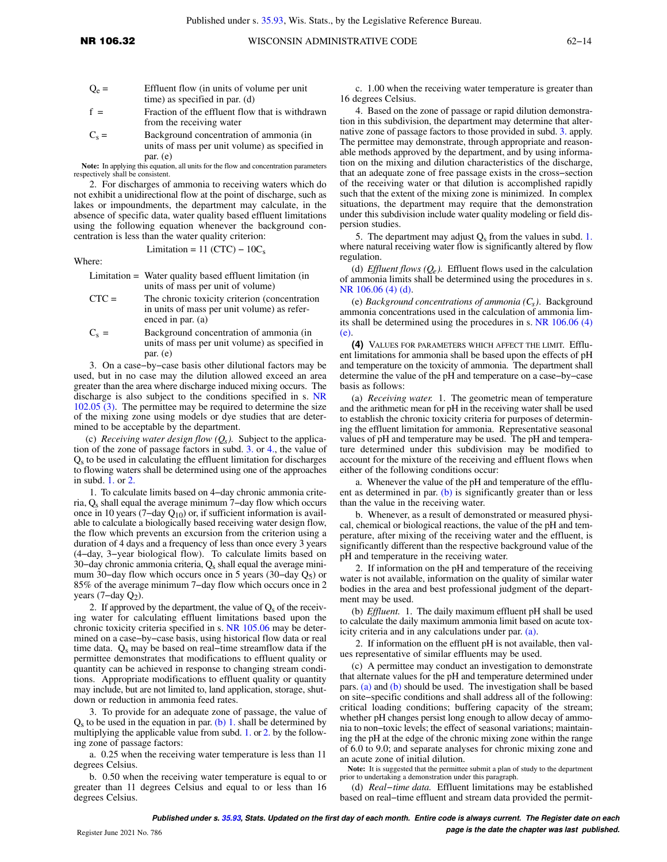$$
Q_e
$$
 = **Effluent flow (in units of volume per unit time) as specified in par. (d)**

- $f =$  Fraction of the effluent flow that is withdrawn from the receiving water
- $C_s =$ Background concentration of ammonia (in units of mass per unit volume) as specified in par. (e)

**Note:** In applying this equation, all units for the flow and concentration parameters respectively shall be consistent.

2. For discharges of ammonia to receiving waters which do not exhibit a unidirectional flow at the point of discharge, such as lakes or impoundments, the department may calculate, in the absence of specific data, water quality based effluent limitations using the following equation whenever the background concentration is less than the water quality criterion:

Where:

Limitation = Water quality based effluent limitation (in units of mass per unit of volume)

Limitation =  $11$  (CTC) –  $10C_s$ 

- CTC = The chronic toxicity criterion (concentration in units of mass per unit volume) as referenced in par. (a)
- $C_s =$ Background concentration of ammonia (in units of mass per unit volume) as specified in par. (e)

3. On a case−by−case basis other dilutional factors may be used, but in no case may the dilution allowed exceed an area greater than the area where discharge induced mixing occurs. The discharge is also subject to the conditions specified in s. [NR](https://docs.legis.wisconsin.gov/document/administrativecode/NR%20102.05(3)) [102.05 \(3\)](https://docs.legis.wisconsin.gov/document/administrativecode/NR%20102.05(3)). The permittee may be required to determine the size of the mixing zone using models or dye studies that are determined to be acceptable by the department.

(c) *Receiving water design flow (Qs ).* Subject to the application of the zone of passage factors in subd. [3.](https://docs.legis.wisconsin.gov/document/administrativecode/NR%20106.32(3)(c)3.) or [4.](https://docs.legis.wisconsin.gov/document/administrativecode/NR%20106.32(3)(c)4.), the value of  $Q<sub>s</sub>$  to be used in calculating the effluent limitation for discharges to flowing waters shall be determined using one of the approaches in subd. [1.](https://docs.legis.wisconsin.gov/document/administrativecode/NR%20106.32(3)(c)1.) or [2.](https://docs.legis.wisconsin.gov/document/administrativecode/NR%20106.32(3)(c)2.)

1. To calculate limits based on 4−day chronic ammonia criteria, Qs shall equal the average minimum 7−day flow which occurs once in 10 years (7–day  $Q_{10}$ ) or, if sufficient information is available to calculate a biologically based receiving water design flow, the flow which prevents an excursion from the criterion using a duration of 4 days and a frequency of less than once every 3 years (4−day, 3−year biological flow). To calculate limits based on 30-day chronic ammonia criteria, Q<sub>s</sub> shall equal the average minimum 30−day flow which occurs once in 5 years (30−day Q5) or 85% of the average minimum 7−day flow which occurs once in 2 years (7–day  $Q_2$ ).

2. If approved by the department, the value of  $Q_s$  of the receiving water for calculating effluent limitations based upon the chronic toxicity criteria specified in s. [NR 105.06](https://docs.legis.wisconsin.gov/document/administrativecode/NR%20105.06) may be determined on a case−by−case basis, using historical flow data or real time data. Qs may be based on real−time streamflow data if the permittee demonstrates that modifications to effluent quality or quantity can be achieved in response to changing stream conditions. Appropriate modifications to effluent quality or quantity may include, but are not limited to, land application, storage, shutdown or reduction in ammonia feed rates.

3. To provide for an adequate zone of passage, the value of  $Q_s$  to be used in the equation in par. [\(b\) 1.](https://docs.legis.wisconsin.gov/document/administrativecode/NR%20106.32(3)(b)1.) shall be determined by multiplying the applicable value from subd. [1.](https://docs.legis.wisconsin.gov/document/administrativecode/NR%20106.32(3)(c)1.) or [2.](https://docs.legis.wisconsin.gov/document/administrativecode/NR%20106.32(3)(c)2.) by the following zone of passage factors:

a. 0.25 when the receiving water temperature is less than 11 degrees Celsius.

b. 0.50 when the receiving water temperature is equal to or greater than 11 degrees Celsius and equal to or less than 16 degrees Celsius.

c. 1.00 when the receiving water temperature is greater than 16 degrees Celsius.

4. Based on the zone of passage or rapid dilution demonstration in this subdivision, the department may determine that alternative zone of passage factors to those provided in subd. [3.](https://docs.legis.wisconsin.gov/document/administrativecode/NR%20106.32(3)(c)3.) apply. The permittee may demonstrate, through appropriate and reasonable methods approved by the department, and by using information on the mixing and dilution characteristics of the discharge, that an adequate zone of free passage exists in the cross−section of the receiving water or that dilution is accomplished rapidly such that the extent of the mixing zone is minimized. In complex situations, the department may require that the demonstration under this subdivision include water quality modeling or field dispersion studies.

5. The department may adjust  $Q_s$  from the values in subd. [1.](https://docs.legis.wisconsin.gov/document/administrativecode/NR%20106.32(3)(c)1.) where natural receiving water flow is significantly altered by flow regulation.

(d) *Effluent flows (* $Q_e$ *).* Effluent flows used in the calculation of ammonia limits shall be determined using the procedures in s. [NR 106.06 \(4\) \(d\)](https://docs.legis.wisconsin.gov/document/administrativecode/NR%20106.06(4)(d)).

(e) *Background concentrations of ammonia (Cs )*. Background ammonia concentrations used in the calculation of ammonia limits shall be determined using the procedures in s. [NR 106.06 \(4\)](https://docs.legis.wisconsin.gov/document/administrativecode/NR%20106.06(4)(e))  $(e)$ 

**(4)** VALUES FOR PARAMETERS WHICH AFFECT THE LIMIT. Effluent limitations for ammonia shall be based upon the effects of pH and temperature on the toxicity of ammonia. The department shall determine the value of the pH and temperature on a case−by−case basis as follows:

(a) *Receiving water.* 1. The geometric mean of temperature and the arithmetic mean for pH in the receiving water shall be used to establish the chronic toxicity criteria for purposes of determining the effluent limitation for ammonia. Representative seasonal values of pH and temperature may be used. The pH and temperature determined under this subdivision may be modified to account for the mixture of the receiving and effluent flows when either of the following conditions occur:

a. Whenever the value of the pH and temperature of the efflu-ent as determined in par. [\(b\)](https://docs.legis.wisconsin.gov/document/administrativecode/NR%20106.32(4)(b)) is significantly greater than or less than the value in the receiving water.

b. Whenever, as a result of demonstrated or measured physical, chemical or biological reactions, the value of the pH and temperature, after mixing of the receiving water and the effluent, is significantly different than the respective background value of the pH and temperature in the receiving water.

2. If information on the pH and temperature of the receiving water is not available, information on the quality of similar water bodies in the area and best professional judgment of the department may be used.

(b) *Effluent.* 1. The daily maximum effluent pH shall be used to calculate the daily maximum ammonia limit based on acute toxicity criteria and in any calculations under par. [\(a\)](https://docs.legis.wisconsin.gov/document/administrativecode/NR%20106.32(4)(a)).

2. If information on the effluent pH is not available, then values representative of similar effluents may be used.

(c) A permittee may conduct an investigation to demonstrate that alternate values for the pH and temperature determined under pars. [\(a\)](https://docs.legis.wisconsin.gov/document/administrativecode/NR%20106.32(4)(a)) and [\(b\)](https://docs.legis.wisconsin.gov/document/administrativecode/NR%20106.32(4)(b)) should be used. The investigation shall be based on site−specific conditions and shall address all of the following: critical loading conditions; buffering capacity of the stream; whether pH changes persist long enough to allow decay of ammonia to non−toxic levels; the effect of seasonal variations; maintaining the pH at the edge of the chronic mixing zone within the range of 6.0 to 9.0; and separate analyses for chronic mixing zone and an acute zone of initial dilution.

**Note:** It is suggested that the permittee submit a plan of study to the department prior to undertaking a demonstration under this paragraph.

(d) *Real−time data.* Effluent limitations may be established based on real−time effluent and stream data provided the permit-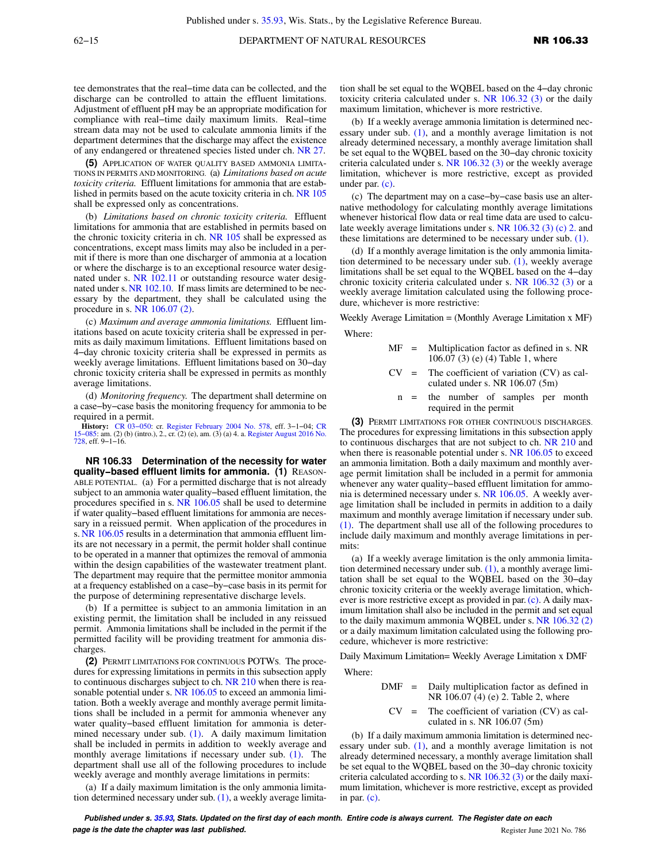tee demonstrates that the real−time data can be collected, and the discharge can be controlled to attain the effluent limitations. Adjustment of effluent pH may be an appropriate modification for compliance with real−time daily maximum limits. Real−time stream data may not be used to calculate ammonia limits if the department determines that the discharge may affect the existence of any endangered or threatened species listed under ch. [NR 27.](https://docs.legis.wisconsin.gov/document/administrativecode/ch.%20NR%2027)

**(5)** APPLICATION OF WATER QUALITY BASED AMMONIA LIMITA-TIONS IN PERMITS AND MONITORING. (a) *Limitations based on acute toxicity criteria.* Effluent limitations for ammonia that are established in permits based on the acute toxicity criteria in ch. [NR 105](https://docs.legis.wisconsin.gov/document/administrativecode/ch.%20NR%20105) shall be expressed only as concentrations.

(b) *Limitations based on chronic toxicity criteria.* Effluent limitations for ammonia that are established in permits based on the chronic toxicity criteria in ch. [NR 105](https://docs.legis.wisconsin.gov/document/administrativecode/ch.%20NR%20105) shall be expressed as concentrations, except mass limits may also be included in a permit if there is more than one discharger of ammonia at a location or where the discharge is to an exceptional resource water designated under s. [NR 102.11](https://docs.legis.wisconsin.gov/document/administrativecode/NR%20102.11) or outstanding resource water designated under s.[NR 102.10](https://docs.legis.wisconsin.gov/document/administrativecode/NR%20102.10). If mass limits are determined to be necessary by the department, they shall be calculated using the procedure in s. [NR 106.07 \(2\)](https://docs.legis.wisconsin.gov/document/administrativecode/NR%20106.07(2)).

(c) *Maximum and average ammonia limitations.* Effluent limitations based on acute toxicity criteria shall be expressed in permits as daily maximum limitations. Effluent limitations based on 4−day chronic toxicity criteria shall be expressed in permits as weekly average limitations. Effluent limitations based on 30−day chronic toxicity criteria shall be expressed in permits as monthly average limitations.

(d) *Monitoring frequency.* The department shall determine on a case−by−case basis the monitoring frequency for ammonia to be required in a permit.

**History:** [CR 03−050:](https://docs.legis.wisconsin.gov/document/cr/2003/50) cr. [Register February 2004 No. 578,](https://docs.legis.wisconsin.gov/document/register/578/B/toc) eff. 3−1−04; [CR](https://docs.legis.wisconsin.gov/document/cr/2015/85) [15−085:](https://docs.legis.wisconsin.gov/document/cr/2015/85) am. (2) (b) (intro.), 2., cr. (2) (e), am. (3) (a) 4. a. [Register August 2016 No.](https://docs.legis.wisconsin.gov/document/register/728/B/toc) [728](https://docs.legis.wisconsin.gov/document/register/728/B/toc), eff. 9−1−16.

**NR 106.33 Determination of the necessity for water quality−based effluent limits for ammonia. (1)** REASON-ABLE POTENTIAL. (a) For a permitted discharge that is not already subject to an ammonia water quality−based effluent limitation, the procedures specified in s. [NR 106.05](https://docs.legis.wisconsin.gov/document/administrativecode/NR%20106.05) shall be used to determine if water quality−based effluent limitations for ammonia are necessary in a reissued permit. When application of the procedures in s. [NR 106.05](https://docs.legis.wisconsin.gov/document/administrativecode/NR%20106.05) results in a determination that ammonia effluent limits are not necessary in a permit, the permit holder shall continue to be operated in a manner that optimizes the removal of ammonia within the design capabilities of the wastewater treatment plant. The department may require that the permittee monitor ammonia at a frequency established on a case−by−case basis in its permit for the purpose of determining representative discharge levels.

(b) If a permittee is subject to an ammonia limitation in an existing permit, the limitation shall be included in any reissued permit. Ammonia limitations shall be included in the permit if the permitted facility will be providing treatment for ammonia discharges.

**(2)** PERMIT LIMITATIONS FOR CONTINUOUS POTWS. The procedures for expressing limitations in permits in this subsection apply to continuous discharges subject to ch. [NR 210](https://docs.legis.wisconsin.gov/document/administrativecode/ch.%20NR%20210) when there is rea-sonable potential under s. [NR 106.05](https://docs.legis.wisconsin.gov/document/administrativecode/NR%20106.05) to exceed an ammonia limitation. Both a weekly average and monthly average permit limitations shall be included in a permit for ammonia whenever any water quality−based effluent limitation for ammonia is determined necessary under sub. [\(1\).](https://docs.legis.wisconsin.gov/document/administrativecode/NR%20106.33(1)) A daily maximum limitation shall be included in permits in addition to weekly average and monthly average limitations if necessary under sub. [\(1\)](https://docs.legis.wisconsin.gov/document/administrativecode/NR%20106.33(1)). The department shall use all of the following procedures to include weekly average and monthly average limitations in permits:

(a) If a daily maximum limitation is the only ammonia limitation determined necessary under sub. [\(1\)](https://docs.legis.wisconsin.gov/document/administrativecode/NR%20106.33(1)), a weekly average limitation shall be set equal to the WQBEL based on the 4−day chronic toxicity criteria calculated under s. [NR 106.32 \(3\)](https://docs.legis.wisconsin.gov/document/administrativecode/NR%20106.32(3)) or the daily maximum limitation, whichever is more restrictive.

(b) If a weekly average ammonia limitation is determined necessary under sub. [\(1\),](https://docs.legis.wisconsin.gov/document/administrativecode/NR%20106.33(1)) and a monthly average limitation is not already determined necessary, a monthly average limitation shall be set equal to the WQBEL based on the 30−day chronic toxicity criteria calculated under s. [NR 106.32 \(3\)](https://docs.legis.wisconsin.gov/document/administrativecode/NR%20106.32(3)) or the weekly average limitation, whichever is more restrictive, except as provided under par. [\(c\).](https://docs.legis.wisconsin.gov/document/administrativecode/NR%20106.33(2)(c))

(c) The department may on a case−by−case basis use an alternative methodology for calculating monthly average limitations whenever historical flow data or real time data are used to calculate weekly average limitations under s. [NR 106.32 \(3\) \(c\) 2.](https://docs.legis.wisconsin.gov/document/administrativecode/NR%20106.32(3)(c)2.) and these limitations are determined to be necessary under sub. [\(1\)](https://docs.legis.wisconsin.gov/document/administrativecode/NR%20106.33(1)).

(d) If a monthly average limitation is the only ammonia limitation determined to be necessary under sub. [\(1\)](https://docs.legis.wisconsin.gov/document/administrativecode/NR%20106.33(1)), weekly average limitations shall be set equal to the WQBEL based on the 4−day chronic toxicity criteria calculated under s. [NR 106.32 \(3\)](https://docs.legis.wisconsin.gov/document/administrativecode/NR%20106.32(3)) or a weekly average limitation calculated using the following procedure, whichever is more restrictive:

Weekly Average Limitation = (Monthly Average Limitation x MF)

Where:

- MF = Multiplication factor as defined in s. NR 106.07 (3) (e) (4) Table 1, where
- $CV =$  The coefficient of variation  $(CV)$  as calculated under s. NR 106.07 (5m)
- n = the number of samples per month required in the permit

**(3)** PERMIT LIMITATIONS FOR OTHER CONTINUOUS DISCHARGES. The procedures for expressing limitations in this subsection apply to continuous discharges that are not subject to ch. [NR 210](https://docs.legis.wisconsin.gov/document/administrativecode/ch.%20NR%20210) and when there is reasonable potential under s. [NR 106.05](https://docs.legis.wisconsin.gov/document/administrativecode/NR%20106.05) to exceed an ammonia limitation. Both a daily maximum and monthly average permit limitation shall be included in a permit for ammonia whenever any water quality−based effluent limitation for ammonia is determined necessary under s. [NR 106.05.](https://docs.legis.wisconsin.gov/document/administrativecode/NR%20106.05) A weekly average limitation shall be included in permits in addition to a daily maximum and monthly average limitation if necessary under sub. [\(1\).](https://docs.legis.wisconsin.gov/document/administrativecode/NR%20106.33(1)) The department shall use all of the following procedures to include daily maximum and monthly average limitations in permits:

(a) If a weekly average limitation is the only ammonia limitation determined necessary under sub. [\(1\),](https://docs.legis.wisconsin.gov/document/administrativecode/NR%20106.33(1)) a monthly average limitation shall be set equal to the WQBEL based on the 30−day chronic toxicity criteria or the weekly average limitation, whichever is more restrictive except as provided in par. [\(c\).](https://docs.legis.wisconsin.gov/document/administrativecode/NR%20106.33(3)(c)) A daily maximum limitation shall also be included in the permit and set equal to the daily maximum ammonia WQBEL under s. [NR 106.32 \(2\)](https://docs.legis.wisconsin.gov/document/administrativecode/NR%20106.32(2)) or a daily maximum limitation calculated using the following procedure, whichever is more restrictive:

Daily Maximum Limitation= Weekly Average Limitation x DMF

Where:

$$
DMF = Daily multiplication factor as defined inNR 106.07 (4) (e) 2. Table 2, where
$$

 $CV =$  The coefficient of variation  $(CV)$  as calculated in s. NR 106.07 (5m)

(b) If a daily maximum ammonia limitation is determined necessary under sub. [\(1\),](https://docs.legis.wisconsin.gov/document/administrativecode/NR%20106.33(1)) and a monthly average limitation is not already determined necessary, a monthly average limitation shall be set equal to the WQBEL based on the 30−day chronic toxicity criteria calculated according to s. NR  $106.32$  (3) or the daily maximum limitation, whichever is more restrictive, except as provided in par. [\(c\)](https://docs.legis.wisconsin.gov/document/administrativecode/NR%20106.33(3)(c)).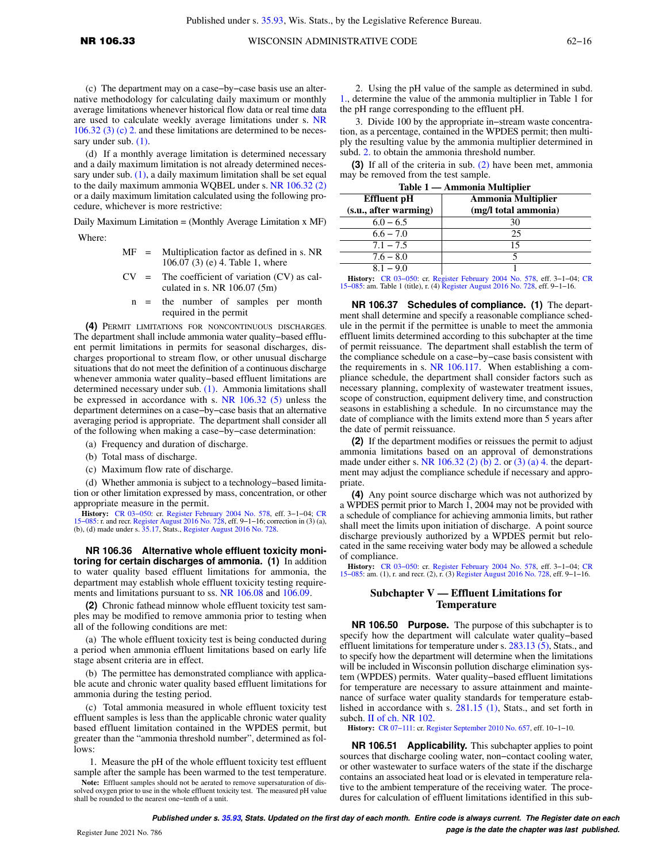(c) The department may on a case−by−case basis use an alternative methodology for calculating daily maximum or monthly average limitations whenever historical flow data or real time data are used to calculate weekly average limitations under s. [NR](https://docs.legis.wisconsin.gov/document/administrativecode/NR%20106.32(3)(c)2.) [106.32 \(3\) \(c\) 2.](https://docs.legis.wisconsin.gov/document/administrativecode/NR%20106.32(3)(c)2.) and these limitations are determined to be necessary under sub.  $(1)$ .

(d) If a monthly average limitation is determined necessary and a daily maximum limitation is not already determined necessary under sub.  $(1)$ , a daily maximum limitation shall be set equal to the daily maximum ammonia WQBEL under s. [NR 106.32 \(2\)](https://docs.legis.wisconsin.gov/document/administrativecode/NR%20106.32(2)) or a daily maximum limitation calculated using the following procedure, whichever is more restrictive:

Daily Maximum Limitation = (Monthly Average Limitation x MF)

Where:

- MF = Multiplication factor as defined in s. NR 106.07 (3) (e) 4. Table 1, where
- $CV =$  The coefficient of variation  $(CV)$  as calculated in s. NR 106.07 (5m)
	- n = the number of samples per month required in the permit

**(4)** PERMIT LIMITATIONS FOR NONCONTINUOUS DISCHARGES. The department shall include ammonia water quality−based effluent permit limitations in permits for seasonal discharges, discharges proportional to stream flow, or other unusual discharge situations that do not meet the definition of a continuous discharge whenever ammonia water quality−based effluent limitations are determined necessary under sub. [\(1\).](https://docs.legis.wisconsin.gov/document/administrativecode/NR%20106.33(1)) Ammonia limitations shall be expressed in accordance with s. [NR 106.32 \(5\)](https://docs.legis.wisconsin.gov/document/administrativecode/NR%20106.32(5)) unless the department determines on a case−by−case basis that an alternative averaging period is appropriate. The department shall consider all of the following when making a case−by−case determination:

- (a) Frequency and duration of discharge.
- (b) Total mass of discharge.
- (c) Maximum flow rate of discharge.

(d) Whether ammonia is subject to a technology−based limitation or other limitation expressed by mass, concentration, or other appropriate measure in the permit.

**History:** CR 03-050: cr. [Register February 2004 No. 578,](https://docs.legis.wisconsin.gov/document/register/578/B/toc) eff. 3-1-04; [CR](https://docs.legis.wisconsin.gov/document/cr/2015/85)  $15-085$ : r. and recr. [Register August 2016 No. 728](https://docs.legis.wisconsin.gov/document/register/728/B/toc), eff. 9-1-16; correction in (3) (a), (b), (d) made under s. [35.17](https://docs.legis.wisconsin.gov/document/statutes/35.17), Stats., Register August 2016

**NR 106.36 Alternative whole effluent toxicity monitoring for certain discharges of ammonia. (1)** In addition to water quality based effluent limitations for ammonia, the department may establish whole effluent toxicity testing requirements and limitations pursuant to ss. [NR 106.08](https://docs.legis.wisconsin.gov/document/administrativecode/NR%20106.08) and [106.09](https://docs.legis.wisconsin.gov/document/administrativecode/NR%20106.09).

**(2)** Chronic fathead minnow whole effluent toxicity test samples may be modified to remove ammonia prior to testing when all of the following conditions are met:

(a) The whole effluent toxicity test is being conducted during a period when ammonia effluent limitations based on early life stage absent criteria are in effect.

(b) The permittee has demonstrated compliance with applicable acute and chronic water quality based effluent limitations for ammonia during the testing period.

(c) Total ammonia measured in whole effluent toxicity test effluent samples is less than the applicable chronic water quality based effluent limitation contained in the WPDES permit, but greater than the "ammonia threshold number", determined as follows:

1. Measure the pH of the whole effluent toxicity test effluent sample after the sample has been warmed to the test temperature.

**Note:** Effluent samples should not be aerated to remove supersaturation of dissolved oxygen prior to use in the whole effluent toxicity test. The measured pH value shall be rounded to the nearest one−tenth of a unit.

2. Using the pH value of the sample as determined in subd. [1.,](https://docs.legis.wisconsin.gov/document/administrativecode/NR%20106.36(2)(c)1.) determine the value of the ammonia multiplier in Table 1 for the pH range corresponding to the effluent pH.

3. Divide 100 by the appropriate in−stream waste concentration, as a percentage, contained in the WPDES permit; then multiply the resulting value by the ammonia multiplier determined in subd. [2.](https://docs.legis.wisconsin.gov/document/administrativecode/NR%20106.36(2)(c)2.) to obtain the ammonia threshold number.

**(3)** If all of the criteria in sub. [\(2\)](https://docs.legis.wisconsin.gov/document/administrativecode/NR%20106.36(2)) have been met, ammonia may be removed from the test sample.

**Table 1 — Ammonia Multiplier**

| Effluent pH           | <b>Ammonia Multiplier</b> |
|-----------------------|---------------------------|
| (s.u., after warning) | (mg/l total ammonia)      |
| $6.0 - 6.5$           | 30                        |
| $6.6 - 7.0$           | 25                        |
| $7.1 - 7.5$           | 15                        |
| $7.6 - 8.0$           |                           |
| $8.1 - 9.0$           |                           |

**History:** [CR 03−050](https://docs.legis.wisconsin.gov/document/cr/2003/50): cr. [Register February 2004 No. 578](https://docs.legis.wisconsin.gov/document/register/578/B/toc), eff. 3−1−04; [CR](https://docs.legis.wisconsin.gov/document/cr/2015/85) [15−085](https://docs.legis.wisconsin.gov/document/cr/2015/85): am. Table 1 (title), r. (4) [Register August 2016 No. 728](https://docs.legis.wisconsin.gov/document/register/728/B/toc), eff. 9−1−16.

**NR 106.37 Schedules of compliance. (1)** The department shall determine and specify a reasonable compliance schedule in the permit if the permittee is unable to meet the ammonia effluent limits determined according to this subchapter at the time of permit reissuance. The department shall establish the term of the compliance schedule on a case−by−case basis consistent with the requirements in s. [NR 106.117.](https://docs.legis.wisconsin.gov/document/administrativecode/NR%20106.117) When establishing a compliance schedule, the department shall consider factors such as necessary planning, complexity of wastewater treatment issues, scope of construction, equipment delivery time, and construction seasons in establishing a schedule. In no circumstance may the date of compliance with the limits extend more than 5 years after the date of permit reissuance.

**(2)** If the department modifies or reissues the permit to adjust ammonia limitations based on an approval of demonstrations made under either s. [NR 106.32 \(2\) \(b\) 2.](https://docs.legis.wisconsin.gov/document/administrativecode/NR%20106.32(2)(b)2.) or [\(3\) \(a\) 4.](https://docs.legis.wisconsin.gov/document/administrativecode/NR%20106.32(3)(a)4.) the department may adjust the compliance schedule if necessary and appropriate.

**(4)** Any point source discharge which was not authorized by a WPDES permit prior to March 1, 2004 may not be provided with a schedule of compliance for achieving ammonia limits, but rather shall meet the limits upon initiation of discharge. A point source discharge previously authorized by a WPDES permit but relocated in the same receiving water body may be allowed a schedule of compliance.

**History:** [CR 03−050](https://docs.legis.wisconsin.gov/document/cr/2003/50): cr. [Register February 2004 No. 578](https://docs.legis.wisconsin.gov/document/register/578/B/toc), eff. 3−1−04; [CR](https://docs.legis.wisconsin.gov/document/cr/2015/85) [15−085](https://docs.legis.wisconsin.gov/document/cr/2015/85): am. (1), r. and recr. (2), r. (3) [Register August 2016 No. 728,](https://docs.legis.wisconsin.gov/document/register/728/B/toc) eff. 9−1−16.

### **Subchapter V — Effluent Limitations for Temperature**

**NR 106.50 Purpose.** The purpose of this subchapter is to specify how the department will calculate water quality−based effluent limitations for temperature under s. [283.13 \(5\)](https://docs.legis.wisconsin.gov/document/statutes/283.13(5)), Stats., and to specify how the department will determine when the limitations will be included in Wisconsin pollution discharge elimination system (WPDES) permits. Water quality−based effluent limitations for temperature are necessary to assure attainment and maintenance of surface water quality standards for temperature established in accordance with s. [281.15 \(1\)](https://docs.legis.wisconsin.gov/document/statutes/281.15(1)), Stats., and set forth in subch. [II of ch. NR 102](https://docs.legis.wisconsin.gov/document/administrativecode/subch.%20II%20of%20ch.%20NR%20102).

**History:** [CR 07−111](https://docs.legis.wisconsin.gov/document/cr/2007/111): cr. [Register September 2010 No. 657,](https://docs.legis.wisconsin.gov/document/register/657/B/toc) eff. 10−1−10.

**NR 106.51 Applicability.** This subchapter applies to point sources that discharge cooling water, non−contact cooling water, or other wastewater to surface waters of the state if the discharge contains an associated heat load or is elevated in temperature relative to the ambient temperature of the receiving water. The procedures for calculation of effluent limitations identified in this sub-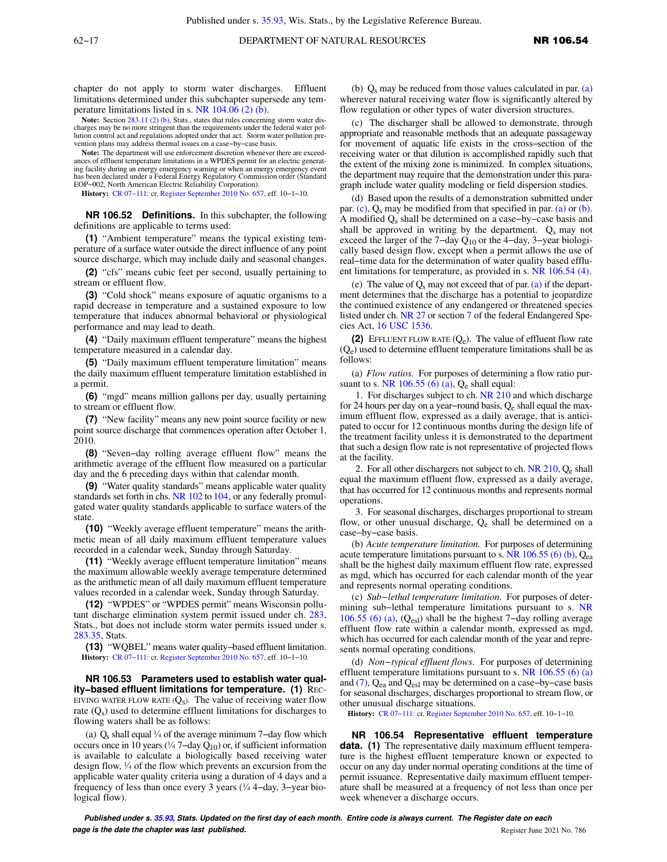chapter do not apply to storm water discharges. Effluent limitations determined under this subchapter supersede any temperature limitations listed in s. [NR 104.06 \(2\) \(b\)](https://docs.legis.wisconsin.gov/document/administrativecode/NR%20104.06(2)(b)).

Note: Section [283.11 \(2\) \(b\),](https://docs.legis.wisconsin.gov/document/statutes/283.11(2)(b)) Stats., states that rules concerning storm water discharges may be no more stringent than the requirements under the federal water pollution control act and regulations adopted under that act. Storm water pollution pre-vention plans may address thermal issues on a case−by−case basis.

**Note:** The department will use enforcement discretion whenever there are exceedances of effluent temperature limitations in a WPDES permit for an electric generating facility during an energy emergency warning or when an energy emergency event has been declared under a Federal Energy Regulatory Commission order (Standard EOP−002, North American Electric Reliability Corporation).

**History:** [CR 07−111:](https://docs.legis.wisconsin.gov/document/cr/2007/111) cr. [Register September 2010 No. 657](https://docs.legis.wisconsin.gov/document/register/657/B/toc), eff. 10−1−10.

**NR 106.52 Definitions.** In this subchapter, the following definitions are applicable to terms used:

**(1)** "Ambient temperature" means the typical existing temperature of a surface water outside the direct influence of any point source discharge, which may include daily and seasonal changes.

**(2)** "cfs" means cubic feet per second, usually pertaining to stream or effluent flow.

**(3)** "Cold shock" means exposure of aquatic organisms to a rapid decrease in temperature and a sustained exposure to low temperature that induces abnormal behavioral or physiological performance and may lead to death.

**(4)** "Daily maximum effluent temperature" means the highest temperature measured in a calendar day.

**(5)** "Daily maximum effluent temperature limitation" means the daily maximum effluent temperature limitation established in a permit.

**(6)** "mgd" means million gallons per day, usually pertaining to stream or effluent flow.

**(7)** "New facility" means any new point source facility or new point source discharge that commences operation after October 1, 2010.

**(8)** "Seven−day rolling average effluent flow" means the arithmetic average of the effluent flow measured on a particular day and the 6 preceding days within that calendar month.

**(9)** "Water quality standards" means applicable water quality standards set forth in chs. [NR 102](https://docs.legis.wisconsin.gov/document/administrativecode/ch.%20NR%20102) to [104,](https://docs.legis.wisconsin.gov/document/administrativecode/ch.%20NR%20104) or any federally promulgated water quality standards applicable to surface waters of the state.

**(10)** "Weekly average effluent temperature" means the arithmetic mean of all daily maximum effluent temperature values recorded in a calendar week, Sunday through Saturday.

**(11)** "Weekly average effluent temperature limitation" means the maximum allowable weekly average temperature determined as the arithmetic mean of all daily maximum effluent temperature values recorded in a calendar week, Sunday through Saturday.

**(12)** "WPDES" or "WPDES permit" means Wisconsin pollutant discharge elimination system permit issued under ch. [283,](https://docs.legis.wisconsin.gov/document/statutes/ch.%20283) Stats., but does not include storm water permits issued under s. [283.35,](https://docs.legis.wisconsin.gov/document/statutes/283.35) Stats.

**(13)** "WQBEL" means water quality−based effluent limitation. **History:** [CR 07−111:](https://docs.legis.wisconsin.gov/document/cr/2007/111) cr. [Register September 2010 No. 657](https://docs.legis.wisconsin.gov/document/register/657/B/toc), eff. 10−1−10.

**NR 106.53 Parameters used to establish water quality−based effluent limitations for temperature. (1)** REC-EIVING WATER FLOW RATE  $(Q_s)$ . The value of receiving water flow rate (Q<sub>s</sub>) used to determine effluent limitations for discharges to flowing waters shall be as follows:

(a)  $Q_s$  shall equal ¼ of the average minimum 7-day flow which occurs once in 10 years (¼ 7–day  $Q_{10}$ ) or, if sufficient information is available to calculate a biologically based receiving water design flow, ¼ of the flow which prevents an excursion from the applicable water quality criteria using a duration of 4 days and a frequency of less than once every 3 years (¼ 4−day, 3−year biological flow).

(b)  $Q_s$  may be reduced from those values calculated in par. [\(a\)](https://docs.legis.wisconsin.gov/document/administrativecode/NR%20106.53(1)(a)) wherever natural receiving water flow is significantly altered by flow regulation or other types of water diversion structures.

(c) The discharger shall be allowed to demonstrate, through appropriate and reasonable methods that an adequate passageway for movement of aquatic life exists in the cross−section of the receiving water or that dilution is accomplished rapidly such that the extent of the mixing zone is minimized. In complex situations, the department may require that the demonstration under this paragraph include water quality modeling or field dispersion studies.

(d) Based upon the results of a demonstration submitted under par.  $(c)$ ,  $Q_s$  may be modified from that specified in par. [\(a\)](https://docs.legis.wisconsin.gov/document/administrativecode/NR%20106.53(1)(a)) or [\(b\).](https://docs.legis.wisconsin.gov/document/administrativecode/NR%20106.53(1)(b)) A modified Qs shall be determined on a case−by−case basis and shall be approved in writing by the department.  $Q_s$  may not exceed the larger of the 7−day Q10 or the 4−day, 3−year biologically based design flow, except when a permit allows the use of real−time data for the determination of water quality based effluent limitations for temperature, as provided in s. [NR 106.54 \(4\)](https://docs.legis.wisconsin.gov/document/administrativecode/NR%20106.54(4)).

(e) The value of  $Q_s$  may not exceed that of par. [\(a\)](https://docs.legis.wisconsin.gov/document/administrativecode/NR%20106.53(1)(a)) if the department determines that the discharge has a potential to jeopardize the continued existence of any endangered or threatened species listed under ch. [NR 27](https://docs.legis.wisconsin.gov/document/administrativecode/ch.%20NR%2027) or section [7](https://docs.legis.wisconsin.gov/document/administrativecode/ch.%20NR%207) of the federal Endangered Species Act, [16 USC 1536](https://docs.legis.wisconsin.gov/document/usc/16%20USC%201536).

**(2)** EFFLUENT FLOW RATE (Qe). The value of effluent flow rate  $(Q_e)$  used to determine effluent temperature limitations shall be as follows:

(a) *Flow ratios.* For purposes of determining a flow ratio pur-suant to s. [NR 106.55 \(6\) \(a\),](https://docs.legis.wisconsin.gov/document/administrativecode/NR%20106.55(6)(a))  $Q_e$  shall equal:

1. For discharges subject to ch. [NR 210](https://docs.legis.wisconsin.gov/document/administrativecode/ch.%20NR%20210) and which discharge for 24 hours per day on a year−round basis, Qe shall equal the maximum effluent flow, expressed as a daily average, that is anticipated to occur for 12 continuous months during the design life of the treatment facility unless it is demonstrated to the department that such a design flow rate is not representative of projected flows at the facility.

2. For all other dischargers not subject to ch.  $NR$  210,  $Q_e$  shall equal the maximum effluent flow, expressed as a daily average, that has occurred for 12 continuous months and represents normal operations.

3. For seasonal discharges, discharges proportional to stream flow, or other unusual discharge,  $Q_e$  shall be determined on a case−by−case basis.

(b) *Acute temperature limitation.* For purposes of determining acute temperature limitations pursuant to s. NR  $106.55$  (6) (b),  $Q_{\text{ea}}$ shall be the highest daily maximum effluent flow rate, expressed as mgd, which has occurred for each calendar month of the year and represents normal operating conditions.

(c) *Sub−lethal temperature limitation*. For purposes of determining sub−lethal temperature limitations pursuant to s. [NR](https://docs.legis.wisconsin.gov/document/administrativecode/NR%20106.55(6)(a)) [106.55 \(6\) \(a\),](https://docs.legis.wisconsin.gov/document/administrativecode/NR%20106.55(6)(a)) (Qesl) shall be the highest 7−day rolling average effluent flow rate within a calendar month, expressed as mgd, which has occurred for each calendar month of the year and represents normal operating conditions.

(d) *Non−typical effluent flows*. For purposes of determining effluent temperature limitations pursuant to s. NR  $106.55(6)(a)$ and [\(7\),](https://docs.legis.wisconsin.gov/document/administrativecode/NR%20106.55(7))  $Q_{ea}$  and  $Q_{es}$  may be determined on a case–by–case basis for seasonal discharges, discharges proportional to stream flow, or other unusual discharge situations.

**History:** [CR 07−111](https://docs.legis.wisconsin.gov/document/cr/2007/111): cr. [Register September 2010 No. 657,](https://docs.legis.wisconsin.gov/document/register/657/B/toc) eff. 10−1−10.

**NR 106.54 Representative effluent temperature** data. (1) The representative daily maximum effluent temperature is the highest effluent temperature known or expected to occur on any day under normal operating conditions at the time of permit issuance. Representative daily maximum effluent temperature shall be measured at a frequency of not less than once per week whenever a discharge occurs.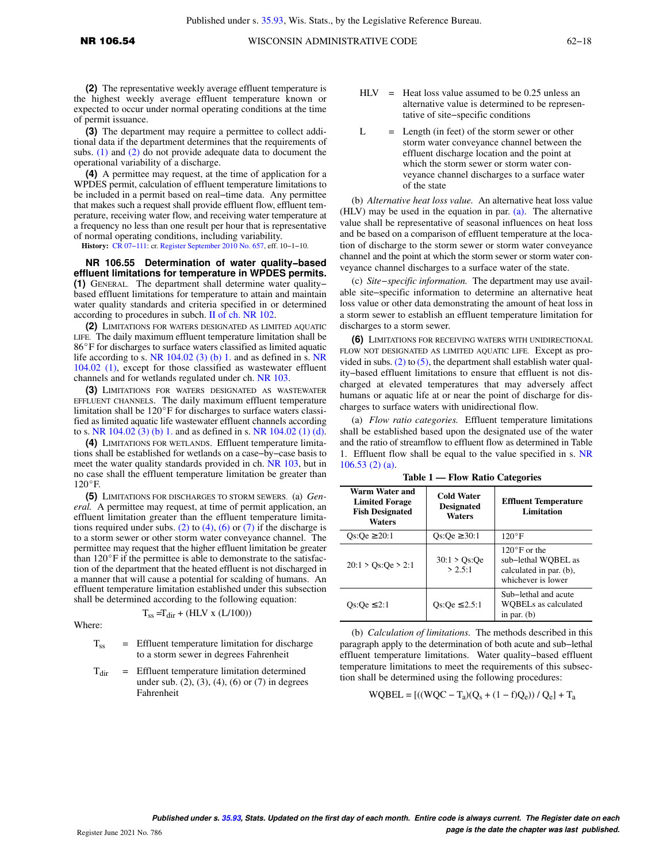**(2)** The representative weekly average effluent temperature is the highest weekly average effluent temperature known or expected to occur under normal operating conditions at the time of permit issuance.

**(3)** The department may require a permittee to collect additional data if the department determines that the requirements of subs. [\(1\)](https://docs.legis.wisconsin.gov/document/administrativecode/NR%20106.54(1)) and [\(2\)](https://docs.legis.wisconsin.gov/document/administrativecode/NR%20106.54(2)) do not provide adequate data to document the operational variability of a discharge.

**(4)** A permittee may request, at the time of application for a WPDES permit, calculation of effluent temperature limitations to be included in a permit based on real−time data. Any permittee that makes such a request shall provide effluent flow, effluent temperature, receiving water flow, and receiving water temperature at a frequency no less than one result per hour that is representative of normal operating conditions, including variability.

**History:** [CR 07−111:](https://docs.legis.wisconsin.gov/document/cr/2007/111) cr. [Register September 2010 No. 657](https://docs.legis.wisconsin.gov/document/register/657/B/toc), eff. 10−1−10.

**NR 106.55 Determination of water quality−based effluent limitations for temperature in WPDES permits. (1)** GENERAL. The department shall determine water quality− based effluent limitations for temperature to attain and maintain water quality standards and criteria specified in or determined according to procedures in subch. [II of ch. NR 102.](https://docs.legis.wisconsin.gov/document/administrativecode/subch.%20II%20of%20ch.%20NR%20102)

**(2)** LIMITATIONS FOR WATERS DESIGNATED AS LIMITED AQUATIC LIFE. The daily maximum effluent temperature limitation shall be 86°F for discharges to surface waters classified as limited aquatic life according to s. [NR 104.02 \(3\) \(b\) 1.](https://docs.legis.wisconsin.gov/document/administrativecode/NR%20104.02(3)(b)1.) and as defined in s. [NR](https://docs.legis.wisconsin.gov/document/administrativecode/NR%20104.02(1)) [104.02 \(1\)](https://docs.legis.wisconsin.gov/document/administrativecode/NR%20104.02(1)), except for those classified as wastewater effluent channels and for wetlands regulated under ch. [NR 103.](https://docs.legis.wisconsin.gov/document/administrativecode/ch.%20NR%20103)

**(3)** LIMITATIONS FOR WATERS DESIGNATED AS WASTEWATER EFFLUENT CHANNELS. The daily maximum effluent temperature limitation shall be  $120^{\circ}$ F for discharges to surface waters classified as limited aquatic life wastewater effluent channels according to s. [NR 104.02 \(3\) \(b\) 1.](https://docs.legis.wisconsin.gov/document/administrativecode/NR%20104.02(3)(b)1.) and as defined in s. [NR 104.02 \(1\) \(d\).](https://docs.legis.wisconsin.gov/document/administrativecode/NR%20104.02(1)(d))

**(4)** LIMITATIONS FOR WETLANDS. Effluent temperature limitations shall be established for wetlands on a case−by−case basis to meet the water quality standards provided in ch. [NR 103](https://docs.legis.wisconsin.gov/document/administrativecode/ch.%20NR%20103), but in no case shall the effluent temperature limitation be greater than  $120^{\circ}$ F.

**(5)** LIMITATIONS FOR DISCHARGES TO STORM SEWERS. (a) *General.* A permittee may request, at time of permit application, an effluent limitation greater than the effluent temperature limita-tions required under subs. [\(2\)](https://docs.legis.wisconsin.gov/document/administrativecode/NR%20106.55(2)) to [\(4\)](https://docs.legis.wisconsin.gov/document/administrativecode/NR%20106.55(4)), [\(6\)](https://docs.legis.wisconsin.gov/document/administrativecode/NR%20106.55(6)) or [\(7\)](https://docs.legis.wisconsin.gov/document/administrativecode/NR%20106.55(7)) if the discharge is to a storm sewer or other storm water conveyance channel. The permittee may request that the higher effluent limitation be greater than  $120^{\circ}$ F if the permittee is able to demonstrate to the satisfaction of the department that the heated effluent is not discharged in a manner that will cause a potential for scalding of humans. An effluent temperature limitation established under this subsection shall be determined according to the following equation:

$$
T_{ss} = T_{dir} + (HLV \times (L/100))
$$

Where:

- $T_{ss}$  = Effluent temperature limitation for discharge to a storm sewer in degrees Fahrenheit
- $T<sub>dir</sub>$  = Effluent temperature limitation determined under sub. (2), (3), (4), (6) or (7) in degrees Fahrenheit
- $HLV$  = Heat loss value assumed to be 0.25 unless an alternative value is determined to be representative of site−specific conditions
- $L =$  Length (in feet) of the storm sewer or other storm water conveyance channel between the effluent discharge location and the point at which the storm sewer or storm water conveyance channel discharges to a surface water of the state

(b) *Alternative heat loss value.* An alternative heat loss value (HLV) may be used in the equation in par. [\(a\)](https://docs.legis.wisconsin.gov/document/administrativecode/NR%20106.55(5)(a)). The alternative value shall be representative of seasonal influences on heat loss and be based on a comparison of effluent temperature at the location of discharge to the storm sewer or storm water conveyance channel and the point at which the storm sewer or storm water conveyance channel discharges to a surface water of the state.

(c) *Site−specific information.* The department may use available site−specific information to determine an alternative heat loss value or other data demonstrating the amount of heat loss in a storm sewer to establish an effluent temperature limitation for discharges to a storm sewer.

**(6)** LIMITATIONS FOR RECEIVING WATERS WITH UNIDIRECTIONAL FLOW NOT DESIGNATED AS LIMITED AQUATIC LIFE. Except as provided in subs.  $(2)$  to  $(5)$ , the department shall establish water quality−based effluent limitations to ensure that effluent is not discharged at elevated temperatures that may adversely affect humans or aquatic life at or near the point of discharge for discharges to surface waters with unidirectional flow.

(a) *Flow ratio categories.* Effluent temperature limitations shall be established based upon the designated use of the water and the ratio of streamflow to effluent flow as determined in Table 1. Effluent flow shall be equal to the value specified in s. [NR](https://docs.legis.wisconsin.gov/document/administrativecode/NR%20106.53(2)(a)) [106.53 \(2\) \(a\)](https://docs.legis.wisconsin.gov/document/administrativecode/NR%20106.53(2)(a)).

| Warm Water and<br><b>Limited Forage</b><br><b>Fish Designated</b><br><b>Waters</b> | <b>Cold Water</b><br><b>Designated</b><br>Waters | <b>Effluent Temperature</b><br>Limitation                                                      |
|------------------------------------------------------------------------------------|--------------------------------------------------|------------------------------------------------------------------------------------------------|
| $Os:Oe \ge 20:1$                                                                   | Os: $\text{Oe} \geq 30:1$                        | $120^{\circ}$ F                                                                                |
| 20:1 > Os:Oe > 2:1                                                                 | $30:1 > Qs$ :Qe<br>> 2.5:1                       | $120^{\circ}$ F or the<br>sub-lethal WOBEL as<br>calculated in par. (b),<br>whichever is lower |
| Os: $\text{Oe} \leq 2:1$                                                           | $Qs:Qe \leq 2.5:1$                               | Sub-lethal and acute<br><b>WOBELs</b> as calculated<br>in par. $(b)$                           |

**Table 1 — Flow Ratio Categories**

(b) *Calculation of limitations.* The methods described in this paragraph apply to the determination of both acute and sub−lethal effluent temperature limitations. Water quality−based effluent temperature limitations to meet the requirements of this subsection shall be determined using the following procedures:

WQBEL = 
$$
[((WQC - T_a)(Q_s + (1 - f)Q_e)) / Q_e] + T_a
$$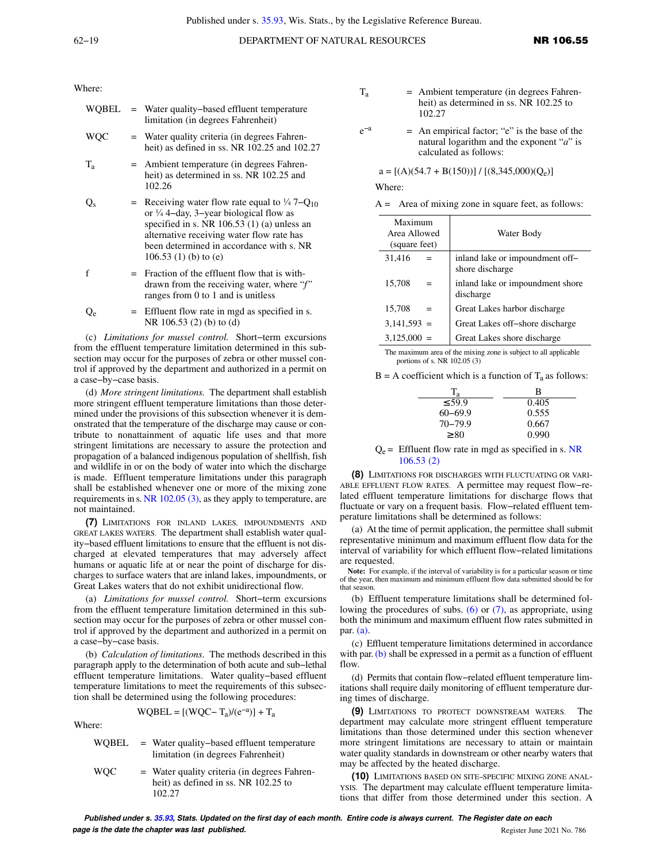Where:

| WOBEL   | = Water quality-based effluent temperature<br>limitation (in degrees Fahrenheit)                                                                                                                                                                                                            |
|---------|---------------------------------------------------------------------------------------------------------------------------------------------------------------------------------------------------------------------------------------------------------------------------------------------|
| WOC     | $=$ Water quality criteria (in degrees Fahren-<br>heit) as defined in ss. NR 102.25 and 102.27                                                                                                                                                                                              |
| $T_{a}$ | = Ambient temperature (in degrees Fahren-<br>heit) as determined in ss. NR 102.25 and<br>102.26                                                                                                                                                                                             |
|         | = Receiving water flow rate equal to $\frac{1}{4}$ 7–Q <sub>10</sub><br>or $\frac{1}{4}$ 4-day, 3-year biological flow as<br>specified in s. NR 106.53 (1) (a) unless an<br>alternative receiving water flow rate has<br>been determined in accordance with s. NR<br>$106.53(1)$ (b) to (e) |
|         | Fraction of the effluent flow that is with-                                                                                                                                                                                                                                                 |

- drawn from the receiving water, where "*f"* ranges from 0 to 1 and is unitless
- $Q_e$  = Effluent flow rate in mgd as specified in s. NR 106.53 (2) (b) to (d)

(c) *Limitations for mussel control.* Short−term excursions from the effluent temperature limitation determined in this subsection may occur for the purposes of zebra or other mussel control if approved by the department and authorized in a permit on a case−by−case basis.

(d) *More stringent limitations.* The department shall establish more stringent effluent temperature limitations than those determined under the provisions of this subsection whenever it is demonstrated that the temperature of the discharge may cause or contribute to nonattainment of aquatic life uses and that more stringent limitations are necessary to assure the protection and propagation of a balanced indigenous population of shellfish, fish and wildlife in or on the body of water into which the discharge is made. Effluent temperature limitations under this paragraph shall be established whenever one or more of the mixing zone requirements in s. [NR 102.05 \(3\),](https://docs.legis.wisconsin.gov/document/administrativecode/NR%20102.05(3)) as they apply to temperature, are not maintained.

**(7)** LIMITATIONS FOR INLAND LAKES, IMPOUNDMENTS AND GREAT LAKES WATERS. The department shall establish water quality−based effluent limitations to ensure that the effluent is not discharged at elevated temperatures that may adversely affect humans or aquatic life at or near the point of discharge for discharges to surface waters that are inland lakes, impoundments, or Great Lakes waters that do not exhibit unidirectional flow.

(a) *Limitations for mussel control.* Short−term excursions from the effluent temperature limitation determined in this subsection may occur for the purposes of zebra or other mussel control if approved by the department and authorized in a permit on a case−by−case basis.

(b) *Calculation of limitations*. The methods described in this paragraph apply to the determination of both acute and sub−lethal effluent temperature limitations. Water quality−based effluent temperature limitations to meet the requirements of this subsection shall be determined using the following procedures:

$$
WQBEL = [(WQC - T_a)/(e^{-a})] + T_a
$$

Where:

WQBEL = Water quality−based effluent temperature limitation (in degrees Fahrenheit)  $WQC$  = Water quality criteria (in degrees Fahrenheit) as defined in ss. NR 102.25 to

102.27

- $T_a$  = Ambient temperature (in degrees Fahrenheit) as determined in ss. NR 102.25 to 102.27
- $e^{-a}$ −a = An empirical factor; "e" is the base of the natural logarithm and the exponent "*a*" is calculated as follows:

## $a = [(A)(54.7 + B(150))] / [(8,345,000)(Q_e)]$

Where:

| $A =$ Area of mixing zone in square feet, as follows: |  |  |
|-------------------------------------------------------|--|--|
|-------------------------------------------------------|--|--|

| Maximum<br>Area Allowed<br>(square feet) | Water Body                                         |
|------------------------------------------|----------------------------------------------------|
| 31,416                                   | inland lake or impoundment off-<br>shore discharge |
| 15,708<br>$=$                            | inland lake or impoundment shore<br>discharge      |
| 15,708<br>$=$                            | Great Lakes harbor discharge                       |
| $3,141,593 =$                            | Great Lakes off-shore discharge                    |
| 3,125,000<br>$=$                         | Great Lakes shore discharge                        |

The maximum area of the mixing zone is subject to all applicable portions of s. NR 102.05 (3)

 $B = A$  coefficient which is a function of  $T_a$  as follows:

| $T_{a}$     | В     |
|-------------|-------|
| $\leq 59.9$ | 0.405 |
| $60 - 69.9$ | 0.555 |
| $70 - 79.9$ | 0.667 |
| $\geq 80$   | 0.990 |

 $Q_e$  = Effluent flow rate in mgd as specified in s. NR [106.53 \(2\)](https://docs.legis.wisconsin.gov/document/administrativecode/NR%20106.53(2))

**(8)** LIMITATIONS FOR DISCHARGES WITH FLUCTUATING OR VARI-ABLE EFFLUENT FLOW RATES. A permittee may request flow−related effluent temperature limitations for discharge flows that fluctuate or vary on a frequent basis. Flow−related effluent temperature limitations shall be determined as follows:

(a) At the time of permit application, the permittee shall submit representative minimum and maximum effluent flow data for the interval of variability for which effluent flow−related limitations are requested.

**Note:** For example, if the interval of variability is for a particular season or time of the year, then maximum and minimum effluent flow data submitted should be for that season.

(b) Effluent temperature limitations shall be determined following the procedures of subs. [\(6\)](https://docs.legis.wisconsin.gov/document/administrativecode/NR%20106.55(6)) or [\(7\),](https://docs.legis.wisconsin.gov/document/administrativecode/NR%20106.55(7)) as appropriate, using both the minimum and maximum effluent flow rates submitted in par. [\(a\).](https://docs.legis.wisconsin.gov/document/administrativecode/NR%20106.55(8)(a))

(c) Effluent temperature limitations determined in accordance with par.  $(b)$  shall be expressed in a permit as a function of effluent flow.

(d) Permits that contain flow−related effluent temperature limitations shall require daily monitoring of effluent temperature during times of discharge.

**(9)** LIMITATIONS TO PROTECT DOWNSTREAM WATERS. The department may calculate more stringent effluent temperature limitations than those determined under this section whenever more stringent limitations are necessary to attain or maintain water quality standards in downstream or other nearby waters that may be affected by the heated discharge.

**(10)** LIMITATIONS BASED ON SITE−SPECIFIC MIXING ZONE ANAL-YSIS. The department may calculate effluent temperature limitations that differ from those determined under this section. A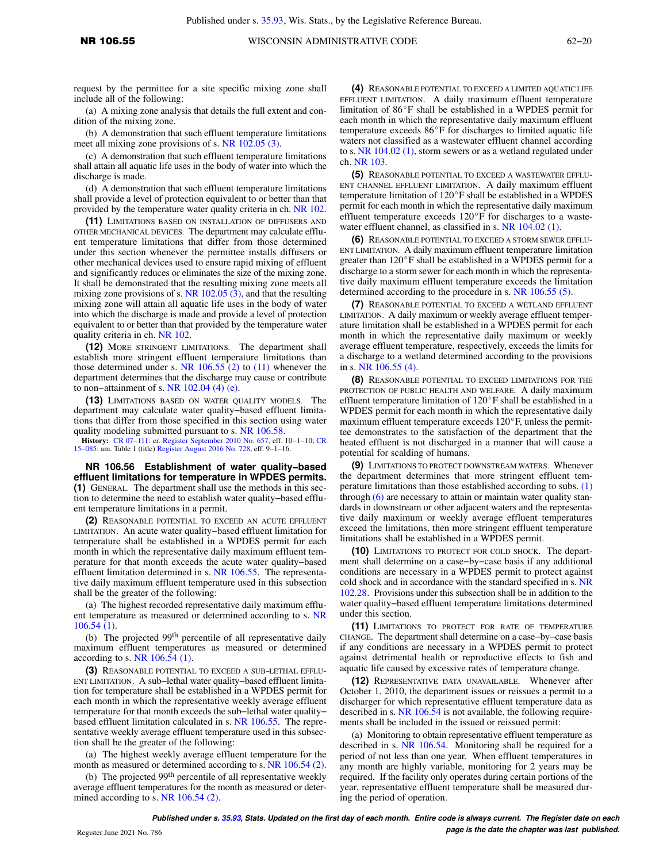request by the permittee for a site specific mixing zone shall include all of the following:

(a) A mixing zone analysis that details the full extent and condition of the mixing zone.

(b) A demonstration that such effluent temperature limitations meet all mixing zone provisions of s. [NR 102.05 \(3\).](https://docs.legis.wisconsin.gov/document/administrativecode/NR%20102.05(3))

(c) A demonstration that such effluent temperature limitations shall attain all aquatic life uses in the body of water into which the discharge is made.

(d) A demonstration that such effluent temperature limitations shall provide a level of protection equivalent to or better than that provided by the temperature water quality criteria in ch. [NR 102.](https://docs.legis.wisconsin.gov/document/administrativecode/ch.%20NR%20102)

**(11)** LIMITATIONS BASED ON INSTALLATION OF DIFFUSERS AND OTHER MECHANICAL DEVICES. The department may calculate effluent temperature limitations that differ from those determined under this section whenever the permittee installs diffusers or other mechanical devices used to ensure rapid mixing of effluent and significantly reduces or eliminates the size of the mixing zone. It shall be demonstrated that the resulting mixing zone meets all mixing zone provisions of s. [NR 102.05 \(3\)](https://docs.legis.wisconsin.gov/document/administrativecode/NR%20102.05(3)), and that the resulting mixing zone will attain all aquatic life uses in the body of water into which the discharge is made and provide a level of protection equivalent to or better than that provided by the temperature water quality criteria in ch. [NR 102.](https://docs.legis.wisconsin.gov/document/administrativecode/ch.%20NR%20102)

**(12)** MORE STRINGENT LIMITATIONS. The department shall establish more stringent effluent temperature limitations than those determined under s. NR  $106.55$  (2) to [\(11\)](https://docs.legis.wisconsin.gov/document/administrativecode/NR%20106.55(11)) whenever the department determines that the discharge may cause or contribute to non−attainment of s. [NR 102.04 \(4\) \(e\)](https://docs.legis.wisconsin.gov/document/administrativecode/NR%20102.04(4)(e)).

**(13)** LIMITATIONS BASED ON WATER QUALITY MODELS. The department may calculate water quality−based effluent limitations that differ from those specified in this section using water quality modeling submitted pursuant to s. [NR 106.58](https://docs.legis.wisconsin.gov/document/administrativecode/NR%20106.58).

**History:** [CR 07−111](https://docs.legis.wisconsin.gov/document/cr/2007/111): cr. [Register September 2010 No. 657](https://docs.legis.wisconsin.gov/document/register/657/B/toc), eff. 10−1−10; [CR](https://docs.legis.wisconsin.gov/document/cr/2015/85) [15−085:](https://docs.legis.wisconsin.gov/document/cr/2015/85) am. Table 1 (title) [Register August 2016 No. 728,](https://docs.legis.wisconsin.gov/document/register/728/B/toc) eff. 9−1−16.

**NR 106.56 Establishment of water quality−based effluent limitations for temperature in WPDES permits. (1)** GENERAL. The department shall use the methods in this section to determine the need to establish water quality−based effluent temperature limitations in a permit.

**(2)** REASONABLE POTENTIAL TO EXCEED AN ACUTE EFFLUENT LIMITATION. An acute water quality−based effluent limitation for temperature shall be established in a WPDES permit for each month in which the representative daily maximum effluent temperature for that month exceeds the acute water quality−based effluent limitation determined in s. [NR 106.55](https://docs.legis.wisconsin.gov/document/administrativecode/NR%20106.55). The representative daily maximum effluent temperature used in this subsection shall be the greater of the following:

(a) The highest recorded representative daily maximum effluent temperature as measured or determined according to s. [NR](https://docs.legis.wisconsin.gov/document/administrativecode/NR%20106.54(1)) [106.54 \(1\).](https://docs.legis.wisconsin.gov/document/administrativecode/NR%20106.54(1))

(b) The projected 99th percentile of all representative daily maximum effluent temperatures as measured or determined according to s. [NR 106.54 \(1\).](https://docs.legis.wisconsin.gov/document/administrativecode/NR%20106.54(1))

**(3)** REASONABLE POTENTIAL TO EXCEED A SUB−LETHAL EFFLU-ENT LIMITATION. A sub−lethal water quality−based effluent limitation for temperature shall be established in a WPDES permit for each month in which the representative weekly average effluent temperature for that month exceeds the sub−lethal water quality− based effluent limitation calculated in s. [NR 106.55.](https://docs.legis.wisconsin.gov/document/administrativecode/NR%20106.55) The representative weekly average effluent temperature used in this subsection shall be the greater of the following:

(a) The highest weekly average effluent temperature for the month as measured or determined according to s. [NR 106.54 \(2\).](https://docs.legis.wisconsin.gov/document/administrativecode/NR%20106.54(2))

(b) The projected 99<sup>th</sup> percentile of all representative weekly average effluent temperatures for the month as measured or deter-mined according to s. [NR 106.54 \(2\).](https://docs.legis.wisconsin.gov/document/administrativecode/NR%20106.54(2))

**(4)** REASONABLE POTENTIAL TO EXCEED A LIMITED AQUATIC LIFE EFFLUENT LIMITATION. A daily maximum effluent temperature limitation of  $86^{\circ}$ F shall be established in a WPDES permit for each month in which the representative daily maximum effluent temperature exceeds  $86^{\circ}$ F for discharges to limited aquatic life waters not classified as a wastewater effluent channel according to s. [NR 104.02 \(1\)](https://docs.legis.wisconsin.gov/document/administrativecode/NR%20104.02(1)), storm sewers or as a wetland regulated under ch. [NR 103.](https://docs.legis.wisconsin.gov/document/administrativecode/ch.%20NR%20103)

**(5)** REASONABLE POTENTIAL TO EXCEED A WASTEWATER EFFLU-ENT CHANNEL EFFLUENT LIMITATION. A daily maximum effluent temperature limitation of 120°F shall be established in a WPDES permit for each month in which the representative daily maximum effluent temperature exceeds  $120^{\circ}$ F for discharges to a wastewater effluent channel, as classified in s. [NR 104.02 \(1\)](https://docs.legis.wisconsin.gov/document/administrativecode/NR%20104.02(1)).

**(6)** REASONABLE POTENTIAL TO EXCEED A STORM SEWER EFFLU-ENT LIMITATION. A daily maximum effluent temperature limitation greater than  $120^{\circ}$ F shall be established in a WPDES permit for a discharge to a storm sewer for each month in which the representative daily maximum effluent temperature exceeds the limitation determined according to the procedure in s. [NR 106.55 \(5\)](https://docs.legis.wisconsin.gov/document/administrativecode/NR%20106.55(5)).

**(7)** REASONABLE POTENTIAL TO EXCEED A WETLAND EFFLUENT LIMITATION. A daily maximum or weekly average effluent temperature limitation shall be established in a WPDES permit for each month in which the representative daily maximum or weekly average effluent temperature, respectively, exceeds the limits for a discharge to a wetland determined according to the provisions in s. [NR 106.55 \(4\).](https://docs.legis.wisconsin.gov/document/administrativecode/NR%20106.55(4))

**(8)** REASONABLE POTENTIAL TO EXCEED LIMITATIONS FOR THE PROTECTION OF PUBLIC HEALTH AND WELFARE. A daily maximum effluent temperature limitation of  $120^{\circ}$ F shall be established in a WPDES permit for each month in which the representative daily maximum effluent temperature exceeds  $120^{\circ}$ F, unless the permittee demonstrates to the satisfaction of the department that the heated effluent is not discharged in a manner that will cause a potential for scalding of humans.

**(9)** LIMITATIONS TO PROTECT DOWNSTREAM WATERS. Whenever the department determines that more stringent effluent temperature limitations than those established according to subs. [\(1\)](https://docs.legis.wisconsin.gov/document/administrativecode/NR%20106.56(1)) through [\(6\)](https://docs.legis.wisconsin.gov/document/administrativecode/NR%20106.56(6)) are necessary to attain or maintain water quality standards in downstream or other adjacent waters and the representative daily maximum or weekly average effluent temperatures exceed the limitations, then more stringent effluent temperature limitations shall be established in a WPDES permit.

**(10)** LIMITATIONS TO PROTECT FOR COLD SHOCK. The department shall determine on a case−by−case basis if any additional conditions are necessary in a WPDES permit to protect against cold shock and in accordance with the standard specified in s. [NR](https://docs.legis.wisconsin.gov/document/administrativecode/NR%20102.28) [102.28](https://docs.legis.wisconsin.gov/document/administrativecode/NR%20102.28). Provisions under this subsection shall be in addition to the water quality−based effluent temperature limitations determined under this section.

**(11)** LIMITATIONS TO PROTECT FOR RATE OF TEMPERATURE CHANGE. The department shall determine on a case−by−case basis if any conditions are necessary in a WPDES permit to protect against detrimental health or reproductive effects to fish and aquatic life caused by excessive rates of temperature change.

**(12)** REPRESENTATIVE DATA UNAVAILABLE. Whenever after October 1, 2010, the department issues or reissues a permit to a discharger for which representative effluent temperature data as described in s. [NR 106.54](https://docs.legis.wisconsin.gov/document/administrativecode/NR%20106.54) is not available, the following requirements shall be included in the issued or reissued permit:

(a) Monitoring to obtain representative effluent temperature as described in s. [NR 106.54](https://docs.legis.wisconsin.gov/document/administrativecode/NR%20106.54). Monitoring shall be required for a period of not less than one year. When effluent temperatures in any month are highly variable, monitoring for 2 years may be required. If the facility only operates during certain portions of the year, representative effluent temperature shall be measured during the period of operation.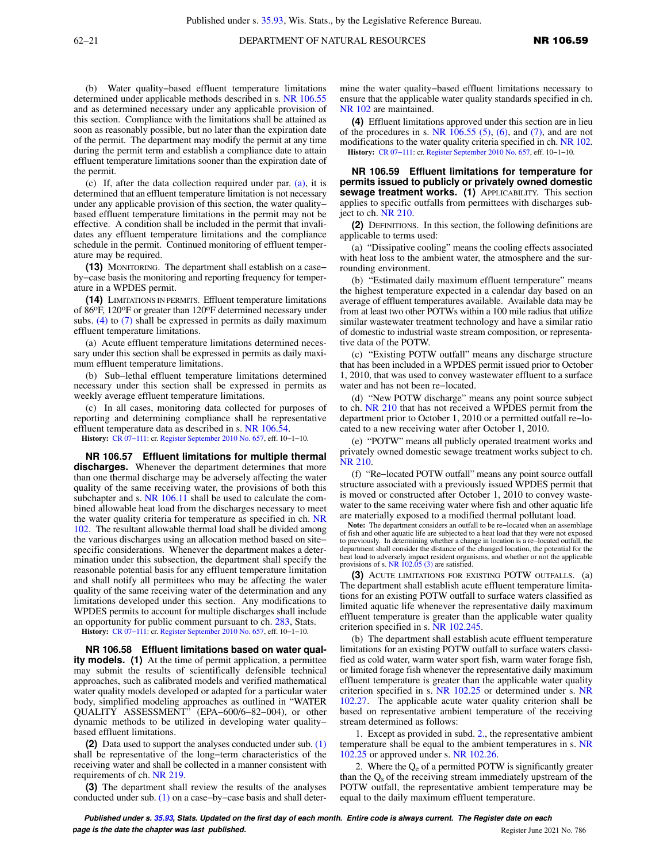(b) Water quality−based effluent temperature limitations determined under applicable methods described in s. [NR 106.55](https://docs.legis.wisconsin.gov/document/administrativecode/NR%20106.55) and as determined necessary under any applicable provision of this section. Compliance with the limitations shall be attained as soon as reasonably possible, but no later than the expiration date of the permit. The department may modify the permit at any time during the permit term and establish a compliance date to attain effluent temperature limitations sooner than the expiration date of the permit.

(c) If, after the data collection required under par. [\(a\)](https://docs.legis.wisconsin.gov/document/administrativecode/NR%20106.56(12)(a)), it is determined that an effluent temperature limitation is not necessary under any applicable provision of this section, the water quality− based effluent temperature limitations in the permit may not be effective. A condition shall be included in the permit that invalidates any effluent temperature limitations and the compliance schedule in the permit. Continued monitoring of effluent temperature may be required.

**(13)** MONITORING. The department shall establish on a case− by−case basis the monitoring and reporting frequency for temperature in a WPDES permit.

**(14)** LIMITATIONS IN PERMITS. Effluent temperature limitations of 86oF, 120oF or greater than 120oF determined necessary under subs. [\(4\)](https://docs.legis.wisconsin.gov/document/administrativecode/NR%20106.56(4)) to [\(7\)](https://docs.legis.wisconsin.gov/document/administrativecode/NR%20106.56(7)) shall be expressed in permits as daily maximum effluent temperature limitations.

(a) Acute effluent temperature limitations determined necessary under this section shall be expressed in permits as daily maximum effluent temperature limitations.

(b) Sub−lethal effluent temperature limitations determined necessary under this section shall be expressed in permits as weekly average effluent temperature limitations.

(c) In all cases, monitoring data collected for purposes of reporting and determining compliance shall be representative effluent temperature data as described in s. [NR 106.54.](https://docs.legis.wisconsin.gov/document/administrativecode/NR%20106.54)

**History:** [CR 07−111:](https://docs.legis.wisconsin.gov/document/cr/2007/111) cr. [Register September 2010 No. 657](https://docs.legis.wisconsin.gov/document/register/657/B/toc), eff. 10−1−10.

**NR 106.57 Effluent limitations for multiple thermal discharges.** Whenever the department determines that more than one thermal discharge may be adversely affecting the water quality of the same receiving water, the provisions of both this subchapter and s. [NR 106.11](https://docs.legis.wisconsin.gov/document/administrativecode/NR%20106.11) shall be used to calculate the combined allowable heat load from the discharges necessary to meet the water quality criteria for temperature as specified in ch. [NR](https://docs.legis.wisconsin.gov/document/administrativecode/ch.%20NR%20102) [102](https://docs.legis.wisconsin.gov/document/administrativecode/ch.%20NR%20102). The resultant allowable thermal load shall be divided among the various discharges using an allocation method based on site− specific considerations. Whenever the department makes a determination under this subsection, the department shall specify the reasonable potential basis for any effluent temperature limitation and shall notify all permittees who may be affecting the water quality of the same receiving water of the determination and any limitations developed under this section. Any modifications to WPDES permits to account for multiple discharges shall include an opportunity for public comment pursuant to ch. [283](https://docs.legis.wisconsin.gov/document/statutes/ch.%20283), Stats.

**History:** [CR 07−111:](https://docs.legis.wisconsin.gov/document/cr/2007/111) cr. [Register September 2010 No. 657](https://docs.legis.wisconsin.gov/document/register/657/B/toc), eff. 10−1−10.

**NR 106.58 Effluent limitations based on water quality models. (1)** At the time of permit application, a permittee may submit the results of scientifically defensible technical approaches, such as calibrated models and verified mathematical water quality models developed or adapted for a particular water body, simplified modeling approaches as outlined in "WATER QUALITY ASSESSMENT" (EPA−600/6−82−004), or other dynamic methods to be utilized in developing water quality− based effluent limitations.

**(2)** Data used to support the analyses conducted under sub. [\(1\)](https://docs.legis.wisconsin.gov/document/administrativecode/NR%20106.58(1)) shall be representative of the long−term characteristics of the receiving water and shall be collected in a manner consistent with requirements of ch. [NR 219.](https://docs.legis.wisconsin.gov/document/administrativecode/ch.%20NR%20219)

**(3)** The department shall review the results of the analyses conducted under sub. [\(1\)](https://docs.legis.wisconsin.gov/document/administrativecode/NR%20106.58(1)) on a case−by−case basis and shall determine the water quality−based effluent limitations necessary to ensure that the applicable water quality standards specified in ch. [NR 102](https://docs.legis.wisconsin.gov/document/administrativecode/ch.%20NR%20102) are maintained.

**(4)** Effluent limitations approved under this section are in lieu of the procedures in s. NR  $106.55$  (5), [\(6\)](https://docs.legis.wisconsin.gov/document/administrativecode/NR%20106.55(6)), and [\(7\),](https://docs.legis.wisconsin.gov/document/administrativecode/NR%20106.55(7)) and are not modifications to the water quality criteria specified in ch. [NR 102.](https://docs.legis.wisconsin.gov/document/administrativecode/ch.%20NR%20102) **History:** [CR 07−111](https://docs.legis.wisconsin.gov/document/cr/2007/111): cr. [Register September 2010 No. 657,](https://docs.legis.wisconsin.gov/document/register/657/B/toc) eff. 10−1−10.

**NR 106.59 Effluent limitations for temperature for permits issued to publicly or privately owned domestic sewage treatment works. (1)** APPLICABILITY. This section applies to specific outfalls from permittees with discharges subject to ch. [NR 210](https://docs.legis.wisconsin.gov/document/administrativecode/ch.%20NR%20210).

**(2)** DEFINITIONS. In this section, the following definitions are applicable to terms used:

(a) "Dissipative cooling" means the cooling effects associated with heat loss to the ambient water, the atmosphere and the surrounding environment.

(b) "Estimated daily maximum effluent temperature" means the highest temperature expected in a calendar day based on an average of effluent temperatures available. Available data may be from at least two other POTWs within a 100 mile radius that utilize similar wastewater treatment technology and have a similar ratio of domestic to industrial waste stream composition, or representative data of the POTW.

(c) "Existing POTW outfall" means any discharge structure that has been included in a WPDES permit issued prior to October 1, 2010, that was used to convey wastewater effluent to a surface water and has not been re−located.

(d) "New POTW discharge" means any point source subject to ch. [NR 210](https://docs.legis.wisconsin.gov/document/administrativecode/ch.%20NR%20210) that has not received a WPDES permit from the department prior to October 1, 2010 or a permitted outfall re−located to a new receiving water after October 1, 2010.

(e) "POTW" means all publicly operated treatment works and privately owned domestic sewage treatment works subject to ch. [NR 210](https://docs.legis.wisconsin.gov/document/administrativecode/ch.%20NR%20210).

(f) "Re−located POTW outfall" means any point source outfall structure associated with a previously issued WPDES permit that is moved or constructed after October 1, 2010 to convey wastewater to the same receiving water where fish and other aquatic life are materially exposed to a modified thermal pollutant load.

**Note:** The department considers an outfall to be re−located when an assemblage of fish and other aquatic life are subjected to a heat load that they were not exposed to previously. In determining whether a change in location is a re−located outfall, the department shall consider the distance of the changed location, the potential for the heat load to adversely impact resident organisms, and whether or not the applicable provisions of s. [NR 102.05 \(3\)](https://docs.legis.wisconsin.gov/document/administrativecode/NR%20102.05(3)) are satisfied.

**(3)** ACUTE LIMITATIONS FOR EXISTING POTW OUTFALLS. (a) The department shall establish acute effluent temperature limitations for an existing POTW outfall to surface waters classified as limited aquatic life whenever the representative daily maximum effluent temperature is greater than the applicable water quality criterion specified in s. [NR 102.245.](https://docs.legis.wisconsin.gov/document/administrativecode/NR%20102.245)

(b) The department shall establish acute effluent temperature limitations for an existing POTW outfall to surface waters classified as cold water, warm water sport fish, warm water forage fish, or limited forage fish whenever the representative daily maximum effluent temperature is greater than the applicable water quality criterion specified in s. [NR 102.25](https://docs.legis.wisconsin.gov/document/administrativecode/NR%20102.25) or determined under s. [NR](https://docs.legis.wisconsin.gov/document/administrativecode/NR%20102.27) [102.27](https://docs.legis.wisconsin.gov/document/administrativecode/NR%20102.27). The applicable acute water quality criterion shall be based on representative ambient temperature of the receiving stream determined as follows:

1. Except as provided in subd. [2.](https://docs.legis.wisconsin.gov/document/administrativecode/NR%20106.59(3)(b)2.), the representative ambient temperature shall be equal to the ambient temperatures in s. [NR](https://docs.legis.wisconsin.gov/document/administrativecode/NR%20102.25) [102.25](https://docs.legis.wisconsin.gov/document/administrativecode/NR%20102.25) or approved under s. [NR 102.26.](https://docs.legis.wisconsin.gov/document/administrativecode/NR%20102.26)

2. Where the  $Q_e$  of a permitted POTW is significantly greater than the  $Q<sub>s</sub>$  of the receiving stream immediately upstream of the POTW outfall, the representative ambient temperature may be equal to the daily maximum effluent temperature.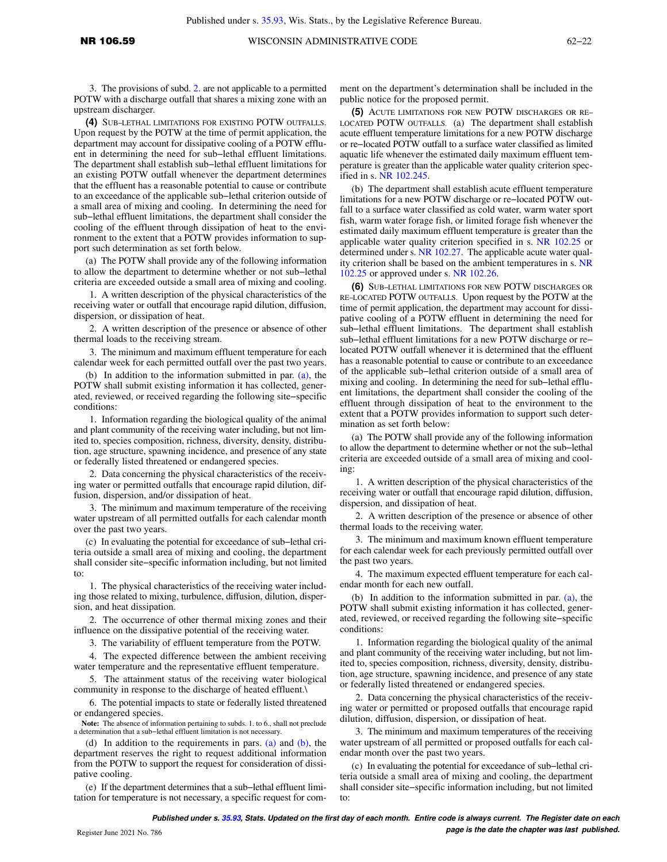3. The provisions of subd. [2.](https://docs.legis.wisconsin.gov/document/administrativecode/NR%20106.59(3)(b)2.) are not applicable to a permitted POTW with a discharge outfall that shares a mixing zone with an upstream discharger.

**(4)** SUB−LETHAL LIMITATIONS FOR EXISTING POTW OUTFALLS. Upon request by the POTW at the time of permit application, the department may account for dissipative cooling of a POTW effluent in determining the need for sub−lethal effluent limitations. The department shall establish sub−lethal effluent limitations for an existing POTW outfall whenever the department determines that the effluent has a reasonable potential to cause or contribute to an exceedance of the applicable sub−lethal criterion outside of a small area of mixing and cooling. In determining the need for sub−lethal effluent limitations, the department shall consider the cooling of the effluent through dissipation of heat to the environment to the extent that a POTW provides information to support such determination as set forth below.

(a) The POTW shall provide any of the following information to allow the department to determine whether or not sub−lethal criteria are exceeded outside a small area of mixing and cooling.

1. A written description of the physical characteristics of the receiving water or outfall that encourage rapid dilution, diffusion, dispersion, or dissipation of heat.

2. A written description of the presence or absence of other thermal loads to the receiving stream.

3. The minimum and maximum effluent temperature for each calendar week for each permitted outfall over the past two years.

(b) In addition to the information submitted in par. [\(a\),](https://docs.legis.wisconsin.gov/document/administrativecode/NR%20106.59(4)(a)) the POTW shall submit existing information it has collected, generated, reviewed, or received regarding the following site−specific conditions:

1. Information regarding the biological quality of the animal and plant community of the receiving water including, but not limited to, species composition, richness, diversity, density, distribution, age structure, spawning incidence, and presence of any state or federally listed threatened or endangered species.

2. Data concerning the physical characteristics of the receiving water or permitted outfalls that encourage rapid dilution, diffusion, dispersion, and/or dissipation of heat.

3. The minimum and maximum temperature of the receiving water upstream of all permitted outfalls for each calendar month over the past two years.

(c) In evaluating the potential for exceedance of sub−lethal criteria outside a small area of mixing and cooling, the department shall consider site−specific information including, but not limited to:

1. The physical characteristics of the receiving water including those related to mixing, turbulence, diffusion, dilution, dispersion, and heat dissipation.

2. The occurrence of other thermal mixing zones and their influence on the dissipative potential of the receiving water.

3. The variability of effluent temperature from the POTW.

4. The expected difference between the ambient receiving water temperature and the representative effluent temperature.

5. The attainment status of the receiving water biological community in response to the discharge of heated effluent.\

6. The potential impacts to state or federally listed threatened or endangered species.

**Note:** The absence of information pertaining to subds. 1. to 6., shall not preclude a determination that a sub−lethal effluent limitation is not necessary.

(d) In addition to the requirements in pars. [\(a\)](https://docs.legis.wisconsin.gov/document/administrativecode/NR%20106.59(4)(a)) and [\(b\),](https://docs.legis.wisconsin.gov/document/administrativecode/NR%20106.59(4)(b)) the department reserves the right to request additional information from the POTW to support the request for consideration of dissipative cooling.

(e) If the department determines that a sub−lethal effluent limitation for temperature is not necessary, a specific request for comment on the department's determination shall be included in the public notice for the proposed permit.

**(5)** ACUTE LIMITATIONS FOR NEW POTW DISCHARGES OR RE− LOCATED POTW OUTFALLS. (a) The department shall establish acute effluent temperature limitations for a new POTW discharge or re−located POTW outfall to a surface water classified as limited aquatic life whenever the estimated daily maximum effluent temperature is greater than the applicable water quality criterion specified in s. [NR 102.245.](https://docs.legis.wisconsin.gov/document/administrativecode/NR%20102.245)

(b) The department shall establish acute effluent temperature limitations for a new POTW discharge or re−located POTW outfall to a surface water classified as cold water, warm water sport fish, warm water forage fish, or limited forage fish whenever the estimated daily maximum effluent temperature is greater than the applicable water quality criterion specified in s. [NR 102.25](https://docs.legis.wisconsin.gov/document/administrativecode/NR%20102.25) or determined under s. [NR 102.27](https://docs.legis.wisconsin.gov/document/administrativecode/NR%20102.27). The applicable acute water quality criterion shall be based on the ambient temperatures in s. [NR](https://docs.legis.wisconsin.gov/document/administrativecode/NR%20102.25) [102.25](https://docs.legis.wisconsin.gov/document/administrativecode/NR%20102.25) or approved under s. [NR 102.26.](https://docs.legis.wisconsin.gov/document/administrativecode/NR%20102.26)

**(6)** SUB−LETHAL LIMITATIONS FOR NEW POTW DISCHARGES OR RE−LOCATED POTW OUTFALLS. Upon request by the POTW at the time of permit application, the department may account for dissipative cooling of a POTW effluent in determining the need for sub−lethal effluent limitations. The department shall establish sub−lethal effluent limitations for a new POTW discharge or re− located POTW outfall whenever it is determined that the effluent has a reasonable potential to cause or contribute to an exceedance of the applicable sub−lethal criterion outside of a small area of mixing and cooling. In determining the need for sub−lethal effluent limitations, the department shall consider the cooling of the effluent through dissipation of heat to the environment to the extent that a POTW provides information to support such determination as set forth below:

(a) The POTW shall provide any of the following information to allow the department to determine whether or not the sub−lethal criteria are exceeded outside of a small area of mixing and cooling:

1. A written description of the physical characteristics of the receiving water or outfall that encourage rapid dilution, diffusion, dispersion, and dissipation of heat.

2. A written description of the presence or absence of other thermal loads to the receiving water.

3. The minimum and maximum known effluent temperature for each calendar week for each previously permitted outfall over the past two years.

4. The maximum expected effluent temperature for each calendar month for each new outfall.

(b) In addition to the information submitted in par. [\(a\),](https://docs.legis.wisconsin.gov/document/administrativecode/NR%20106.59(6)(a)) the POTW shall submit existing information it has collected, generated, reviewed, or received regarding the following site−specific conditions:

1. Information regarding the biological quality of the animal and plant community of the receiving water including, but not limited to, species composition, richness, diversity, density, distribution, age structure, spawning incidence, and presence of any state or federally listed threatened or endangered species.

2. Data concerning the physical characteristics of the receiving water or permitted or proposed outfalls that encourage rapid dilution, diffusion, dispersion, or dissipation of heat.

3. The minimum and maximum temperatures of the receiving water upstream of all permitted or proposed outfalls for each calendar month over the past two years.

(c) In evaluating the potential for exceedance of sub−lethal criteria outside a small area of mixing and cooling, the department shall consider site−specific information including, but not limited to: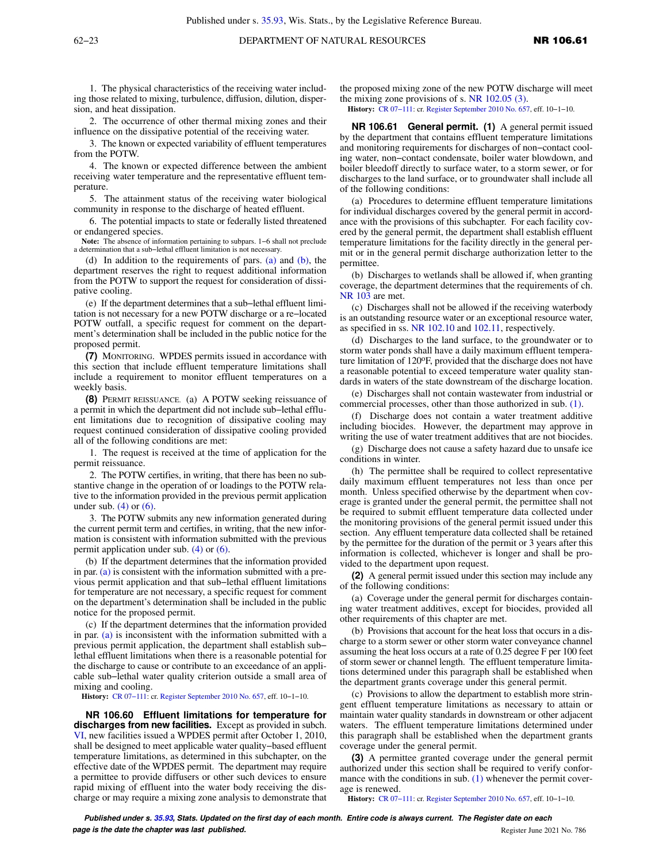1. The physical characteristics of the receiving water including those related to mixing, turbulence, diffusion, dilution, dispersion, and heat dissipation.

2. The occurrence of other thermal mixing zones and their influence on the dissipative potential of the receiving water.

3. The known or expected variability of effluent temperatures from the POTW.

4. The known or expected difference between the ambient receiving water temperature and the representative effluent temperature.

5. The attainment status of the receiving water biological community in response to the discharge of heated effluent.

6. The potential impacts to state or federally listed threatened or endangered species.

**Note:** The absence of information pertaining to subpars. 1−6 shall not preclude a determination that a sub−lethal effluent limitation is not necessary.

(d) In addition to the requirements of pars. [\(a\)](https://docs.legis.wisconsin.gov/document/administrativecode/NR%20106.59(6)(a)) and [\(b\),](https://docs.legis.wisconsin.gov/document/administrativecode/NR%20106.59(6)(b)) the department reserves the right to request additional information from the POTW to support the request for consideration of dissipative cooling.

(e) If the department determines that a sub−lethal effluent limitation is not necessary for a new POTW discharge or a re−located POTW outfall, a specific request for comment on the department's determination shall be included in the public notice for the proposed permit.

**(7)** MONITORING. WPDES permits issued in accordance with this section that include effluent temperature limitations shall include a requirement to monitor effluent temperatures on a weekly basis.

**(8)** PERMIT REISSUANCE. (a) A POTW seeking reissuance of a permit in which the department did not include sub−lethal effluent limitations due to recognition of dissipative cooling may request continued consideration of dissipative cooling provided all of the following conditions are met:

1. The request is received at the time of application for the permit reissuance.

2. The POTW certifies, in writing, that there has been no substantive change in the operation of or loadings to the POTW relative to the information provided in the previous permit application under sub.  $(4)$  or  $(6)$ .

3. The POTW submits any new information generated during the current permit term and certifies, in writing, that the new information is consistent with information submitted with the previous permit application under sub. [\(4\)](https://docs.legis.wisconsin.gov/document/administrativecode/NR%20106.59(4)) or [\(6\)](https://docs.legis.wisconsin.gov/document/administrativecode/NR%20106.59(6)).

(b) If the department determines that the information provided in par.  $(a)$  is consistent with the information submitted with a previous permit application and that sub−lethal effluent limitations for temperature are not necessary, a specific request for comment on the department's determination shall be included in the public notice for the proposed permit.

(c) If the department determines that the information provided in par. [\(a\)](https://docs.legis.wisconsin.gov/document/administrativecode/NR%20106.59(8)(a)) is inconsistent with the information submitted with a previous permit application, the department shall establish sub− lethal effluent limitations when there is a reasonable potential for the discharge to cause or contribute to an exceedance of an applicable sub−lethal water quality criterion outside a small area of mixing and cooling.

**History:** [CR 07−111:](https://docs.legis.wisconsin.gov/document/cr/2007/111) cr. [Register September 2010 No. 657](https://docs.legis.wisconsin.gov/document/register/657/B/toc), eff. 10−1−10.

**NR 106.60 Effluent limitations for temperature for discharges from new facilities.** Except as provided in subch. [VI](https://docs.legis.wisconsin.gov/document/administrativecode/subch.%20VI%20of%20ch.%20NR%20106), new facilities issued a WPDES permit after October 1, 2010, shall be designed to meet applicable water quality−based effluent temperature limitations, as determined in this subchapter, on the effective date of the WPDES permit. The department may require a permittee to provide diffusers or other such devices to ensure rapid mixing of effluent into the water body receiving the discharge or may require a mixing zone analysis to demonstrate that the proposed mixing zone of the new POTW discharge will meet the mixing zone provisions of s. [NR 102.05 \(3\)](https://docs.legis.wisconsin.gov/document/administrativecode/NR%20102.05(3)).

**History:** [CR 07−111](https://docs.legis.wisconsin.gov/document/cr/2007/111): cr. [Register September 2010 No. 657,](https://docs.legis.wisconsin.gov/document/register/657/B/toc) eff. 10−1−10.

**NR 106.61 General permit. (1)** A general permit issued by the department that contains effluent temperature limitations and monitoring requirements for discharges of non−contact cooling water, non−contact condensate, boiler water blowdown, and boiler bleedoff directly to surface water, to a storm sewer, or for discharges to the land surface, or to groundwater shall include all of the following conditions:

(a) Procedures to determine effluent temperature limitations for individual discharges covered by the general permit in accordance with the provisions of this subchapter. For each facility covered by the general permit, the department shall establish effluent temperature limitations for the facility directly in the general permit or in the general permit discharge authorization letter to the permittee.

(b) Discharges to wetlands shall be allowed if, when granting coverage, the department determines that the requirements of ch. [NR 103](https://docs.legis.wisconsin.gov/document/administrativecode/ch.%20NR%20103) are met.

(c) Discharges shall not be allowed if the receiving waterbody is an outstanding resource water or an exceptional resource water, as specified in ss. [NR 102.10](https://docs.legis.wisconsin.gov/document/administrativecode/NR%20102.10) and [102.11,](https://docs.legis.wisconsin.gov/document/administrativecode/NR%20102.11) respectively.

(d) Discharges to the land surface, to the groundwater or to storm water ponds shall have a daily maximum effluent temperature limitation of 120oF, provided that the discharge does not have a reasonable potential to exceed temperature water quality standards in waters of the state downstream of the discharge location.

(e) Discharges shall not contain wastewater from industrial or commercial processes, other than those authorized in sub. [\(1\).](https://docs.legis.wisconsin.gov/document/administrativecode/NR%20106.61(1))

(f) Discharge does not contain a water treatment additive including biocides. However, the department may approve in writing the use of water treatment additives that are not biocides.

(g) Discharge does not cause a safety hazard due to unsafe ice conditions in winter.

(h) The permittee shall be required to collect representative daily maximum effluent temperatures not less than once per month. Unless specified otherwise by the department when coverage is granted under the general permit, the permittee shall not be required to submit effluent temperature data collected under the monitoring provisions of the general permit issued under this section. Any effluent temperature data collected shall be retained by the permittee for the duration of the permit or 3 years after this information is collected, whichever is longer and shall be provided to the department upon request.

**(2)** A general permit issued under this section may include any of the following conditions:

(a) Coverage under the general permit for discharges containing water treatment additives, except for biocides, provided all other requirements of this chapter are met.

(b) Provisions that account for the heat loss that occurs in a discharge to a storm sewer or other storm water conveyance channel assuming the heat loss occurs at a rate of 0.25 degree F per 100 feet of storm sewer or channel length. The effluent temperature limitations determined under this paragraph shall be established when the department grants coverage under this general permit.

(c) Provisions to allow the department to establish more stringent effluent temperature limitations as necessary to attain or maintain water quality standards in downstream or other adjacent waters. The effluent temperature limitations determined under this paragraph shall be established when the department grants coverage under the general permit.

**(3)** A permittee granted coverage under the general permit authorized under this section shall be required to verify confor-mance with the conditions in sub. [\(1\)](https://docs.legis.wisconsin.gov/document/administrativecode/NR%20106.61(1)) whenever the permit coverage is renewed.

**History:** [CR 07−111](https://docs.legis.wisconsin.gov/document/cr/2007/111): cr. [Register September 2010 No. 657,](https://docs.legis.wisconsin.gov/document/register/657/B/toc) eff. 10−1−10.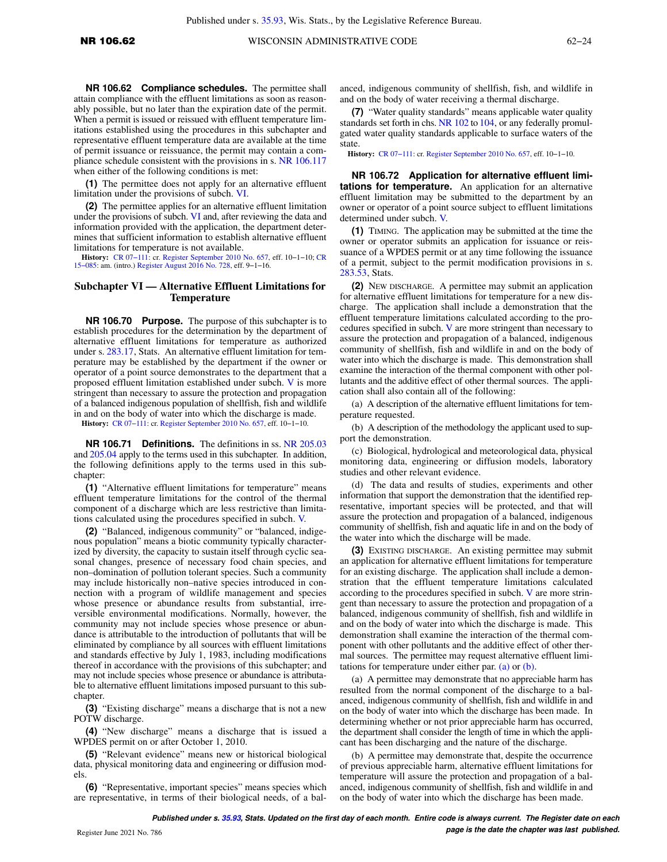**NR 106.62 Compliance schedules.** The permittee shall attain compliance with the effluent limitations as soon as reasonably possible, but no later than the expiration date of the permit. When a permit is issued or reissued with effluent temperature limitations established using the procedures in this subchapter and representative effluent temperature data are available at the time of permit issuance or reissuance, the permit may contain a compliance schedule consistent with the provisions in s. [NR 106.117](https://docs.legis.wisconsin.gov/document/administrativecode/NR%20106.117) when either of the following conditions is met:

**(1)** The permittee does not apply for an alternative effluent limitation under the provisions of subch. [VI](https://docs.legis.wisconsin.gov/document/administrativecode/subch.%20VI%20of%20ch.%20NR%20106).

**(2)** The permittee applies for an alternative effluent limitation under the provisions of subch. [VI](https://docs.legis.wisconsin.gov/document/administrativecode/subch.%20VI%20of%20ch.%20NR%20106) and, after reviewing the data and information provided with the application, the department determines that sufficient information to establish alternative effluent limitations for temperature is not available.

**History:** [CR 07−111](https://docs.legis.wisconsin.gov/document/cr/2007/111): cr. [Register September 2010 No. 657](https://docs.legis.wisconsin.gov/document/register/657/B/toc), eff. 10−1−10; [CR](https://docs.legis.wisconsin.gov/document/cr/2015/85) [15−085:](https://docs.legis.wisconsin.gov/document/cr/2015/85) am. (intro.) [Register August 2016 No. 728](https://docs.legis.wisconsin.gov/document/register/728/B/toc), eff. 9−1−16.

### **Subchapter VI — Alternative Effluent Limitations for Temperature**

**NR 106.70 Purpose.** The purpose of this subchapter is to establish procedures for the determination by the department of alternative effluent limitations for temperature as authorized under s. [283.17,](https://docs.legis.wisconsin.gov/document/statutes/283.17) Stats. An alternative effluent limitation for temperature may be established by the department if the owner or operator of a point source demonstrates to the department that a proposed effluent limitation established under subch. [V](https://docs.legis.wisconsin.gov/document/administrativecode/subch.%20V%20of%20ch.%20NR%20106) is more stringent than necessary to assure the protection and propagation of a balanced indigenous population of shellfish, fish and wildlife in and on the body of water into which the discharge is made.

**History:** [CR 07−111:](https://docs.legis.wisconsin.gov/document/cr/2007/111) cr. [Register September 2010 No. 657](https://docs.legis.wisconsin.gov/document/register/657/B/toc), eff. 10−1−10.

**NR 106.71 Definitions.** The definitions in ss. [NR 205.03](https://docs.legis.wisconsin.gov/document/administrativecode/NR%20205.03) and [205.04](https://docs.legis.wisconsin.gov/document/administrativecode/NR%20205.04) apply to the terms used in this subchapter. In addition, the following definitions apply to the terms used in this subchapter:

**(1)** "Alternative effluent limitations for temperature" means effluent temperature limitations for the control of the thermal component of a discharge which are less restrictive than limitations calculated using the procedures specified in subch. [V.](https://docs.legis.wisconsin.gov/document/administrativecode/subch.%20V%20of%20ch.%20NR%20106)

**(2)** "Balanced, indigenous community" or "balanced, indigenous population" means a biotic community typically characterized by diversity, the capacity to sustain itself through cyclic seasonal changes, presence of necessary food chain species, and non–domination of pollution tolerant species. Such a community may include historically non–native species introduced in connection with a program of wildlife management and species whose presence or abundance results from substantial, irreversible environmental modifications. Normally, however, the community may not include species whose presence or abundance is attributable to the introduction of pollutants that will be eliminated by compliance by all sources with effluent limitations and standards effective by July 1, 1983, including modifications thereof in accordance with the provisions of this subchapter; and may not include species whose presence or abundance is attributable to alternative effluent limitations imposed pursuant to this subchapter.

**(3)** "Existing discharge" means a discharge that is not a new POTW discharge.

**(4)** "New discharge" means a discharge that is issued a WPDES permit on or after October 1, 2010.

**(5)** "Relevant evidence" means new or historical biological data, physical monitoring data and engineering or diffusion models.

**(6)** "Representative, important species" means species which are representative, in terms of their biological needs, of a balanced, indigenous community of shellfish, fish, and wildlife in and on the body of water receiving a thermal discharge.

**(7)** "Water quality standards" means applicable water quality standards set forth in chs. [NR 102](https://docs.legis.wisconsin.gov/document/administrativecode/ch.%20NR%20102) to [104](https://docs.legis.wisconsin.gov/document/administrativecode/ch.%20NR%20104), or any federally promulgated water quality standards applicable to surface waters of the state.

**History:** [CR 07−111](https://docs.legis.wisconsin.gov/document/cr/2007/111): cr. [Register September 2010 No. 657,](https://docs.legis.wisconsin.gov/document/register/657/B/toc) eff. 10−1−10.

**NR 106.72 Application for alternative effluent limitations for temperature.** An application for an alternative effluent limitation may be submitted to the department by an owner or operator of a point source subject to effluent limitations determined under subch. [V.](https://docs.legis.wisconsin.gov/document/administrativecode/subch.%20V%20of%20ch.%20NR%20106)

**(1)** TIMING. The application may be submitted at the time the owner or operator submits an application for issuance or reissuance of a WPDES permit or at any time following the issuance of a permit, subject to the permit modification provisions in s. [283.53](https://docs.legis.wisconsin.gov/document/statutes/283.53), Stats.

**(2)** NEW DISCHARGE. A permittee may submit an application for alternative effluent limitations for temperature for a new discharge. The application shall include a demonstration that the effluent temperature limitations calculated according to the procedures specified in subch. [V](https://docs.legis.wisconsin.gov/document/administrativecode/subch.%20V%20of%20ch.%20NR%20106) are more stringent than necessary to assure the protection and propagation of a balanced, indigenous community of shellfish, fish and wildlife in and on the body of water into which the discharge is made. This demonstration shall examine the interaction of the thermal component with other pollutants and the additive effect of other thermal sources. The application shall also contain all of the following:

(a) A description of the alternative effluent limitations for temperature requested.

(b) A description of the methodology the applicant used to support the demonstration.

(c) Biological, hydrological and meteorological data, physical monitoring data, engineering or diffusion models, laboratory studies and other relevant evidence.

(d) The data and results of studies, experiments and other information that support the demonstration that the identified representative, important species will be protected, and that will assure the protection and propagation of a balanced, indigenous community of shellfish, fish and aquatic life in and on the body of the water into which the discharge will be made.

**(3)** EXISTING DISCHARGE. An existing permittee may submit an application for alternative effluent limitations for temperature for an existing discharge. The application shall include a demonstration that the effluent temperature limitations calculated according to the procedures specified in subch. [V](https://docs.legis.wisconsin.gov/document/administrativecode/subch.%20V%20of%20ch.%20NR%20106) are more stringent than necessary to assure the protection and propagation of a balanced, indigenous community of shellfish, fish and wildlife in and on the body of water into which the discharge is made. This demonstration shall examine the interaction of the thermal component with other pollutants and the additive effect of other thermal sources. The permittee may request alternative effluent limitations for temperature under either par. [\(a\)](https://docs.legis.wisconsin.gov/document/administrativecode/NR%20106.72(3)(a)) or [\(b\).](https://docs.legis.wisconsin.gov/document/administrativecode/NR%20106.72(3)(b))

(a) A permittee may demonstrate that no appreciable harm has resulted from the normal component of the discharge to a balanced, indigenous community of shellfish, fish and wildlife in and on the body of water into which the discharge has been made. In determining whether or not prior appreciable harm has occurred, the department shall consider the length of time in which the applicant has been discharging and the nature of the discharge.

(b) A permittee may demonstrate that, despite the occurrence of previous appreciable harm, alternative effluent limitations for temperature will assure the protection and propagation of a balanced, indigenous community of shellfish, fish and wildlife in and on the body of water into which the discharge has been made.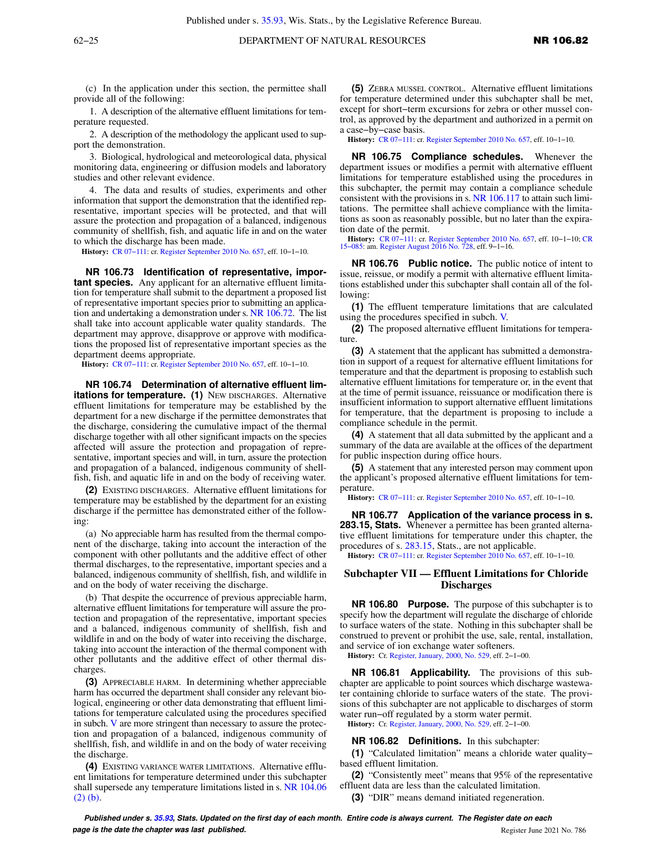(c) In the application under this section, the permittee shall provide all of the following:

1. A description of the alternative effluent limitations for temperature requested.

2. A description of the methodology the applicant used to support the demonstration.

3. Biological, hydrological and meteorological data, physical monitoring data, engineering or diffusion models and laboratory studies and other relevant evidence.

4. The data and results of studies, experiments and other information that support the demonstration that the identified representative, important species will be protected, and that will assure the protection and propagation of a balanced, indigenous community of shellfish, fish, and aquatic life in and on the water to which the discharge has been made.

**History:** [CR 07−111:](https://docs.legis.wisconsin.gov/document/cr/2007/111) cr. [Register September 2010 No. 657](https://docs.legis.wisconsin.gov/document/register/657/B/toc), eff. 10−1−10.

**NR 106.73 Identification of representative, important species.** Any applicant for an alternative effluent limitation for temperature shall submit to the department a proposed list of representative important species prior to submitting an application and undertaking a demonstration under s. [NR 106.72.](https://docs.legis.wisconsin.gov/document/administrativecode/NR%20106.72) The list shall take into account applicable water quality standards. The department may approve, disapprove or approve with modifications the proposed list of representative important species as the department deems appropriate.

**History:** [CR 07−111:](https://docs.legis.wisconsin.gov/document/cr/2007/111) cr. [Register September 2010 No. 657](https://docs.legis.wisconsin.gov/document/register/657/B/toc), eff. 10−1−10.

**NR 106.74 Determination of alternative effluent limitations for temperature. (1)** NEW DISCHARGES. Alternative effluent limitations for temperature may be established by the department for a new discharge if the permittee demonstrates that the discharge, considering the cumulative impact of the thermal discharge together with all other significant impacts on the species affected will assure the protection and propagation of representative, important species and will, in turn, assure the protection and propagation of a balanced, indigenous community of shellfish, fish, and aquatic life in and on the body of receiving water.

**(2)** EXISTING DISCHARGES. Alternative effluent limitations for temperature may be established by the department for an existing discharge if the permittee has demonstrated either of the following:

(a) No appreciable harm has resulted from the thermal component of the discharge, taking into account the interaction of the component with other pollutants and the additive effect of other thermal discharges, to the representative, important species and a balanced, indigenous community of shellfish, fish, and wildlife in and on the body of water receiving the discharge.

(b) That despite the occurrence of previous appreciable harm, alternative effluent limitations for temperature will assure the protection and propagation of the representative, important species and a balanced, indigenous community of shellfish, fish and wildlife in and on the body of water into receiving the discharge, taking into account the interaction of the thermal component with other pollutants and the additive effect of other thermal discharges.

**(3)** APPRECIABLE HARM. In determining whether appreciable harm has occurred the department shall consider any relevant biological, engineering or other data demonstrating that effluent limitations for temperature calculated using the procedures specified in subch. [V](https://docs.legis.wisconsin.gov/document/administrativecode/subch.%20V%20of%20ch.%20NR%20106) are more stringent than necessary to assure the protection and propagation of a balanced, indigenous community of shellfish, fish, and wildlife in and on the body of water receiving the discharge.

**(4)** EXISTING VARIANCE WATER LIMITATIONS. Alternative effluent limitations for temperature determined under this subchapter shall supersede any temperature limitations listed in s. [NR 104.06](https://docs.legis.wisconsin.gov/document/administrativecode/NR%20104.06(2)(b)) [\(2\) \(b\)](https://docs.legis.wisconsin.gov/document/administrativecode/NR%20104.06(2)(b)).

**(5)** ZEBRA MUSSEL CONTROL. Alternative effluent limitations for temperature determined under this subchapter shall be met, except for short−term excursions for zebra or other mussel control, as approved by the department and authorized in a permit on a case−by−case basis.

**History:** [CR 07−111](https://docs.legis.wisconsin.gov/document/cr/2007/111): cr. [Register September 2010 No. 657,](https://docs.legis.wisconsin.gov/document/register/657/B/toc) eff. 10−1−10.

**NR 106.75 Compliance schedules.** Whenever the department issues or modifies a permit with alternative effluent limitations for temperature established using the procedures in this subchapter, the permit may contain a compliance schedule consistent with the provisions in s. [NR 106.117](https://docs.legis.wisconsin.gov/document/administrativecode/NR%20106.117) to attain such limitations. The permittee shall achieve compliance with the limitations as soon as reasonably possible, but no later than the expiration date of the permit.

**History:** [CR 07−111:](https://docs.legis.wisconsin.gov/document/cr/2007/111) cr. [Register September 2010 No. 657,](https://docs.legis.wisconsin.gov/document/register/657/B/toc) eff. 10−1−10; [CR](https://docs.legis.wisconsin.gov/document/cr/2015/85) [15−085](https://docs.legis.wisconsin.gov/document/cr/2015/85): am. [Register August 2016 No. 728](https://docs.legis.wisconsin.gov/document/register/728/B/toc), eff. 9−1−16.

**NR 106.76 Public notice.** The public notice of intent to issue, reissue, or modify a permit with alternative effluent limitations established under this subchapter shall contain all of the following:

**(1)** The effluent temperature limitations that are calculated using the procedures specified in subch. [V.](https://docs.legis.wisconsin.gov/document/administrativecode/subch.%20V%20of%20ch.%20NR%20106)

**(2)** The proposed alternative effluent limitations for temperature.

**(3)** A statement that the applicant has submitted a demonstration in support of a request for alternative effluent limitations for temperature and that the department is proposing to establish such alternative effluent limitations for temperature or, in the event that at the time of permit issuance, reissuance or modification there is insufficient information to support alternative effluent limitations for temperature, that the department is proposing to include a compliance schedule in the permit.

**(4)** A statement that all data submitted by the applicant and a summary of the data are available at the offices of the department for public inspection during office hours.

**(5)** A statement that any interested person may comment upon the applicant's proposed alternative effluent limitations for temperature.

**History:** [CR 07−111](https://docs.legis.wisconsin.gov/document/cr/2007/111): cr. [Register September 2010 No. 657,](https://docs.legis.wisconsin.gov/document/register/657/B/toc) eff. 10−1−10.

**NR 106.77 Application of the variance process in s. 283.15, Stats.** Whenever a permittee has been granted alternative effluent limitations for temperature under this chapter, the procedures of s. [283.15,](https://docs.legis.wisconsin.gov/document/statutes/283.15) Stats., are not applicable.

**History:** [CR 07−111](https://docs.legis.wisconsin.gov/document/cr/2007/111): cr. [Register September 2010 No. 657,](https://docs.legis.wisconsin.gov/document/register/657/B/toc) eff. 10−1−10.

#### **Subchapter VII — Effluent Limitations for Chloride Discharges**

**NR 106.80 Purpose.** The purpose of this subchapter is to specify how the department will regulate the discharge of chloride to surface waters of the state. Nothing in this subchapter shall be construed to prevent or prohibit the use, sale, rental, installation, and service of ion exchange water softeners.

**History:** Cr. [Register, January, 2000, No. 529](https://docs.legis.wisconsin.gov/document/register/529/B/toc), eff. 2−1−00.

**NR 106.81 Applicability.** The provisions of this subchapter are applicable to point sources which discharge wastewater containing chloride to surface waters of the state. The provisions of this subchapter are not applicable to discharges of storm water run−off regulated by a storm water permit.

**History:** Cr. [Register, January, 2000, No. 529](https://docs.legis.wisconsin.gov/document/register/529/B/toc), eff. 2−1−00.

**NR 106.82 Definitions.** In this subchapter:

**(1)** "Calculated limitation" means a chloride water quality− based effluent limitation.

**(2)** "Consistently meet" means that 95% of the representative effluent data are less than the calculated limitation.

**(3)** "DIR" means demand initiated regeneration.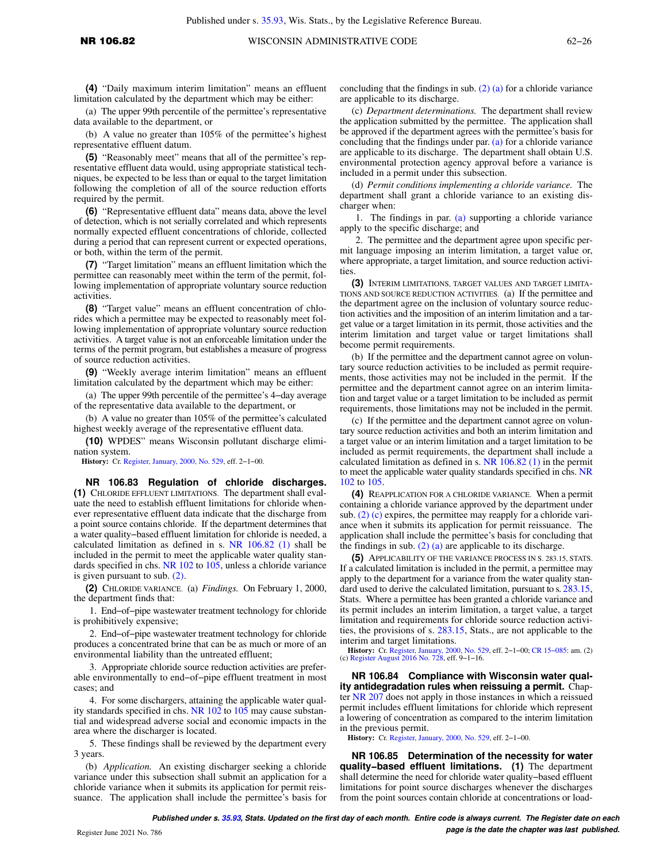**(4)** "Daily maximum interim limitation" means an effluent limitation calculated by the department which may be either:

(a) The upper 99th percentile of the permittee's representative data available to the department, or

(b) A value no greater than 105% of the permittee's highest representative effluent datum.

**(5)** "Reasonably meet" means that all of the permittee's representative effluent data would, using appropriate statistical techniques, be expected to be less than or equal to the target limitation following the completion of all of the source reduction efforts required by the permit.

**(6)** "Representative effluent data" means data, above the level of detection, which is not serially correlated and which represents normally expected effluent concentrations of chloride, collected during a period that can represent current or expected operations, or both, within the term of the permit.

**(7)** "Target limitation" means an effluent limitation which the permittee can reasonably meet within the term of the permit, following implementation of appropriate voluntary source reduction activities.

**(8)** "Target value" means an effluent concentration of chlorides which a permittee may be expected to reasonably meet following implementation of appropriate voluntary source reduction activities. A target value is not an enforceable limitation under the terms of the permit program, but establishes a measure of progress of source reduction activities.

**(9)** "Weekly average interim limitation" means an effluent limitation calculated by the department which may be either:

(a) The upper 99th percentile of the permittee's 4−day average of the representative data available to the department, or

(b) A value no greater than 105% of the permittee's calculated highest weekly average of the representative effluent data.

**(10)** WPDES" means Wisconsin pollutant discharge elimination system.

**History:** Cr. [Register, January, 2000, No. 529](https://docs.legis.wisconsin.gov/document/register/529/B/toc), eff. 2−1−00.

**NR 106.83 Regulation of chloride discharges. (1)** CHLORIDE EFFLUENT LIMITATIONS. The department shall evaluate the need to establish effluent limitations for chloride whenever representative effluent data indicate that the discharge from a point source contains chloride. If the department determines that a water quality−based effluent limitation for chloride is needed, a calculated limitation as defined in s. [NR 106.82 \(1\)](https://docs.legis.wisconsin.gov/document/administrativecode/NR%20106.82(1)) shall be included in the permit to meet the applicable water quality standards specified in chs. [NR 102](https://docs.legis.wisconsin.gov/document/administrativecode/ch.%20NR%20102) to [105](https://docs.legis.wisconsin.gov/document/administrativecode/ch.%20NR%20105), unless a chloride variance is given pursuant to sub. [\(2\).](https://docs.legis.wisconsin.gov/document/administrativecode/NR%20106.83(2))

**(2)** CHLORIDE VARIANCE. (a) *Findings.* On February 1, 2000, the department finds that:

1. End−of−pipe wastewater treatment technology for chloride is prohibitively expensive;

2. End−of−pipe wastewater treatment technology for chloride produces a concentrated brine that can be as much or more of an environmental liability than the untreated effluent;

3. Appropriate chloride source reduction activities are preferable environmentally to end−of−pipe effluent treatment in most cases; and

4. For some dischargers, attaining the applicable water quality standards specified in chs. NR  $102$  to  $105$  may cause substantial and widespread adverse social and economic impacts in the area where the discharger is located.

5. These findings shall be reviewed by the department every 3 years.

(b) *Application.* An existing discharger seeking a chloride variance under this subsection shall submit an application for a chloride variance when it submits its application for permit reissuance. The application shall include the permittee's basis for concluding that the findings in sub. [\(2\) \(a\)](https://docs.legis.wisconsin.gov/document/administrativecode/NR%20106.83(2)(a)) for a chloride variance are applicable to its discharge.

(c) *Department determinations.* The department shall review the application submitted by the permittee. The application shall be approved if the department agrees with the permittee's basis for concluding that the findings under par. [\(a\)](https://docs.legis.wisconsin.gov/document/administrativecode/NR%20106.83(2)(a)) for a chloride variance are applicable to its discharge. The department shall obtain U.S. environmental protection agency approval before a variance is included in a permit under this subsection.

(d) *Permit conditions implementing a chloride variance.* The department shall grant a chloride variance to an existing discharger when:

1. The findings in par. [\(a\)](https://docs.legis.wisconsin.gov/document/administrativecode/NR%20106.83(2)(a)) supporting a chloride variance apply to the specific discharge; and

2. The permittee and the department agree upon specific permit language imposing an interim limitation, a target value or, where appropriate, a target limitation, and source reduction activities.

**(3)** INTERIM LIMITATIONS, TARGET VALUES AND TARGET LIMITA-TIONS AND SOURCE REDUCTION ACTIVITIES. (a) If the permittee and the department agree on the inclusion of voluntary source reduction activities and the imposition of an interim limitation and a target value or a target limitation in its permit, those activities and the interim limitation and target value or target limitations shall become permit requirements.

(b) If the permittee and the department cannot agree on voluntary source reduction activities to be included as permit requirements, those activities may not be included in the permit. If the permittee and the department cannot agree on an interim limitation and target value or a target limitation to be included as permit requirements, those limitations may not be included in the permit.

(c) If the permittee and the department cannot agree on voluntary source reduction activities and both an interim limitation and a target value or an interim limitation and a target limitation to be included as permit requirements, the department shall include a calculated limitation as defined in s. [NR 106.82 \(1\)](https://docs.legis.wisconsin.gov/document/administrativecode/NR%20106.82(1)) in the permit to meet the applicable water quality standards specified in chs. [NR](https://docs.legis.wisconsin.gov/document/administrativecode/ch.%20NR%20102) [102](https://docs.legis.wisconsin.gov/document/administrativecode/ch.%20NR%20102) to [105.](https://docs.legis.wisconsin.gov/document/administrativecode/ch.%20NR%20105)

**(4)** REAPPLICATION FOR A CHLORIDE VARIANCE. When a permit containing a chloride variance approved by the department under sub.  $(2)$  (c) expires, the permittee may reapply for a chloride variance when it submits its application for permit reissuance. The application shall include the permittee's basis for concluding that the findings in sub.  $(2)$  (a) are applicable to its discharge.

**(5)** APPLICABILITY OF THE VARIANCE PROCESS IN S. 283.15, STATS. If a calculated limitation is included in the permit, a permittee may apply to the department for a variance from the water quality standard used to derive the calculated limitation, pursuant to s. [283.15,](https://docs.legis.wisconsin.gov/document/statutes/283.15) Stats. Where a permittee has been granted a chloride variance and its permit includes an interim limitation, a target value, a target limitation and requirements for chloride source reduction activities, the provisions of s. [283.15,](https://docs.legis.wisconsin.gov/document/statutes/283.15) Stats., are not applicable to the interim and target limitations.

**History:** Cr. [Register, January, 2000, No. 529](https://docs.legis.wisconsin.gov/document/register/529/B/toc), eff. 2-1-00; CR 15-085: am. (2) (c) [Register August 2016 No. 728](https://docs.legis.wisconsin.gov/document/register/728/B/toc), eff. 9-1-16.

**NR 106.84 Compliance with Wisconsin water quality antidegradation rules when reissuing a permit.** Chapter [NR 207](https://docs.legis.wisconsin.gov/document/administrativecode/ch.%20NR%20207) does not apply in those instances in which a reissued permit includes effluent limitations for chloride which represent a lowering of concentration as compared to the interim limitation in the previous permit.

**History:** Cr. [Register, January, 2000, No. 529](https://docs.legis.wisconsin.gov/document/register/529/B/toc), eff. 2−1−00.

**NR 106.85 Determination of the necessity for water quality−based effluent limitations. (1)** The department shall determine the need for chloride water quality−based effluent limitations for point source discharges whenever the discharges from the point sources contain chloride at concentrations or load-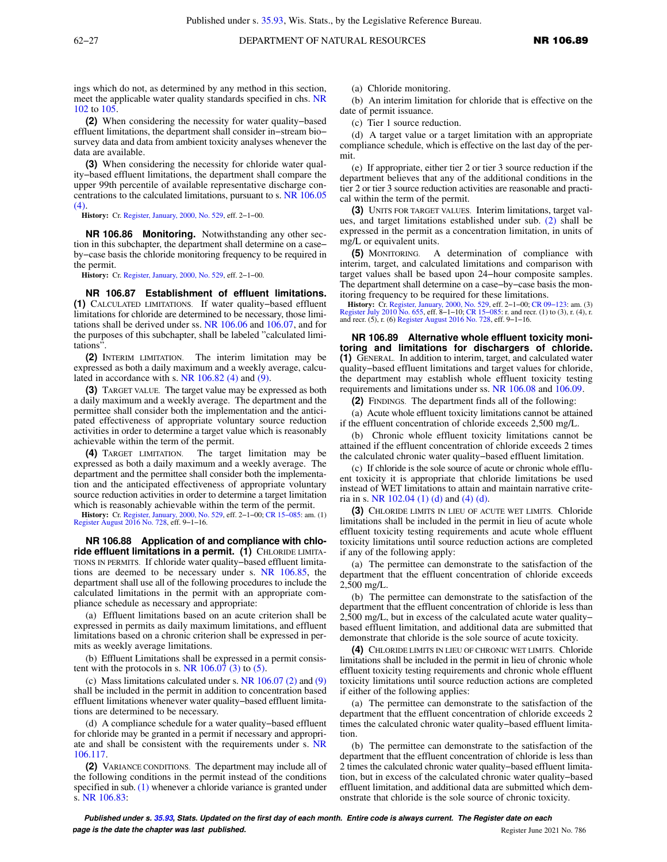ings which do not, as determined by any method in this section, meet the applicable water quality standards specified in chs. [NR](https://docs.legis.wisconsin.gov/document/administrativecode/ch.%20NR%20102) [102](https://docs.legis.wisconsin.gov/document/administrativecode/ch.%20NR%20102) to [105.](https://docs.legis.wisconsin.gov/document/administrativecode/ch.%20NR%20105)

**(2)** When considering the necessity for water quality−based effluent limitations, the department shall consider in−stream bio− survey data and data from ambient toxicity analyses whenever the data are available.

**(3)** When considering the necessity for chloride water quality−based effluent limitations, the department shall compare the upper 99th percentile of available representative discharge concentrations to the calculated limitations, pursuant to s. [NR 106.05](https://docs.legis.wisconsin.gov/document/administrativecode/NR%20106.05(4))  $(4)$ 

**History:** Cr. [Register, January, 2000, No. 529](https://docs.legis.wisconsin.gov/document/register/529/B/toc), eff. 2−1−00.

**NR 106.86 Monitoring.** Notwithstanding any other section in this subchapter, the department shall determine on a case− by−case basis the chloride monitoring frequency to be required in the permit.

**History:** Cr. [Register, January, 2000, No. 529](https://docs.legis.wisconsin.gov/document/register/529/B/toc), eff. 2−1−00.

**NR 106.87 Establishment of effluent limitations. (1)** CALCULATED LIMITATIONS. If water quality−based effluent limitations for chloride are determined to be necessary, those limitations shall be derived under ss. [NR 106.06](https://docs.legis.wisconsin.gov/document/administrativecode/NR%20106.06) and [106.07,](https://docs.legis.wisconsin.gov/document/administrativecode/NR%20106.07) and for the purposes of this subchapter, shall be labeled "calculated limitations".

**(2)** INTERIM LIMITATION. The interim limitation may be expressed as both a daily maximum and a weekly average, calculated in accordance with s. NR  $106.82$  (4) and [\(9\)](https://docs.legis.wisconsin.gov/document/administrativecode/NR%20106.82(9)).

**(3)** TARGET VALUE. The target value may be expressed as both a daily maximum and a weekly average. The department and the permittee shall consider both the implementation and the anticipated effectiveness of appropriate voluntary source reduction activities in order to determine a target value which is reasonably achievable within the term of the permit.

**(4)** TARGET LIMITATION. The target limitation may be expressed as both a daily maximum and a weekly average. The department and the permittee shall consider both the implementation and the anticipated effectiveness of appropriate voluntary source reduction activities in order to determine a target limitation which is reasonably achievable within the term of the permit.

**History:** Cr. [Register, January, 2000, No. 529,](https://docs.legis.wisconsin.gov/document/register/529/B/toc) eff. 2−1−00; [CR 15−085](https://docs.legis.wisconsin.gov/document/cr/2015/85): am. (1) [Register August 2016 No. 728](https://docs.legis.wisconsin.gov/document/register/728/B/toc), eff. 9−1−16.

**NR 106.88 Application of and compliance with chloride effluent limitations in a permit. (1)** CHLORIDE LIMITA-TIONS IN PERMITS. If chloride water quality−based effluent limitations are deemed to be necessary under s. [NR 106.85,](https://docs.legis.wisconsin.gov/document/administrativecode/NR%20106.85) the department shall use all of the following procedures to include the calculated limitations in the permit with an appropriate compliance schedule as necessary and appropriate:

(a) Effluent limitations based on an acute criterion shall be expressed in permits as daily maximum limitations, and effluent limitations based on a chronic criterion shall be expressed in permits as weekly average limitations.

(b) Effluent Limitations shall be expressed in a permit consistent with the protocols in s. NR  $106.07$  (3) to [\(5\)](https://docs.legis.wisconsin.gov/document/administrativecode/NR%20106.07(5)).

(c) Mass limitations calculated under s. NR  $106.07$  (2) and [\(9\)](https://docs.legis.wisconsin.gov/document/administrativecode/NR%20106.07(9)) shall be included in the permit in addition to concentration based effluent limitations whenever water quality−based effluent limitations are determined to be necessary.

(d) A compliance schedule for a water quality−based effluent for chloride may be granted in a permit if necessary and appropriate and shall be consistent with the requirements under s. [NR](https://docs.legis.wisconsin.gov/document/administrativecode/NR%20106.117) [106.117.](https://docs.legis.wisconsin.gov/document/administrativecode/NR%20106.117)

**(2)** VARIANCE CONDITIONS. The department may include all of the following conditions in the permit instead of the conditions specified in sub. [\(1\)](https://docs.legis.wisconsin.gov/document/administrativecode/NR%20106.88(1)) whenever a chloride variance is granted under s. [NR 106.83:](https://docs.legis.wisconsin.gov/document/administrativecode/NR%20106.83)

(a) Chloride monitoring.

(b) An interim limitation for chloride that is effective on the date of permit issuance.

(c) Tier 1 source reduction.

(d) A target value or a target limitation with an appropriate compliance schedule, which is effective on the last day of the permit.

(e) If appropriate, either tier 2 or tier 3 source reduction if the department believes that any of the additional conditions in the tier 2 or tier 3 source reduction activities are reasonable and practical within the term of the permit.

**(3)** UNITS FOR TARGET VALUES. Interim limitations, target values, and target limitations established under sub. [\(2\)](https://docs.legis.wisconsin.gov/document/administrativecode/NR%20106.88(2)) shall be expressed in the permit as a concentration limitation, in units of mg/L or equivalent units.

**(5)** MONITORING. A determination of compliance with interim, target, and calculated limitations and comparison with target values shall be based upon 24−hour composite samples. The department shall determine on a case−by−case basis the monitoring frequency to be required for these limitations.

**History:** Cr. [Register, January, 2000, No. 529](https://docs.legis.wisconsin.gov/document/register/529/B/toc), eff. 2–1–00; CR 09–123: am. (3)<br>[Register July 2010 No. 655,](https://docs.legis.wisconsin.gov/document/register/655/B/toc) eff. 8–1–10; CR 15–085: r. and recr. (1) to (3), r. (4), r.<br>and recr. (5), r. (6) [Register August 2016 No. 728,](https://docs.legis.wisconsin.gov/document/register/728/B/toc) e

**NR 106.89 Alternative whole effluent toxicity monitoring and limitations for dischargers of chloride. (1)** GENERAL. In addition to interim, target, and calculated water quality−based effluent limitations and target values for chloride, the department may establish whole effluent toxicity testing requirements and limitations under ss. [NR 106.08](https://docs.legis.wisconsin.gov/document/administrativecode/NR%20106.08) and [106.09.](https://docs.legis.wisconsin.gov/document/administrativecode/NR%20106.09)

**(2)** FINDINGS. The department finds all of the following:

(a) Acute whole effluent toxicity limitations cannot be attained if the effluent concentration of chloride exceeds 2,500 mg/L.

(b) Chronic whole effluent toxicity limitations cannot be attained if the effluent concentration of chloride exceeds 2 times the calculated chronic water quality−based effluent limitation.

(c) If chloride is the sole source of acute or chronic whole effluent toxicity it is appropriate that chloride limitations be used instead of WET limitations to attain and maintain narrative criteria in s. [NR 102.04 \(1\) \(d\)](https://docs.legis.wisconsin.gov/document/administrativecode/NR%20102.04(1)(d)) and [\(4\) \(d\).](https://docs.legis.wisconsin.gov/document/administrativecode/NR%20102.04(4)(d))

**(3)** CHLORIDE LIMITS IN LIEU OF ACUTE WET LIMITS. Chloride limitations shall be included in the permit in lieu of acute whole effluent toxicity testing requirements and acute whole effluent toxicity limitations until source reduction actions are completed if any of the following apply:

(a) The permittee can demonstrate to the satisfaction of the department that the effluent concentration of chloride exceeds 2,500 mg/L.

(b) The permittee can demonstrate to the satisfaction of the department that the effluent concentration of chloride is less than 2,500 mg/L, but in excess of the calculated acute water quality− based effluent limitation, and additional data are submitted that demonstrate that chloride is the sole source of acute toxicity.

**(4)** CHLORIDE LIMITS IN LIEU OF CHRONIC WET LIMITS. Chloride limitations shall be included in the permit in lieu of chronic whole effluent toxicity testing requirements and chronic whole effluent toxicity limitations until source reduction actions are completed if either of the following applies:

(a) The permittee can demonstrate to the satisfaction of the department that the effluent concentration of chloride exceeds 2 times the calculated chronic water quality−based effluent limitation.

(b) The permittee can demonstrate to the satisfaction of the department that the effluent concentration of chloride is less than 2 times the calculated chronic water quality−based effluent limitation, but in excess of the calculated chronic water quality−based effluent limitation, and additional data are submitted which demonstrate that chloride is the sole source of chronic toxicity.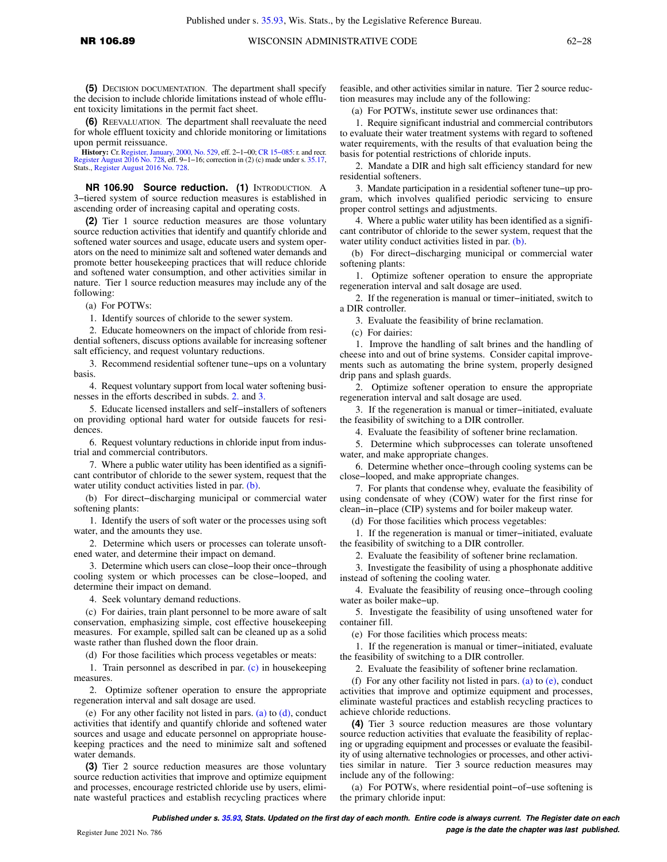**(5)** DECISION DOCUMENTATION. The department shall specify the decision to include chloride limitations instead of whole effluent toxicity limitations in the permit fact sheet.

**(6)** REEVALUATION. The department shall reevaluate the need for whole effluent toxicity and chloride monitoring or limitations upon permit reissuance.

**History:** Cr. [Register, January, 2000, No. 529](https://docs.legis.wisconsin.gov/document/register/529/B/toc), eff. 2−1−00; [CR 15−085:](https://docs.legis.wisconsin.gov/document/cr/2015/85) r. and recr. August 2016 No. 728, eff. 9−1−16; correction in (2) (c) made under s. [35.17](https://docs.legis.wisconsin.gov/document/statutes/35.17), Stats., [Register August 2016 No. 728](https://docs.legis.wisconsin.gov/document/register/728/B/toc).

**NR 106.90 Source reduction. (1)** INTRODUCTION. A 3−tiered system of source reduction measures is established in ascending order of increasing capital and operating costs.

**(2)** Tier 1 source reduction measures are those voluntary source reduction activities that identify and quantify chloride and softened water sources and usage, educate users and system operators on the need to minimize salt and softened water demands and promote better housekeeping practices that will reduce chloride and softened water consumption, and other activities similar in nature. Tier 1 source reduction measures may include any of the following:

(a) For POTWs:

1. Identify sources of chloride to the sewer system.

2. Educate homeowners on the impact of chloride from residential softeners, discuss options available for increasing softener salt efficiency, and request voluntary reductions.

3. Recommend residential softener tune−ups on a voluntary basis.

4. Request voluntary support from local water softening businesses in the efforts described in subds. [2.](https://docs.legis.wisconsin.gov/document/administrativecode/NR%20106.90(2)(a)2.) and [3.](https://docs.legis.wisconsin.gov/document/administrativecode/NR%20106.90(2)(a)3.)

5. Educate licensed installers and self−installers of softeners on providing optional hard water for outside faucets for residences.

6. Request voluntary reductions in chloride input from industrial and commercial contributors.

7. Where a public water utility has been identified as a significant contributor of chloride to the sewer system, request that the water utility conduct activities listed in par. [\(b\).](https://docs.legis.wisconsin.gov/document/administrativecode/NR%20106.90(2)(b))

(b) For direct−discharging municipal or commercial water softening plants:

1. Identify the users of soft water or the processes using soft water, and the amounts they use.

2. Determine which users or processes can tolerate unsoftened water, and determine their impact on demand.

3. Determine which users can close−loop their once−through cooling system or which processes can be close−looped, and determine their impact on demand.

4. Seek voluntary demand reductions.

(c) For dairies, train plant personnel to be more aware of salt conservation, emphasizing simple, cost effective housekeeping measures. For example, spilled salt can be cleaned up as a solid waste rather than flushed down the floor drain.

(d) For those facilities which process vegetables or meats:

1. Train personnel as described in par. [\(c\)](https://docs.legis.wisconsin.gov/document/administrativecode/NR%20106.90(2)(c)) in housekeeping measures.

2. Optimize softener operation to ensure the appropriate regeneration interval and salt dosage are used.

(e) For any other facility not listed in pars. [\(a\)](https://docs.legis.wisconsin.gov/document/administrativecode/NR%20106.90(2)(a)) to  $(d)$ , conduct activities that identify and quantify chloride and softened water sources and usage and educate personnel on appropriate housekeeping practices and the need to minimize salt and softened water demands.

**(3)** Tier 2 source reduction measures are those voluntary source reduction activities that improve and optimize equipment and processes, encourage restricted chloride use by users, eliminate wasteful practices and establish recycling practices where

feasible, and other activities similar in nature. Tier 2 source reduction measures may include any of the following:

(a) For POTWs, institute sewer use ordinances that:

1. Require significant industrial and commercial contributors to evaluate their water treatment systems with regard to softened water requirements, with the results of that evaluation being the basis for potential restrictions of chloride inputs.

2. Mandate a DIR and high salt efficiency standard for new residential softeners.

3. Mandate participation in a residential softener tune−up program, which involves qualified periodic servicing to ensure proper control settings and adjustments.

4. Where a public water utility has been identified as a significant contributor of chloride to the sewer system, request that the water utility conduct activities listed in par. [\(b\)](https://docs.legis.wisconsin.gov/document/administrativecode/NR%20106.90(3)(b)).

(b) For direct−discharging municipal or commercial water softening plants:

1. Optimize softener operation to ensure the appropriate regeneration interval and salt dosage are used.

2. If the regeneration is manual or timer−initiated, switch to a DIR controller.

3. Evaluate the feasibility of brine reclamation.

(c) For dairies:

1. Improve the handling of salt brines and the handling of cheese into and out of brine systems. Consider capital improvements such as automating the brine system, properly designed drip pans and splash guards.

2. Optimize softener operation to ensure the appropriate regeneration interval and salt dosage are used.

3. If the regeneration is manual or timer−initiated, evaluate the feasibility of switching to a DIR controller.

4. Evaluate the feasibility of softener brine reclamation.

5. Determine which subprocesses can tolerate unsoftened water, and make appropriate changes.

6. Determine whether once−through cooling systems can be close−looped, and make appropriate changes.

7. For plants that condense whey, evaluate the feasibility of using condensate of whey (COW) water for the first rinse for clean−in−place (CIP) systems and for boiler makeup water.

(d) For those facilities which process vegetables:

1. If the regeneration is manual or timer−initiated, evaluate the feasibility of switching to a DIR controller.

2. Evaluate the feasibility of softener brine reclamation.

3. Investigate the feasibility of using a phosphonate additive instead of softening the cooling water.

4. Evaluate the feasibility of reusing once−through cooling water as boiler make−up.

5. Investigate the feasibility of using unsoftened water for container fill.

(e) For those facilities which process meats:

1. If the regeneration is manual or timer−initiated, evaluate the feasibility of switching to a DIR controller.

2. Evaluate the feasibility of softener brine reclamation.

(f) For any other facility not listed in pars. [\(a\)](https://docs.legis.wisconsin.gov/document/administrativecode/NR%20106.90(3)(a)) to  $(e)$ , conduct activities that improve and optimize equipment and processes, eliminate wasteful practices and establish recycling practices to achieve chloride reductions.

**(4)** Tier 3 source reduction measures are those voluntary source reduction activities that evaluate the feasibility of replacing or upgrading equipment and processes or evaluate the feasibility of using alternative technologies or processes, and other activities similar in nature. Tier 3 source reduction measures may include any of the following:

(a) For POTWs, where residential point−of−use softening is the primary chloride input: